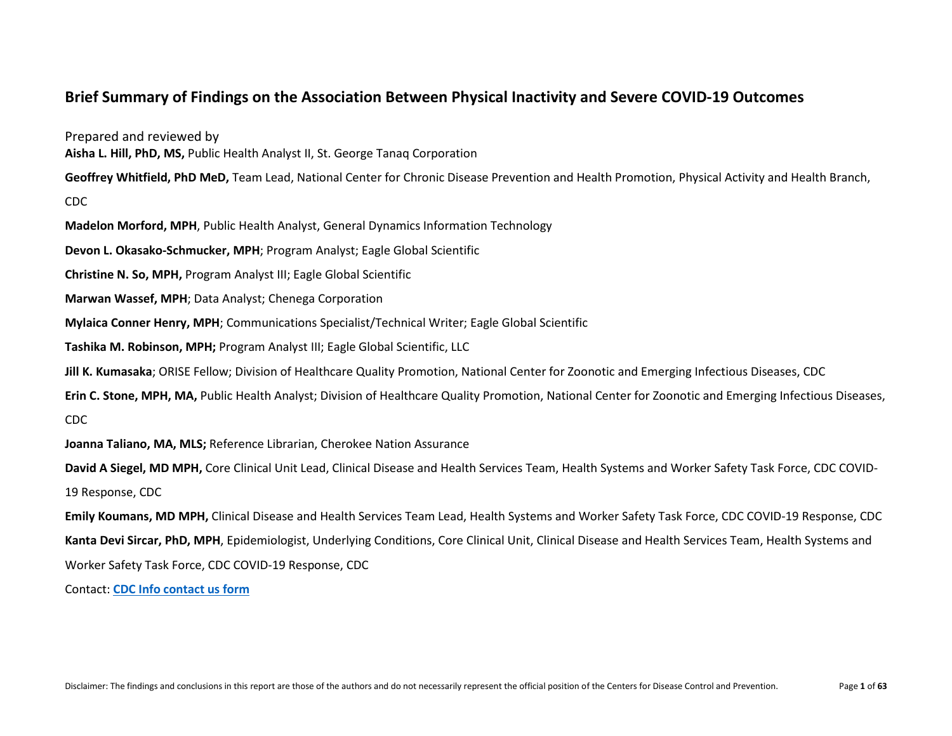## **Brief Summary of Findings on the Association Between Physical Inactivity and Severe COVID-19 Outcomes**

Prepared and reviewed by

**Aisha L. Hill, PhD, MS,** Public Health Analyst II, St. George Tanaq Corporation

**Geoffrey Whitfield, PhD MeD,** Team Lead, National Center for Chronic Disease Prevention and Health Promotion, Physical Activity and Health Branch,

CDC

**Madelon Morford, MPH**, Public Health Analyst, General Dynamics Information Technology

**Devon L. Okasako-Schmucker, MPH**; Program Analyst; Eagle Global Scientific

**Christine N. So, MPH,** Program Analyst III; Eagle Global Scientific

**Marwan Wassef, MPH**; Data Analyst; Chenega Corporation

**Mylaica Conner Henry, MPH**; Communications Specialist/Technical Writer; Eagle Global Scientific

**Tashika M. Robinson, MPH;** Program Analyst III; Eagle Global Scientific, LLC

**Jill K. Kumasaka**; ORISE Fellow; Division of Healthcare Quality Promotion, National Center for Zoonotic and Emerging Infectious Diseases, CDC

**Erin C. Stone, MPH, MA,** Public Health Analyst; Division of Healthcare Quality Promotion, National Center for Zoonotic and Emerging Infectious Diseases, CDC

**Joanna Taliano, MA, MLS;** Reference Librarian, Cherokee Nation Assurance

**David A Siegel, MD MPH,** Core Clinical Unit Lead, Clinical Disease and Health Services Team, Health Systems and Worker Safety Task Force, CDC COVID-19 Response, CDC

**Emily Koumans, MD MPH,** Clinical Disease and Health Services Team Lead, Health Systems and Worker Safety Task Force, CDC COVID-19 Response, CDC **Kanta Devi Sircar, PhD, MPH**, Epidemiologist, Underlying Conditions, Core Clinical Unit, Clinical Disease and Health Services Team, Health Systems and Worker Safety Task Force, CDC COVID-19 Response, CDC

Contact: **[CDC Info contact us form](https://wwwn.cdc.gov/dcs/ContactUs/Form)**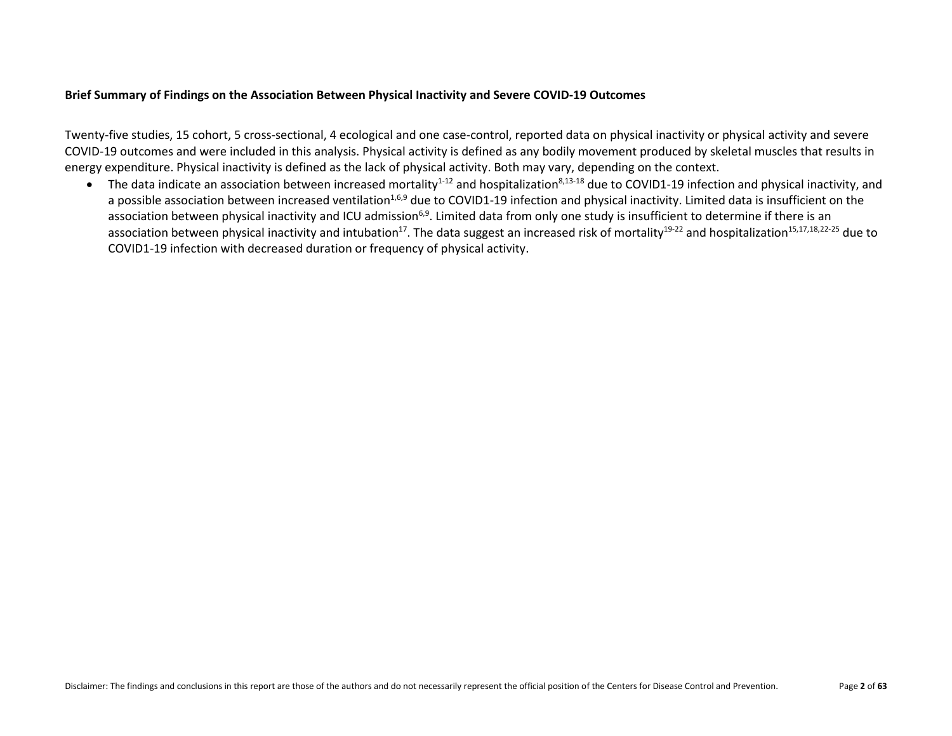#### **Brief Summary of Findings on the Association Between Physical Inactivity and Severe COVID-19 Outcomes**

Twenty-five studies, 15 cohort, 5 cross-sectional, 4 ecological and one case-control, reported data on physical inactivity or physical activity and severe COVID-19 outcomes and were included in this analysis. Physical activity is defined as any bodily movement produced by skeletal muscles that results in energy expenditure. Physical inactivity is defined as the lack of physical activity. Both may vary, depending on the context.

• The data indicate an association between increased mortality<sup>1-12</sup> and hospitalization<sup>8,13-18</sup> due to COVID1-19 infection and physical inactivity, and a possible association between increased ventilation<sup>1,6,9</sup> due to COVID1-19 infection and physical inactivity. Limited data is insufficient on the association between physical inactivity and ICU admission<sup>6,9</sup>. Limited data from only one study is insufficient to determine if there is an association between physical inactivity and intubation<sup>17</sup>. The data suggest an increased risk of mortality<sup>19-22</sup> and hospitalization<sup>15,17,18,22-25</sup> due to COVID1-19 infection with decreased duration or frequency of physical activity.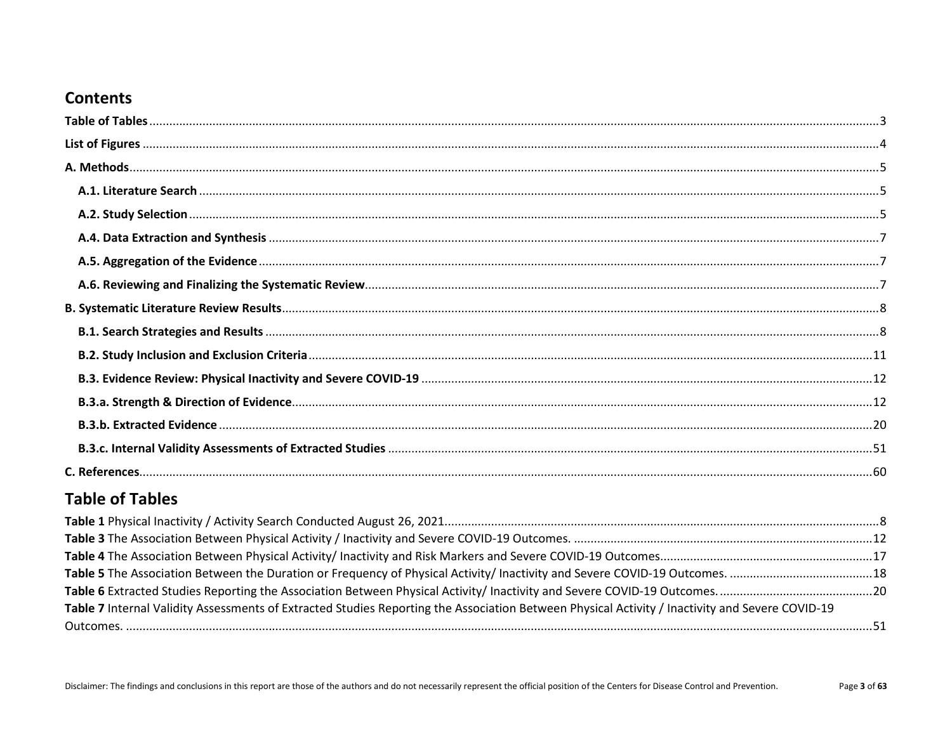# **Contents**

# <span id="page-2-0"></span>**Table of Tables**

| Table 7 Internal Validity Assessments of Extracted Studies Reporting the Association Between Physical Activity / Inactivity and Severe COVID-19 |  |
|-------------------------------------------------------------------------------------------------------------------------------------------------|--|
|                                                                                                                                                 |  |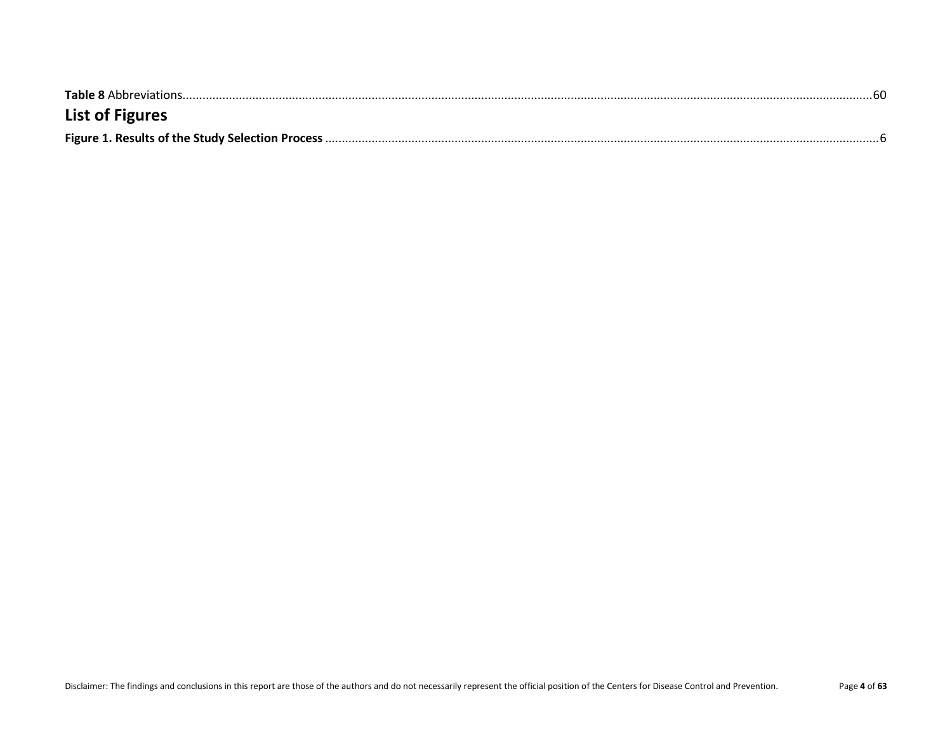<span id="page-3-0"></span>

| <b>List of Figures</b> |  |
|------------------------|--|
|                        |  |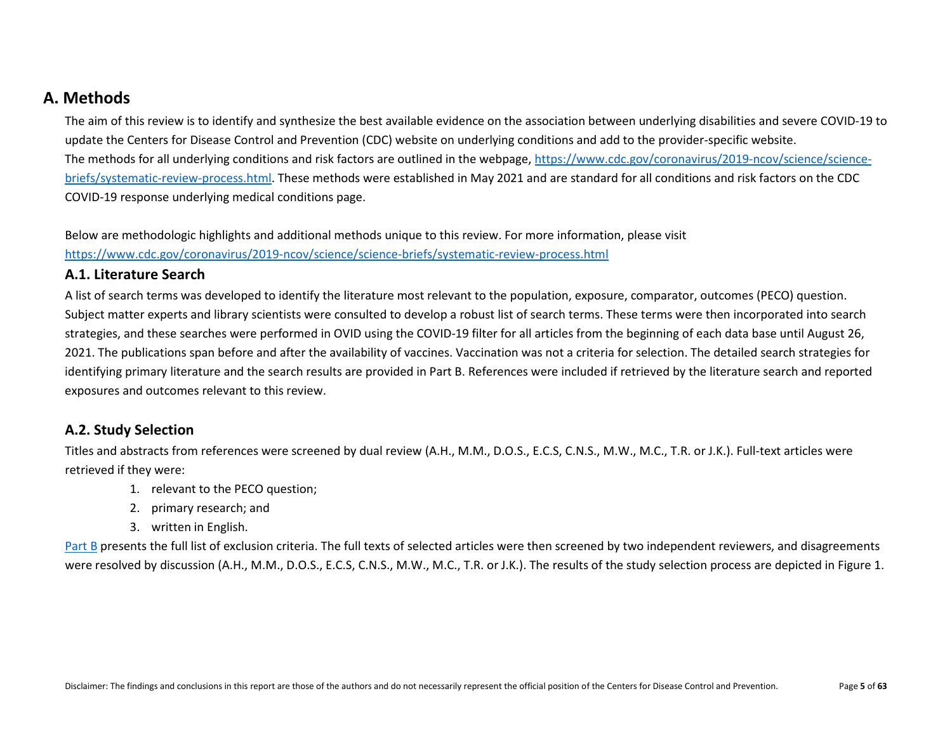# <span id="page-4-0"></span>**A. Methods**

The aim of this review is to identify and synthesize the best available evidence on the association between underlying disabilities and severe COVID-19 to update the Centers for Disease Control and Prevention (CDC) website on underlying conditions and add to the provider-specific website. The methods for all underlying conditions and risk factors are outlined in the webpage[, https://www.cdc.gov/coronavirus/2019-ncov/science/science](https://www.cdc.gov/coronavirus/2019-ncov/science/science-briefs/systematic-review-process.html)[briefs/systematic-review-process.html.](https://www.cdc.gov/coronavirus/2019-ncov/science/science-briefs/systematic-review-process.html) These methods were established in May 2021 and are standard for all conditions and risk factors on the CDC COVID-19 response underlying medical conditions page.

Below are methodologic highlights and additional methods unique to this review. For more information, please visit <https://www.cdc.gov/coronavirus/2019-ncov/science/science-briefs/systematic-review-process.html>

#### <span id="page-4-1"></span>**A.1. Literature Search**

A list of search terms was developed to identify the literature most relevant to the population, exposure, comparator, outcomes (PECO) question. Subject matter experts and library scientists were consulted to develop a robust list of search terms. These terms were then incorporated into search strategies, and these searches were performed in OVID using the COVID-19 filter for all articles from the beginning of each data base until August 26, 2021. The publications span before and after the availability of vaccines. Vaccination was not a criteria for selection. The detailed search strategies for identifying primary literature and the search results are provided in Part B. References were included if retrieved by the literature search and reported exposures and outcomes relevant to this review.

### <span id="page-4-2"></span>**A.2. Study Selection**

Titles and abstracts from references were screened by dual review (A.H., M.M., D.O.S., E.C.S, C.N.S., M.W., M.C., T.R. or J.K.). Full-text articles were retrieved if they were:

- 1. relevant to the PECO question;
- 2. primary research; and
- 3. written in English.

[Part B](#page-7-0) presents the full list of exclusion criteria. The full texts of selected articles were then screened by two independent reviewers, and disagreements were resolved by discussion (A.H., M.M., D.O.S., E.C.S, C.N.S., M.W., M.C., T.R. or J.K.). The results of the study selection process are depicted in Figure 1.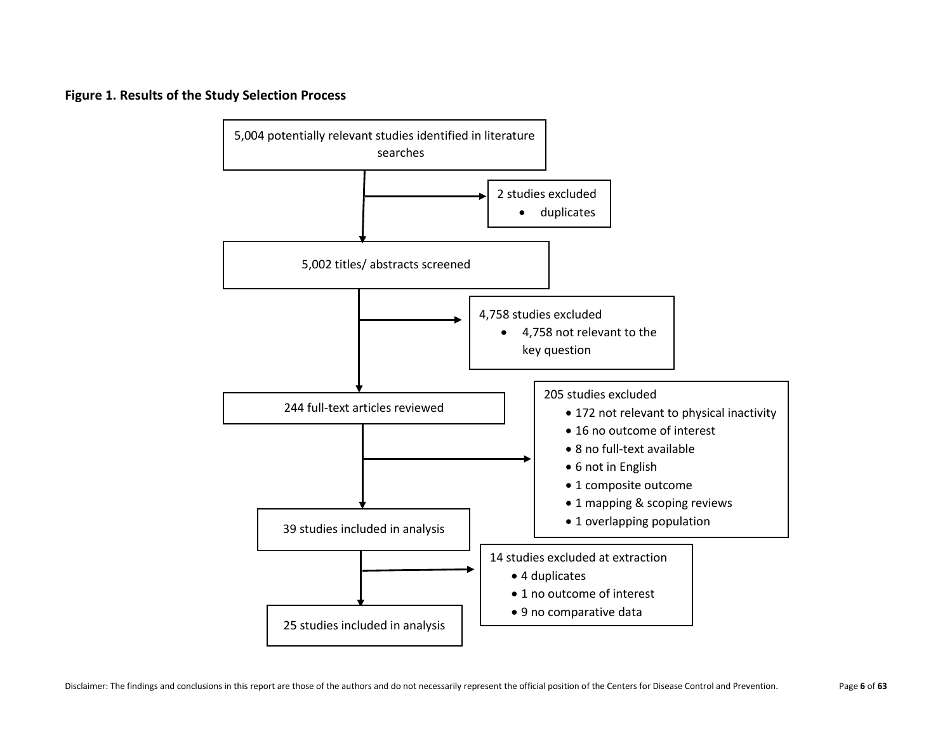<span id="page-5-0"></span>**Figure 1. Results of the Study Selection Process**

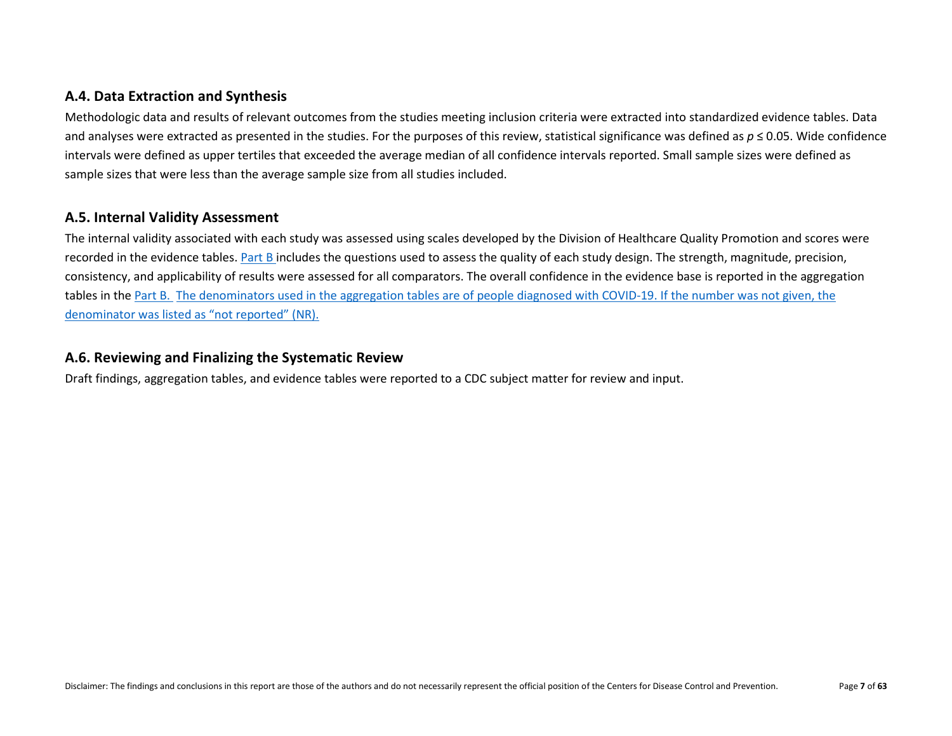## <span id="page-6-0"></span>**A.4. Data Extraction and Synthesis**

Methodologic data and results of relevant outcomes from the studies meeting inclusion criteria were extracted into standardized evidence tables. Data and analyses were extracted as presented in the studies. For the purposes of this review, statistical significance was defined as *p* ≤ 0.05. Wide confidence intervals were defined as upper tertiles that exceeded the average median of all confidence intervals reported. Small sample sizes were defined as sample sizes that were less than the average sample size from all studies included.

#### <span id="page-6-1"></span>**A.5. Internal Validity Assessment**

The internal validity associated with each study was assessed using scales developed by the Division of Healthcare Quality Promotion and scores were recorded in the evidence tables. [Part B](#page-50-0) includes the questions used to assess the quality of each study design. The strength, magnitude, precision, consistency, and applicability of results were assessed for all comparators. The overall confidence in the evidence base is reported in the aggregation tables in the [Part B.](#page-50-0) The denominators used in the aggregation tables are of people diagnosed with COVID-19. If the number was not given, the denominator was listed as "not reported" (NR).

#### <span id="page-6-2"></span>**A.6. Reviewing and Finalizing the Systematic Review**

Draft findings, aggregation tables, and evidence tables were reported to a CDC subject matter for review and input.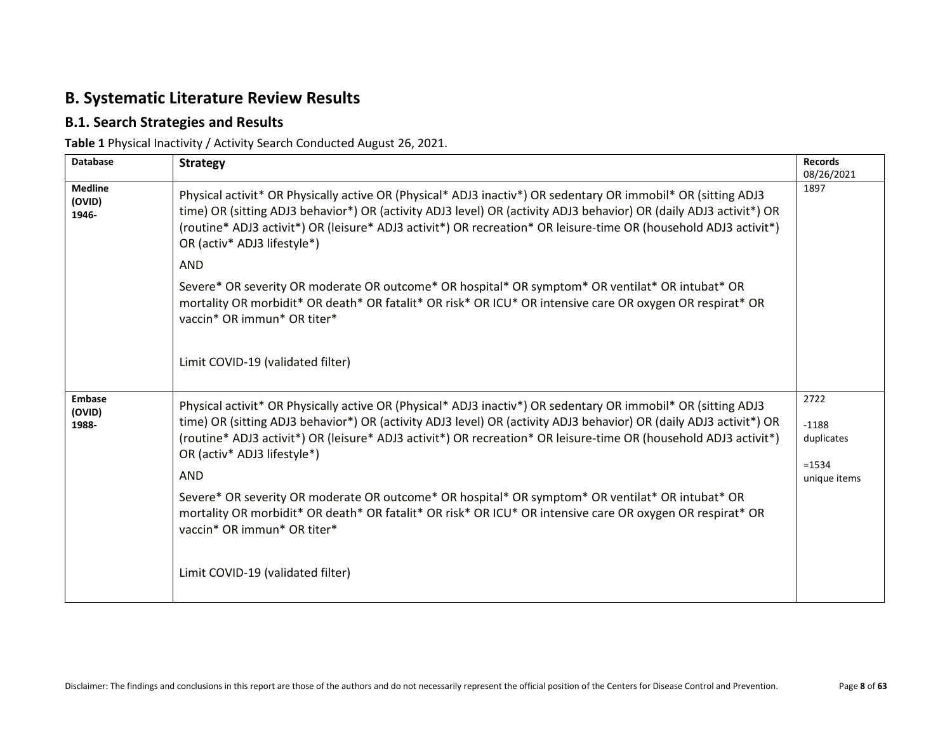# <span id="page-7-0"></span>**B. Systematic Literature Review Results**

## <span id="page-7-1"></span>**B.1. Search Strategies and Results**

<span id="page-7-2"></span>**Table 1** Physical Inactivity / Activity Search Conducted August 26, 2021.

| <b>Database</b>                   | <b>Strategy</b>                                                                                                                                                                                                                                                                                                                                                                                      | <b>Records</b><br>08/26/2021                              |
|-----------------------------------|------------------------------------------------------------------------------------------------------------------------------------------------------------------------------------------------------------------------------------------------------------------------------------------------------------------------------------------------------------------------------------------------------|-----------------------------------------------------------|
| <b>Medline</b><br>(OVID)<br>1946- | Physical activit* OR Physically active OR (Physical* ADJ3 inactiv*) OR sedentary OR immobil* OR (sitting ADJ3<br>time) OR (sitting ADJ3 behavior*) OR (activity ADJ3 level) OR (activity ADJ3 behavior) OR (daily ADJ3 activit*) OR<br>(routine* ADJ3 activit*) OR (leisure* ADJ3 activit*) OR recreation* OR leisure-time OR (household ADJ3 activit*)<br>OR (activ* ADJ3 lifestyle*)               | 1897                                                      |
|                                   | <b>AND</b>                                                                                                                                                                                                                                                                                                                                                                                           |                                                           |
|                                   | Severe* OR severity OR moderate OR outcome* OR hospital* OR symptom* OR ventilat* OR intubat* OR<br>mortality OR morbidit* OR death* OR fatalit* OR risk* OR ICU* OR intensive care OR oxygen OR respirat* OR<br>vaccin* OR immun* OR titer*                                                                                                                                                         |                                                           |
|                                   | Limit COVID-19 (validated filter)                                                                                                                                                                                                                                                                                                                                                                    |                                                           |
| <b>Embase</b><br>(OVID)<br>1988-  | Physical activit* OR Physically active OR (Physical* ADJ3 inactiv*) OR sedentary OR immobil* OR (sitting ADJ3<br>time) OR (sitting ADJ3 behavior*) OR (activity ADJ3 level) OR (activity ADJ3 behavior) OR (daily ADJ3 activit*) OR<br>(routine* ADJ3 activit*) OR (leisure* ADJ3 activit*) OR recreation* OR leisure-time OR (household ADJ3 activit*)<br>OR (activ* ADJ3 lifestyle*)<br><b>AND</b> | 2722<br>$-1188$<br>duplicates<br>$= 1534$<br>unique items |
|                                   | Severe* OR severity OR moderate OR outcome* OR hospital* OR symptom* OR ventilat* OR intubat* OR<br>mortality OR morbidit* OR death* OR fatalit* OR risk* OR ICU* OR intensive care OR oxygen OR respirat* OR<br>vaccin* OR immun* OR titer*                                                                                                                                                         |                                                           |
|                                   | Limit COVID-19 (validated filter)                                                                                                                                                                                                                                                                                                                                                                    |                                                           |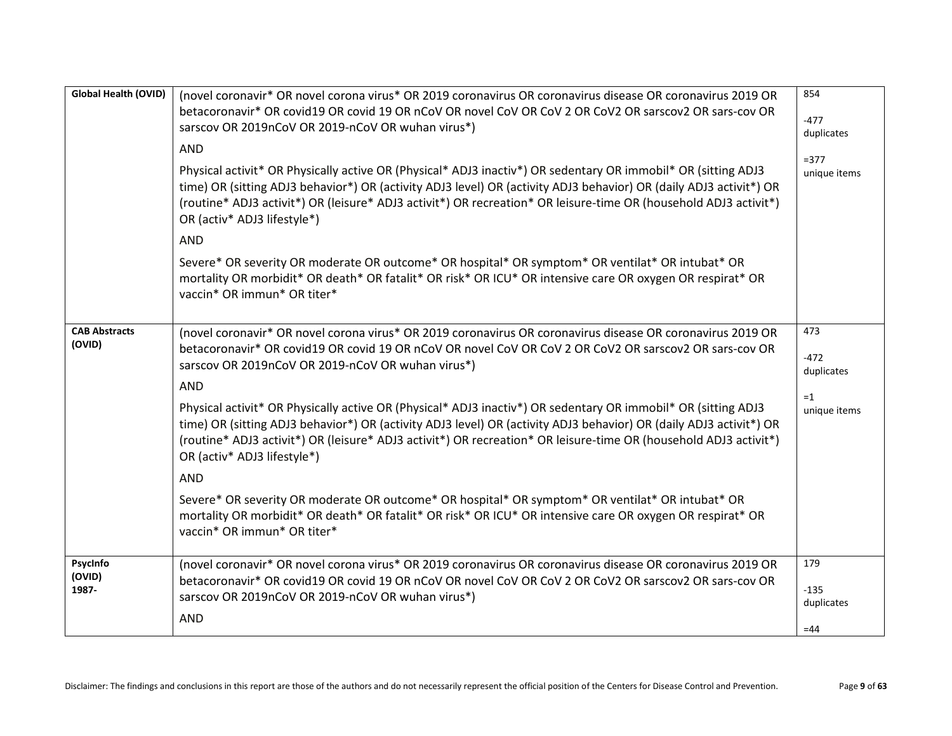| Global Health (OVID)           | (novel coronavir* OR novel corona virus* OR 2019 coronavirus OR coronavirus disease OR coronavirus 2019 OR<br>betacoronavir* OR covid19 OR covid 19 OR nCoV OR novel CoV OR CoV 2 OR CoV2 OR sarscov2 OR sars-cov OR<br>sarscov OR 2019nCoV OR 2019-nCoV OR wuhan virus*)<br><b>AND</b><br>Physical activit* OR Physically active OR (Physical* ADJ3 inactiv*) OR sedentary OR immobil* OR (sitting ADJ3<br>time) OR (sitting ADJ3 behavior*) OR (activity ADJ3 level) OR (activity ADJ3 behavior) OR (daily ADJ3 activit*) OR<br>(routine* ADJ3 activit*) OR (leisure* ADJ3 activit*) OR recreation* OR leisure-time OR (household ADJ3 activit*)<br>OR (activ* ADJ3 lifestyle*)<br><b>AND</b><br>Severe* OR severity OR moderate OR outcome* OR hospital* OR symptom* OR ventilat* OR intubat* OR<br>mortality OR morbidit* OR death* OR fatalit* OR risk* OR ICU* OR intensive care OR oxygen OR respirat* OR | 854<br>$-477$<br>duplicates<br>$= 377$<br>unique items |
|--------------------------------|------------------------------------------------------------------------------------------------------------------------------------------------------------------------------------------------------------------------------------------------------------------------------------------------------------------------------------------------------------------------------------------------------------------------------------------------------------------------------------------------------------------------------------------------------------------------------------------------------------------------------------------------------------------------------------------------------------------------------------------------------------------------------------------------------------------------------------------------------------------------------------------------------------------|--------------------------------------------------------|
|                                | vaccin* OR immun* OR titer*                                                                                                                                                                                                                                                                                                                                                                                                                                                                                                                                                                                                                                                                                                                                                                                                                                                                                      |                                                        |
| <b>CAB Abstracts</b><br>(OVID) | (novel coronavir* OR novel corona virus* OR 2019 coronavirus OR coronavirus disease OR coronavirus 2019 OR<br>betacoronavir* OR covid19 OR covid 19 OR nCoV OR novel CoV OR CoV 2 OR CoV2 OR sarscov2 OR sars-cov OR<br>sarscov OR 2019nCoV OR 2019-nCoV OR wuhan virus*)                                                                                                                                                                                                                                                                                                                                                                                                                                                                                                                                                                                                                                        | 473<br>$-472$<br>duplicates                            |
|                                | AND<br>Physical activit* OR Physically active OR (Physical* ADJ3 inactiv*) OR sedentary OR immobil* OR (sitting ADJ3<br>time) OR (sitting ADJ3 behavior*) OR (activity ADJ3 level) OR (activity ADJ3 behavior) OR (daily ADJ3 activit*) OR<br>(routine* ADJ3 activit*) OR (leisure* ADJ3 activit*) OR recreation* OR leisure-time OR (household ADJ3 activit*)<br>OR (activ* ADJ3 lifestyle*)<br><b>AND</b><br>Severe* OR severity OR moderate OR outcome* OR hospital* OR symptom* OR ventilat* OR intubat* OR<br>mortality OR morbidit* OR death* OR fatalit* OR risk* OR ICU* OR intensive care OR oxygen OR respirat* OR<br>vaccin* OR immun* OR titer*                                                                                                                                                                                                                                                      | $=1$<br>unique items                                   |
|                                |                                                                                                                                                                                                                                                                                                                                                                                                                                                                                                                                                                                                                                                                                                                                                                                                                                                                                                                  |                                                        |
| PsycInfo<br>(OVID)<br>1987-    | (novel coronavir* OR novel corona virus* OR 2019 coronavirus OR coronavirus disease OR coronavirus 2019 OR<br>betacoronavir* OR covid19 OR covid 19 OR nCoV OR novel CoV OR CoV 2 OR CoV2 OR sarscov2 OR sars-cov OR<br>sarscov OR 2019nCoV OR 2019-nCoV OR wuhan virus*)<br>AND                                                                                                                                                                                                                                                                                                                                                                                                                                                                                                                                                                                                                                 | 179<br>$-135$<br>duplicates                            |
|                                |                                                                                                                                                                                                                                                                                                                                                                                                                                                                                                                                                                                                                                                                                                                                                                                                                                                                                                                  | $=44$                                                  |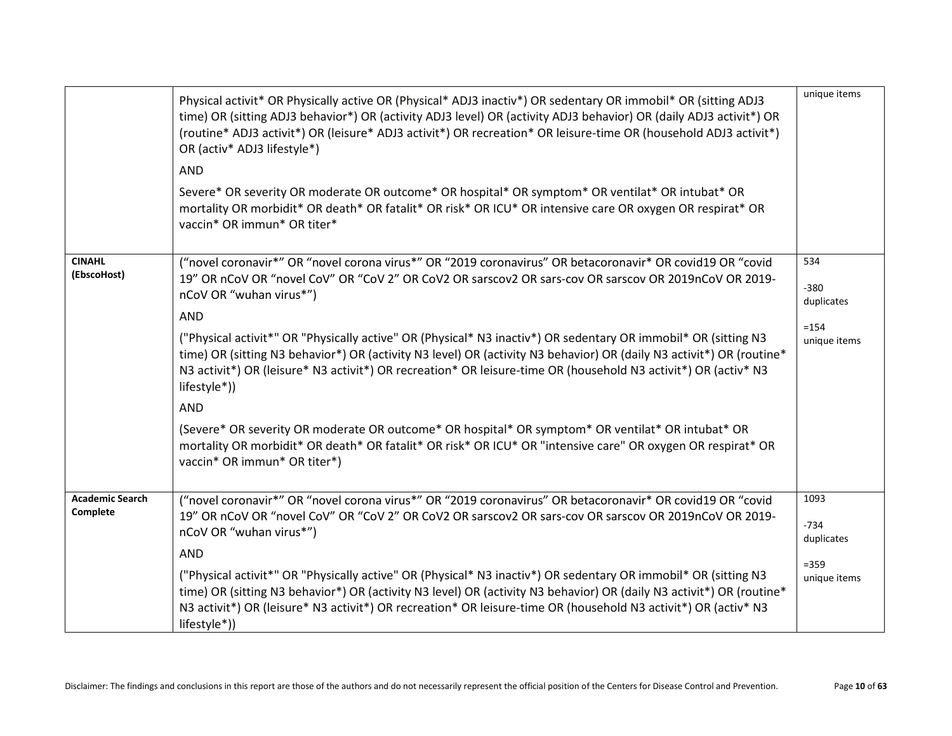|                                    | Physical activit* OR Physically active OR (Physical* ADJ3 inactiv*) OR sedentary OR immobil* OR (sitting ADJ3<br>time) OR (sitting ADJ3 behavior*) OR (activity ADJ3 level) OR (activity ADJ3 behavior) OR (daily ADJ3 activit*) OR<br>(routine* ADJ3 activit*) OR (leisure* ADJ3 activit*) OR recreation* OR leisure-time OR (household ADJ3 activit*)<br>OR (activ* ADJ3 lifestyle*)<br><b>AND</b><br>Severe* OR severity OR moderate OR outcome* OR hospital* OR symptom* OR ventilat* OR intubat* OR<br>mortality OR morbidit* OR death* OR fatalit* OR risk* OR ICU* OR intensive care OR oxygen OR respirat* OR<br>vaccin* OR immun* OR titer*                                                                                                                                                                                                                                                      | unique items                                            |
|------------------------------------|-----------------------------------------------------------------------------------------------------------------------------------------------------------------------------------------------------------------------------------------------------------------------------------------------------------------------------------------------------------------------------------------------------------------------------------------------------------------------------------------------------------------------------------------------------------------------------------------------------------------------------------------------------------------------------------------------------------------------------------------------------------------------------------------------------------------------------------------------------------------------------------------------------------|---------------------------------------------------------|
| <b>CINAHL</b><br>(EbscoHost)       | ("novel coronavir*" OR "novel corona virus*" OR "2019 coronavirus" OR betacoronavir* OR covid19 OR "covid<br>19" OR nCoV OR "novel CoV" OR "CoV 2" OR CoV2 OR sarscov2 OR sars-cov OR sarscov OR 2019nCoV OR 2019-<br>nCoV OR "wuhan virus*")<br><b>AND</b><br>("Physical activit*" OR "Physically active" OR (Physical* N3 inactiv*) OR sedentary OR immobil* OR (sitting N3<br>time) OR (sitting N3 behavior*) OR (activity N3 level) OR (activity N3 behavior) OR (daily N3 activit*) OR (routine*<br>N3 activit*) OR (leisure* N3 activit*) OR recreation* OR leisure-time OR (household N3 activit*) OR (activ* N3<br>lifestyle*))<br><b>AND</b><br>(Severe* OR severity OR moderate OR outcome* OR hospital* OR symptom* OR ventilat* OR intubat* OR<br>mortality OR morbidit* OR death* OR fatalit* OR risk* OR ICU* OR "intensive care" OR oxygen OR respirat* OR<br>vaccin* OR immun* OR titer*) | 534<br>$-380$<br>duplicates<br>$= 154$<br>unique items  |
| <b>Academic Search</b><br>Complete | ("novel coronavir*" OR "novel corona virus*" OR "2019 coronavirus" OR betacoronavir* OR covid19 OR "covid<br>19" OR nCoV OR "novel CoV" OR "CoV 2" OR CoV2 OR sarscov2 OR sars-cov OR sarscov OR 2019nCoV OR 2019-<br>nCoV OR "wuhan virus*")<br><b>AND</b><br>("Physical activit*" OR "Physically active" OR (Physical* N3 inactiv*) OR sedentary OR immobil* OR (sitting N3<br>time) OR (sitting N3 behavior*) OR (activity N3 level) OR (activity N3 behavior) OR (daily N3 activit*) OR (routine*<br>N3 activit*) OR (leisure* N3 activit*) OR recreation* OR leisure-time OR (household N3 activit*) OR (activ* N3<br>lifestyle*))                                                                                                                                                                                                                                                                   | 1093<br>$-734$<br>duplicates<br>$= 359$<br>unique items |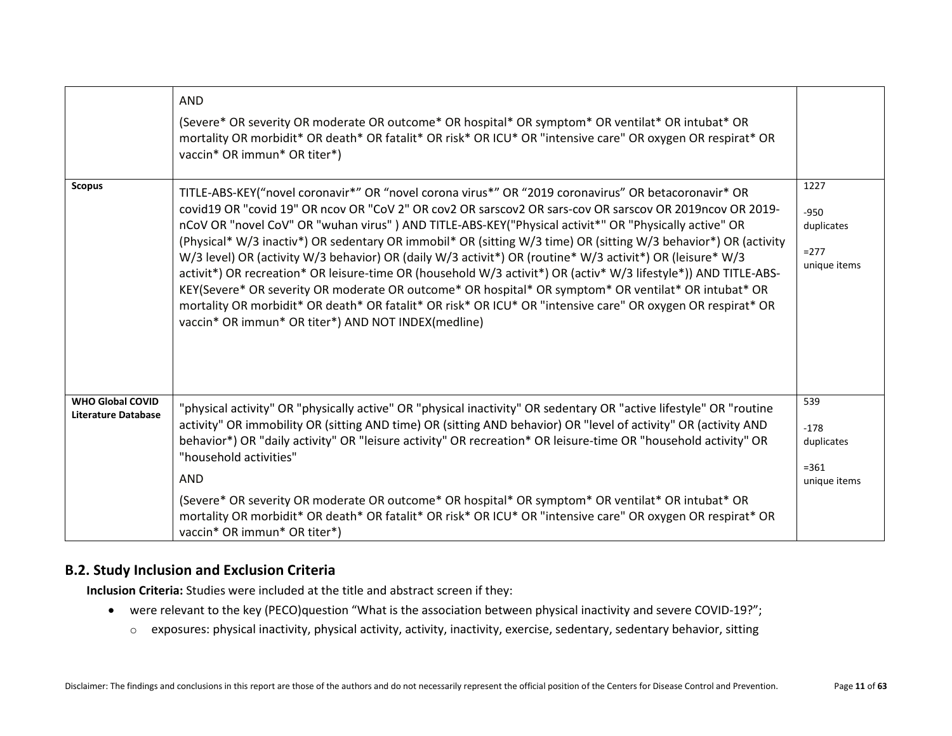|                                                       | <b>AND</b><br>(Severe* OR severity OR moderate OR outcome* OR hospital* OR symptom* OR ventilat* OR intubat* OR<br>mortality OR morbidit* OR death* OR fatalit* OR risk* OR ICU* OR "intensive care" OR oxygen OR respirat* OR<br>vaccin* OR immun* OR titer*)                                                                                                                                                                                                                                                                                                                                                                                                                                                                                                                                                                                                                                                                                              |                                                         |
|-------------------------------------------------------|-------------------------------------------------------------------------------------------------------------------------------------------------------------------------------------------------------------------------------------------------------------------------------------------------------------------------------------------------------------------------------------------------------------------------------------------------------------------------------------------------------------------------------------------------------------------------------------------------------------------------------------------------------------------------------------------------------------------------------------------------------------------------------------------------------------------------------------------------------------------------------------------------------------------------------------------------------------|---------------------------------------------------------|
| <b>Scopus</b>                                         | TITLE-ABS-KEY("novel coronavir*" OR "novel corona virus*" OR "2019 coronavirus" OR betacoronavir* OR<br>covid19 OR "covid 19" OR ncov OR "CoV 2" OR cov2 OR sarscov2 OR sars-cov OR sarscov OR 2019ncov OR 2019-<br>nCoV OR "novel CoV" OR "wuhan virus" ) AND TITLE-ABS-KEY("Physical activit*" OR "Physically active" OR<br>(Physical* W/3 inactiv*) OR sedentary OR immobil* OR (sitting W/3 time) OR (sitting W/3 behavior*) OR (activity<br>W/3 level) OR (activity W/3 behavior) OR (daily W/3 activit*) OR (routine* W/3 activit*) OR (leisure* W/3<br>activit*) OR recreation* OR leisure-time OR (household W/3 activit*) OR (activ* W/3 lifestyle*)) AND TITLE-ABS-<br>KEY(Severe* OR severity OR moderate OR outcome* OR hospital* OR symptom* OR ventilat* OR intubat* OR<br>mortality OR morbidit* OR death* OR fatalit* OR risk* OR ICU* OR "intensive care" OR oxygen OR respirat* OR<br>vaccin* OR immun* OR titer*) AND NOT INDEX(medline) | 1227<br>$-950$<br>duplicates<br>$= 277$<br>unique items |
| <b>WHO Global COVID</b><br><b>Literature Database</b> | "physical activity" OR "physically active" OR "physical inactivity" OR sedentary OR "active lifestyle" OR "routine<br>activity" OR immobility OR (sitting AND time) OR (sitting AND behavior) OR "level of activity" OR (activity AND<br>behavior*) OR "daily activity" OR "leisure activity" OR recreation* OR leisure-time OR "household activity" OR<br>"household activities"<br><b>AND</b><br>(Severe* OR severity OR moderate OR outcome* OR hospital* OR symptom* OR ventilat* OR intubat* OR<br>mortality OR morbidit* OR death* OR fatalit* OR risk* OR ICU* OR "intensive care" OR oxygen OR respirat* OR<br>vaccin* OR immun* OR titer*)                                                                                                                                                                                                                                                                                                         | 539<br>$-178$<br>duplicates<br>$= 361$<br>unique items  |

## <span id="page-10-0"></span>**B.2. Study Inclusion and Exclusion Criteria**

**Inclusion Criteria:** Studies were included at the title and abstract screen if they:

- were relevant to the key (PECO)question "What is the association between physical inactivity and severe COVID-19?";
	- o exposures: physical inactivity, physical activity, activity, inactivity, exercise, sedentary, sedentary behavior, sitting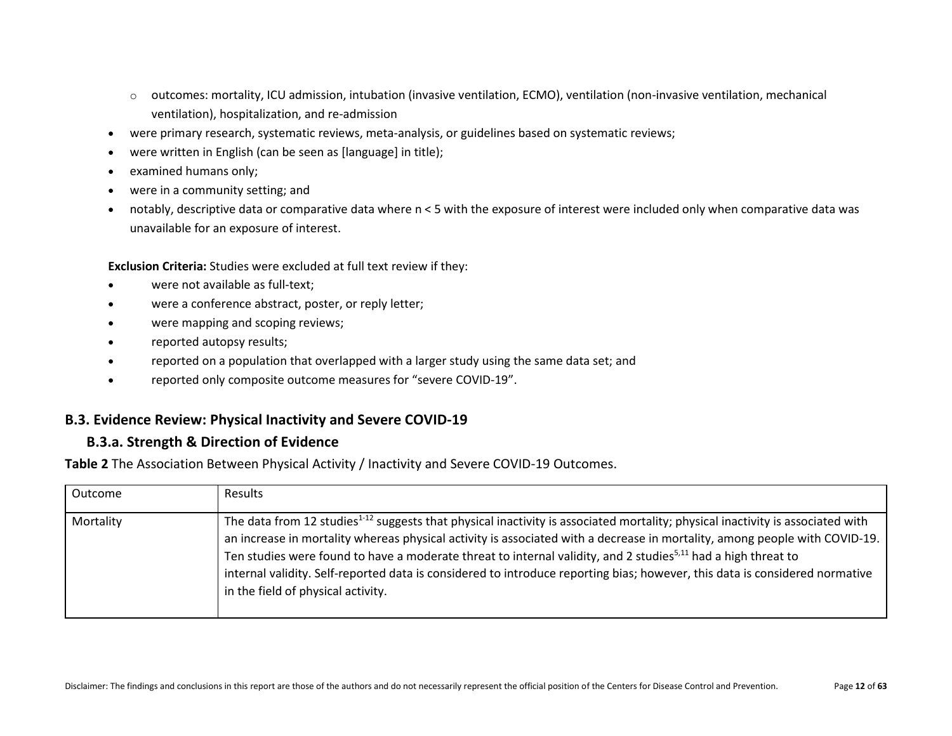- $\circ$  outcomes: mortality, ICU admission, intubation (invasive ventilation, ECMO), ventilation (non-invasive ventilation, mechanical ventilation), hospitalization, and re-admission
- were primary research, systematic reviews, meta-analysis, or guidelines based on systematic reviews;
- were written in English (can be seen as [language] in title);
- examined humans only;
- were in a community setting; and
- notably, descriptive data or comparative data where n < 5 with the exposure of interest were included only when comparative data was unavailable for an exposure of interest.

**Exclusion Criteria:** Studies were excluded at full text review if they:

- were not available as full-text;
- were a conference abstract, poster, or reply letter;
- were mapping and scoping reviews;
- reported autopsy results;
- reported on a population that overlapped with a larger study using the same data set; and
- reported only composite outcome measures for "severe COVID-19".

#### <span id="page-11-1"></span><span id="page-11-0"></span>**B.3. Evidence Review: Physical Inactivity and Severe COVID-19**

#### **B.3.a. Strength & Direction of Evidence**

<span id="page-11-2"></span>**Table 2** The Association Between Physical Activity / Inactivity and Severe COVID-19 Outcomes.

| Outcome   | Results                                                                                                                                                                                                                                                                                                                                                                                                                                                                                                                                                                    |
|-----------|----------------------------------------------------------------------------------------------------------------------------------------------------------------------------------------------------------------------------------------------------------------------------------------------------------------------------------------------------------------------------------------------------------------------------------------------------------------------------------------------------------------------------------------------------------------------------|
| Mortality | The data from 12 studies <sup>1-12</sup> suggests that physical inactivity is associated mortality; physical inactivity is associated with<br>an increase in mortality whereas physical activity is associated with a decrease in mortality, among people with COVID-19.<br>Ten studies were found to have a moderate threat to internal validity, and 2 studies <sup>5,11</sup> had a high threat to<br>internal validity. Self-reported data is considered to introduce reporting bias; however, this data is considered normative<br>in the field of physical activity. |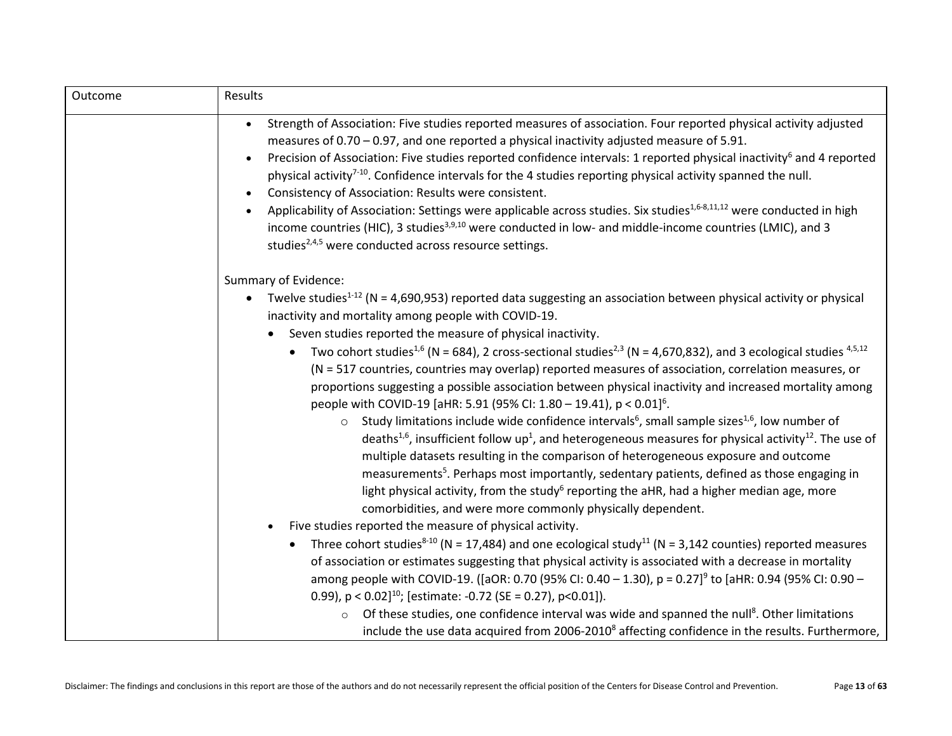| Outcome | Results                                                                                                                                                                                                                                                                                                                                                                                                                                                                                                                                                                                                                                                                                                                                                                                                                                                                                             |
|---------|-----------------------------------------------------------------------------------------------------------------------------------------------------------------------------------------------------------------------------------------------------------------------------------------------------------------------------------------------------------------------------------------------------------------------------------------------------------------------------------------------------------------------------------------------------------------------------------------------------------------------------------------------------------------------------------------------------------------------------------------------------------------------------------------------------------------------------------------------------------------------------------------------------|
|         | Strength of Association: Five studies reported measures of association. Four reported physical activity adjusted<br>measures of $0.70 - 0.97$ , and one reported a physical inactivity adjusted measure of 5.91.<br>Precision of Association: Five studies reported confidence intervals: 1 reported physical inactivity <sup>6</sup> and 4 reported<br>$\bullet$<br>physical activity <sup>7-10</sup> . Confidence intervals for the 4 studies reporting physical activity spanned the null.<br>Consistency of Association: Results were consistent.<br>$\bullet$<br>Applicability of Association: Settings were applicable across studies. Six studies <sup>1,6-8,11,12</sup> were conducted in high<br>income countries (HIC), 3 studies <sup>3,9,10</sup> were conducted in low- and middle-income countries (LMIC), and 3<br>studies <sup>2,4,5</sup> were conducted across resource settings. |
|         | Summary of Evidence:                                                                                                                                                                                                                                                                                                                                                                                                                                                                                                                                                                                                                                                                                                                                                                                                                                                                                |
|         | Twelve studies <sup>1-12</sup> (N = 4,690,953) reported data suggesting an association between physical activity or physical<br>inactivity and mortality among people with COVID-19.                                                                                                                                                                                                                                                                                                                                                                                                                                                                                                                                                                                                                                                                                                                |
|         | Seven studies reported the measure of physical inactivity.                                                                                                                                                                                                                                                                                                                                                                                                                                                                                                                                                                                                                                                                                                                                                                                                                                          |
|         | Two cohort studies <sup>1,6</sup> (N = 684), 2 cross-sectional studies <sup>2,3</sup> (N = 4,670,832), and 3 ecological studies <sup>4,5,12</sup><br>(N = 517 countries, countries may overlap) reported measures of association, correlation measures, or<br>proportions suggesting a possible association between physical inactivity and increased mortality among<br>people with COVID-19 [aHR: 5.91 (95% CI: 1.80 - 19.41), p < 0.01] <sup>6</sup> .                                                                                                                                                                                                                                                                                                                                                                                                                                           |
|         | Study limitations include wide confidence intervals <sup>6</sup> , small sample sizes <sup>1,6</sup> , low number of<br>$\circ$<br>deaths <sup>1,6</sup> , insufficient follow up <sup>1</sup> , and heterogeneous measures for physical activity <sup>12</sup> . The use of<br>multiple datasets resulting in the comparison of heterogeneous exposure and outcome<br>measurements <sup>5</sup> . Perhaps most importantly, sedentary patients, defined as those engaging in<br>light physical activity, from the study <sup>6</sup> reporting the aHR, had a higher median age, more<br>comorbidities, and were more commonly physically dependent.                                                                                                                                                                                                                                               |
|         | Five studies reported the measure of physical activity.<br>$\bullet$                                                                                                                                                                                                                                                                                                                                                                                                                                                                                                                                                                                                                                                                                                                                                                                                                                |
|         | Three cohort studies <sup>8-10</sup> (N = 17,484) and one ecological study <sup>11</sup> (N = 3,142 counties) reported measures<br>of association or estimates suggesting that physical activity is associated with a decrease in mortality<br>among people with COVID-19. ([aOR: 0.70 (95% CI: 0.40 - 1.30), p = 0.27] <sup>9</sup> to [aHR: 0.94 (95% CI: 0.90 -                                                                                                                                                                                                                                                                                                                                                                                                                                                                                                                                  |
|         | 0.99), $p < 0.02$ ] <sup>10</sup> ; [estimate: -0.72 (SE = 0.27), $p < 0.01$ ]).                                                                                                                                                                                                                                                                                                                                                                                                                                                                                                                                                                                                                                                                                                                                                                                                                    |
|         | Of these studies, one confidence interval was wide and spanned the null <sup>8</sup> . Other limitations<br>include the use data acquired from 2006-2010 <sup>8</sup> affecting confidence in the results. Furthermore,                                                                                                                                                                                                                                                                                                                                                                                                                                                                                                                                                                                                                                                                             |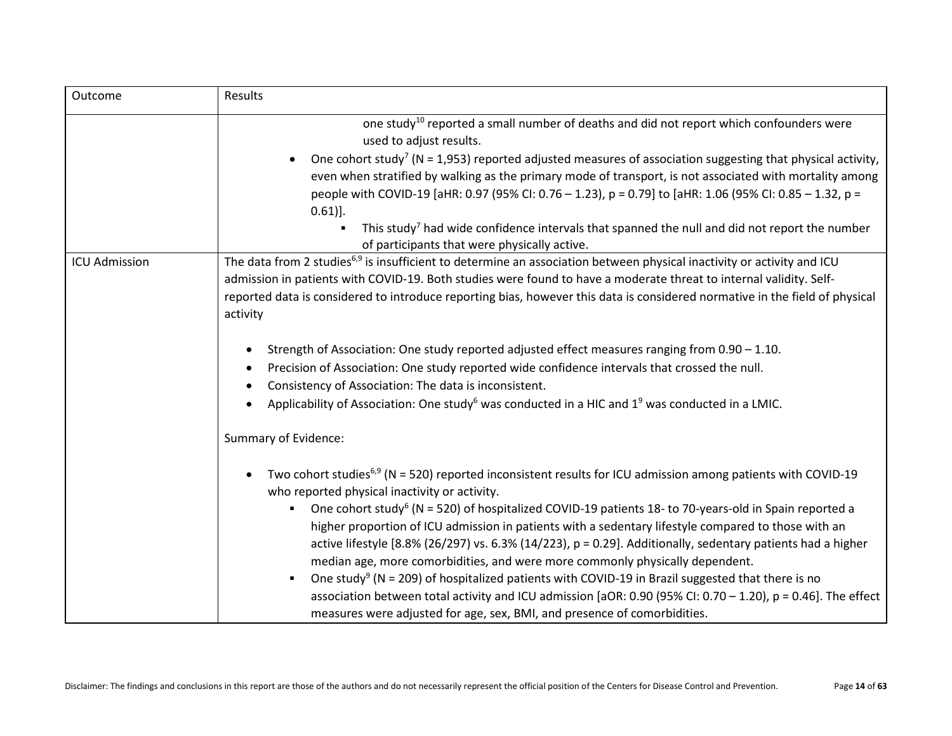| Outcome              | <b>Results</b>                                                                                                                                                                                                                                                                                                                                                                                                                                                                                                                                                                                                                                                                                                                                                                                                                                                                                                                                                |  |
|----------------------|---------------------------------------------------------------------------------------------------------------------------------------------------------------------------------------------------------------------------------------------------------------------------------------------------------------------------------------------------------------------------------------------------------------------------------------------------------------------------------------------------------------------------------------------------------------------------------------------------------------------------------------------------------------------------------------------------------------------------------------------------------------------------------------------------------------------------------------------------------------------------------------------------------------------------------------------------------------|--|
|                      | one study <sup>10</sup> reported a small number of deaths and did not report which confounders were<br>used to adjust results.<br>One cohort study <sup>7</sup> ( $N = 1,953$ ) reported adjusted measures of association suggesting that physical activity,<br>even when stratified by walking as the primary mode of transport, is not associated with mortality among<br>people with COVID-19 [aHR: 0.97 (95% CI: 0.76 - 1.23), p = 0.79] to [aHR: 1.06 (95% CI: 0.85 - 1.32, p =<br>$0.61$ ].<br>This study <sup>7</sup> had wide confidence intervals that spanned the null and did not report the number<br>of participants that were physically active.                                                                                                                                                                                                                                                                                                |  |
| <b>ICU Admission</b> | The data from 2 studies <sup>6,9</sup> is insufficient to determine an association between physical inactivity or activity and ICU<br>admission in patients with COVID-19. Both studies were found to have a moderate threat to internal validity. Self-<br>reported data is considered to introduce reporting bias, however this data is considered normative in the field of physical<br>activity<br>Strength of Association: One study reported adjusted effect measures ranging from 0.90 - 1.10.<br>$\bullet$<br>Precision of Association: One study reported wide confidence intervals that crossed the null.<br>Consistency of Association: The data is inconsistent.<br>Applicability of Association: One study <sup>6</sup> was conducted in a HIC and 1 <sup>9</sup> was conducted in a LMIC.                                                                                                                                                       |  |
|                      | Summary of Evidence:<br>Two cohort studies <sup>6,9</sup> (N = 520) reported inconsistent results for ICU admission among patients with COVID-19<br>who reported physical inactivity or activity.<br>One cohort study <sup>6</sup> (N = 520) of hospitalized COVID-19 patients 18- to 70-years-old in Spain reported a<br>higher proportion of ICU admission in patients with a sedentary lifestyle compared to those with an<br>active lifestyle [8.8% (26/297) vs. 6.3% (14/223), $p = 0.29$ ]. Additionally, sedentary patients had a higher<br>median age, more comorbidities, and were more commonly physically dependent.<br>One study <sup>9</sup> (N = 209) of hospitalized patients with COVID-19 in Brazil suggested that there is no<br>$\blacksquare$<br>association between total activity and ICU admission [aOR: 0.90 (95% CI: 0.70 - 1.20), p = 0.46]. The effect<br>measures were adjusted for age, sex, BMI, and presence of comorbidities. |  |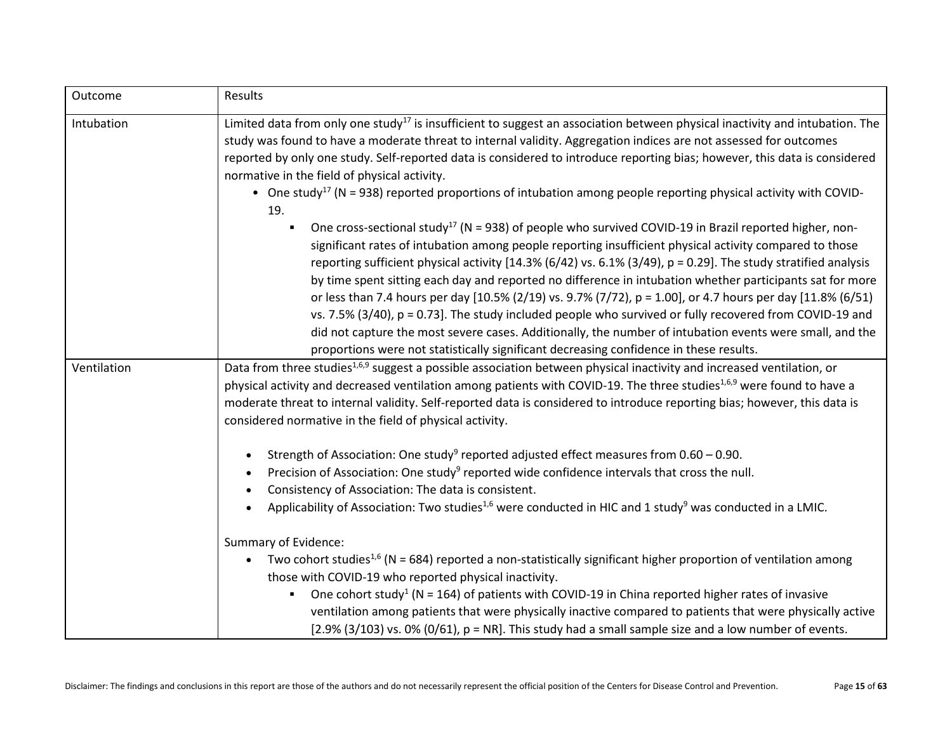| Outcome     | Results                                                                                                                                                                                                                                                                                                                                                                                                                                                                                                                                                                                                                                                                                                                                                                                                                                                                                           |  |  |
|-------------|---------------------------------------------------------------------------------------------------------------------------------------------------------------------------------------------------------------------------------------------------------------------------------------------------------------------------------------------------------------------------------------------------------------------------------------------------------------------------------------------------------------------------------------------------------------------------------------------------------------------------------------------------------------------------------------------------------------------------------------------------------------------------------------------------------------------------------------------------------------------------------------------------|--|--|
| Intubation  | Limited data from only one study <sup>17</sup> is insufficient to suggest an association between physical inactivity and intubation. The<br>study was found to have a moderate threat to internal validity. Aggregation indices are not assessed for outcomes                                                                                                                                                                                                                                                                                                                                                                                                                                                                                                                                                                                                                                     |  |  |
|             | reported by only one study. Self-reported data is considered to introduce reporting bias; however, this data is considered<br>normative in the field of physical activity.                                                                                                                                                                                                                                                                                                                                                                                                                                                                                                                                                                                                                                                                                                                        |  |  |
|             | • One study <sup>17</sup> (N = 938) reported proportions of intubation among people reporting physical activity with COVID-<br>19.                                                                                                                                                                                                                                                                                                                                                                                                                                                                                                                                                                                                                                                                                                                                                                |  |  |
|             | One cross-sectional study <sup>17</sup> (N = 938) of people who survived COVID-19 in Brazil reported higher, non-<br>significant rates of intubation among people reporting insufficient physical activity compared to those<br>reporting sufficient physical activity $[14.3\% (6/42)$ vs. 6.1% (3/49), p = 0.29]. The study stratified analysis<br>by time spent sitting each day and reported no difference in intubation whether participants sat for more<br>or less than 7.4 hours per day [10.5% (2/19) vs. 9.7% (7/72), p = 1.00], or 4.7 hours per day [11.8% (6/51)<br>vs. 7.5% (3/40), $p = 0.73$ ]. The study included people who survived or fully recovered from COVID-19 and<br>did not capture the most severe cases. Additionally, the number of intubation events were small, and the<br>proportions were not statistically significant decreasing confidence in these results. |  |  |
| Ventilation | Data from three studies <sup>1,6,9</sup> suggest a possible association between physical inactivity and increased ventilation, or                                                                                                                                                                                                                                                                                                                                                                                                                                                                                                                                                                                                                                                                                                                                                                 |  |  |
|             | physical activity and decreased ventilation among patients with COVID-19. The three studies <sup>1,6,9</sup> were found to have a                                                                                                                                                                                                                                                                                                                                                                                                                                                                                                                                                                                                                                                                                                                                                                 |  |  |
|             | moderate threat to internal validity. Self-reported data is considered to introduce reporting bias; however, this data is                                                                                                                                                                                                                                                                                                                                                                                                                                                                                                                                                                                                                                                                                                                                                                         |  |  |
|             | considered normative in the field of physical activity.                                                                                                                                                                                                                                                                                                                                                                                                                                                                                                                                                                                                                                                                                                                                                                                                                                           |  |  |
|             | Strength of Association: One study <sup>9</sup> reported adjusted effect measures from $0.60 - 0.90$ .                                                                                                                                                                                                                                                                                                                                                                                                                                                                                                                                                                                                                                                                                                                                                                                            |  |  |
|             | Precision of Association: One study <sup>9</sup> reported wide confidence intervals that cross the null.                                                                                                                                                                                                                                                                                                                                                                                                                                                                                                                                                                                                                                                                                                                                                                                          |  |  |
|             | Consistency of Association: The data is consistent.                                                                                                                                                                                                                                                                                                                                                                                                                                                                                                                                                                                                                                                                                                                                                                                                                                               |  |  |
|             | Applicability of Association: Two studies <sup>1,6</sup> were conducted in HIC and 1 study <sup>9</sup> was conducted in a LMIC.                                                                                                                                                                                                                                                                                                                                                                                                                                                                                                                                                                                                                                                                                                                                                                  |  |  |
|             | Summary of Evidence:                                                                                                                                                                                                                                                                                                                                                                                                                                                                                                                                                                                                                                                                                                                                                                                                                                                                              |  |  |
|             | Two cohort studies <sup>1,6</sup> (N = 684) reported a non-statistically significant higher proportion of ventilation among<br>those with COVID-19 who reported physical inactivity.                                                                                                                                                                                                                                                                                                                                                                                                                                                                                                                                                                                                                                                                                                              |  |  |
|             | One cohort study <sup>1</sup> (N = 164) of patients with COVID-19 in China reported higher rates of invasive<br>ventilation among patients that were physically inactive compared to patients that were physically active                                                                                                                                                                                                                                                                                                                                                                                                                                                                                                                                                                                                                                                                         |  |  |
|             | $[2.9\% (3/103)$ vs. 0% $(0/61)$ , $p = NR$ ]. This study had a small sample size and a low number of events.                                                                                                                                                                                                                                                                                                                                                                                                                                                                                                                                                                                                                                                                                                                                                                                     |  |  |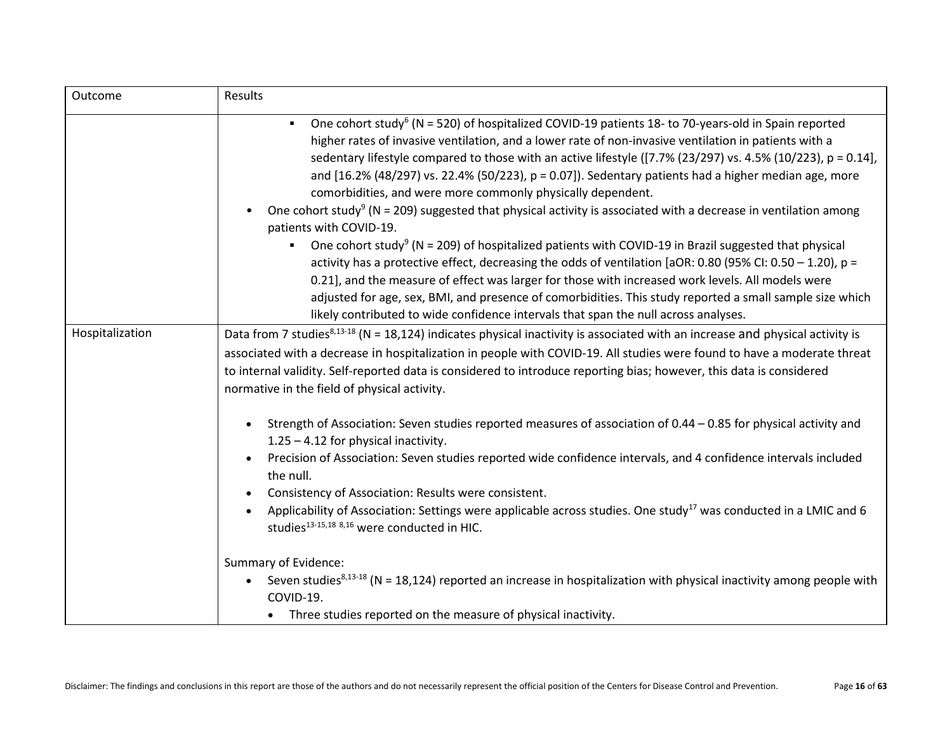| Outcome         | Results                                                                                                                                                                                                                                                                                                                                                                                                                                                                                                                                                                                                                                                                                                                                                                                                                                                                                                                                                                                                                                                                                                                           |
|-----------------|-----------------------------------------------------------------------------------------------------------------------------------------------------------------------------------------------------------------------------------------------------------------------------------------------------------------------------------------------------------------------------------------------------------------------------------------------------------------------------------------------------------------------------------------------------------------------------------------------------------------------------------------------------------------------------------------------------------------------------------------------------------------------------------------------------------------------------------------------------------------------------------------------------------------------------------------------------------------------------------------------------------------------------------------------------------------------------------------------------------------------------------|
|                 | One cohort study <sup>6</sup> (N = 520) of hospitalized COVID-19 patients 18- to 70-years-old in Spain reported<br>higher rates of invasive ventilation, and a lower rate of non-invasive ventilation in patients with a<br>sedentary lifestyle compared to those with an active lifestyle ([7.7% (23/297) vs. 4.5% (10/223), p = 0.14],<br>and $[16.2% (48/297)$ vs. 22.4% (50/223), $p = 0.07$ ]). Sedentary patients had a higher median age, more<br>comorbidities, and were more commonly physically dependent.<br>One cohort study <sup>9</sup> (N = 209) suggested that physical activity is associated with a decrease in ventilation among<br>patients with COVID-19.<br>One cohort study <sup>9</sup> (N = 209) of hospitalized patients with COVID-19 in Brazil suggested that physical<br>activity has a protective effect, decreasing the odds of ventilation [aOR: 0.80 (95% CI: 0.50 - 1.20), p =<br>0.21], and the measure of effect was larger for those with increased work levels. All models were<br>adjusted for age, sex, BMI, and presence of comorbidities. This study reported a small sample size which |
|                 | likely contributed to wide confidence intervals that span the null across analyses.                                                                                                                                                                                                                                                                                                                                                                                                                                                                                                                                                                                                                                                                                                                                                                                                                                                                                                                                                                                                                                               |
| Hospitalization | Data from 7 studies <sup>8,13-18</sup> (N = 18,124) indicates physical inactivity is associated with an increase and physical activity is<br>associated with a decrease in hospitalization in people with COVID-19. All studies were found to have a moderate threat<br>to internal validity. Self-reported data is considered to introduce reporting bias; however, this data is considered<br>normative in the field of physical activity.                                                                                                                                                                                                                                                                                                                                                                                                                                                                                                                                                                                                                                                                                      |
|                 | Strength of Association: Seven studies reported measures of association of 0.44 - 0.85 for physical activity and<br>$1.25 - 4.12$ for physical inactivity.<br>Precision of Association: Seven studies reported wide confidence intervals, and 4 confidence intervals included<br>$\bullet$<br>the null.<br>Consistency of Association: Results were consistent.<br>$\bullet$<br>Applicability of Association: Settings were applicable across studies. One study <sup>17</sup> was conducted in a LMIC and 6<br>studies <sup>13-15,18</sup> 8,16 were conducted in HIC.                                                                                                                                                                                                                                                                                                                                                                                                                                                                                                                                                           |
|                 | Summary of Evidence:<br>Seven studies <sup>8,13-18</sup> (N = 18,124) reported an increase in hospitalization with physical inactivity among people with<br>$\bullet$<br>COVID-19.<br>Three studies reported on the measure of physical inactivity.                                                                                                                                                                                                                                                                                                                                                                                                                                                                                                                                                                                                                                                                                                                                                                                                                                                                               |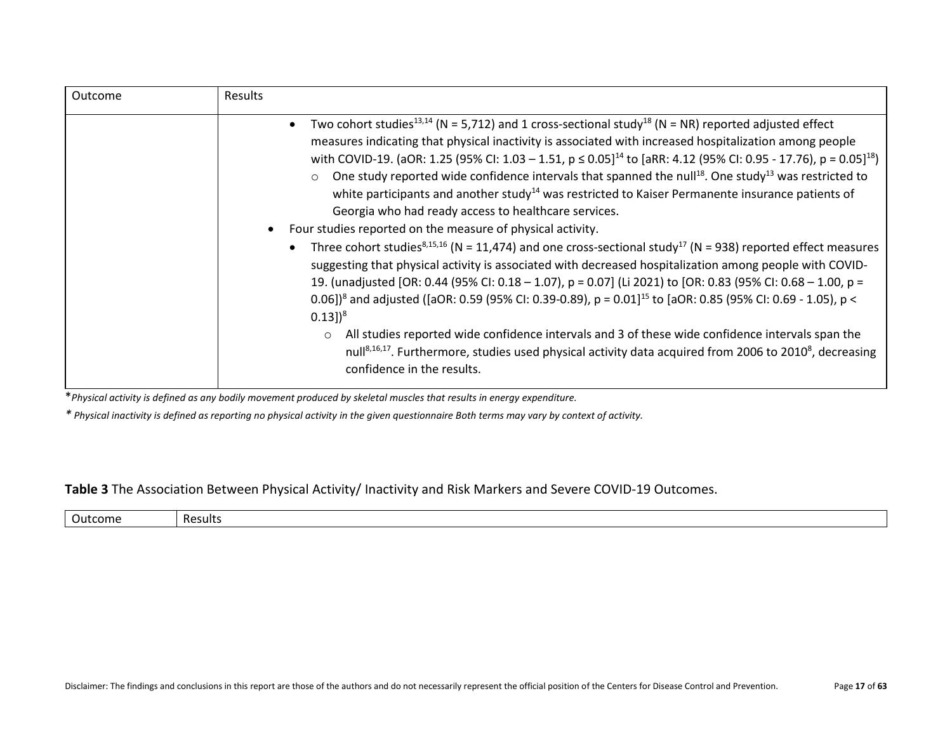| Outcome | <b>Results</b>                                                                                                                                                                                                                                                                                                                                                                                                                                                                                                                                                                                                                                                                                                                                                                                                                                                                                                                                                                                                                                                                                                                                                                                                                                                                                                                                                                                                                                                                                                                                                                                          |
|---------|---------------------------------------------------------------------------------------------------------------------------------------------------------------------------------------------------------------------------------------------------------------------------------------------------------------------------------------------------------------------------------------------------------------------------------------------------------------------------------------------------------------------------------------------------------------------------------------------------------------------------------------------------------------------------------------------------------------------------------------------------------------------------------------------------------------------------------------------------------------------------------------------------------------------------------------------------------------------------------------------------------------------------------------------------------------------------------------------------------------------------------------------------------------------------------------------------------------------------------------------------------------------------------------------------------------------------------------------------------------------------------------------------------------------------------------------------------------------------------------------------------------------------------------------------------------------------------------------------------|
|         | Two cohort studies <sup>13,14</sup> (N = 5,712) and 1 cross-sectional study <sup>18</sup> (N = NR) reported adjusted effect<br>$\bullet$<br>measures indicating that physical inactivity is associated with increased hospitalization among people<br>with COVID-19. (aOR: 1.25 (95% CI: 1.03 - 1.51, $p \le 0.05$ ] <sup>14</sup> to [aRR: 4.12 (95% CI: 0.95 - 17.76), $p = 0.05$ ] <sup>18</sup> )<br>$\circ$ One study reported wide confidence intervals that spanned the null <sup>18</sup> . One study <sup>13</sup> was restricted to<br>white participants and another study <sup>14</sup> was restricted to Kaiser Permanente insurance patients of<br>Georgia who had ready access to healthcare services.<br>Four studies reported on the measure of physical activity.<br>Three cohort studies <sup>8,15,16</sup> (N = 11,474) and one cross-sectional study <sup>17</sup> (N = 938) reported effect measures<br>$\bullet$<br>suggesting that physical activity is associated with decreased hospitalization among people with COVID-<br>19. (unadjusted [OR: 0.44 (95% CI: 0.18 - 1.07), p = 0.07] (Li 2021) to [OR: 0.83 (95% CI: 0.68 - 1.00, p =<br>0.06]) <sup>8</sup> and adjusted ([aOR: 0.59 (95% CI: 0.39-0.89), p = 0.01] <sup>15</sup> to [aOR: 0.85 (95% CI: 0.69 - 1.05), p <<br>$(0.13)^{8}$<br>All studies reported wide confidence intervals and 3 of these wide confidence intervals span the<br>$\circ$<br>null <sup>8,16,17</sup> . Furthermore, studies used physical activity data acquired from 2006 to 2010 <sup>8</sup> , decreasing<br>confidence in the results. |

\**Physical activity is defined as any bodily movement produced by skeletal muscles that results in energy expenditure.*

*\* Physical inactivity is defined as reporting no physical activity in the given questionnaire Both terms may vary by context of activity.* 

#### <span id="page-16-0"></span>**Table 3** The Association Between Physical Activity/ Inactivity and Risk Markers and Severe COVID-19 Outcomes.

| . .<br>come | Results |
|-------------|---------|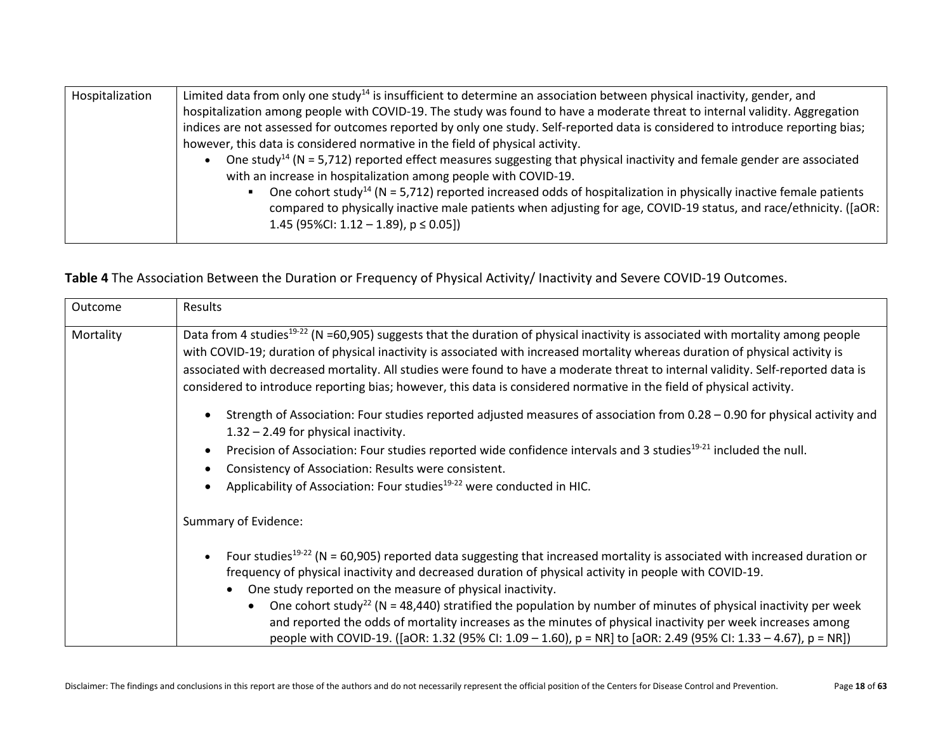| Hospitalization | Limited data from only one study <sup>14</sup> is insufficient to determine an association between physical inactivity, gender, and   |
|-----------------|---------------------------------------------------------------------------------------------------------------------------------------|
|                 | hospitalization among people with COVID-19. The study was found to have a moderate threat to internal validity. Aggregation           |
|                 | indices are not assessed for outcomes reported by only one study. Self-reported data is considered to introduce reporting bias;       |
|                 | however, this data is considered normative in the field of physical activity.                                                         |
|                 | One study <sup>14</sup> ( $N = 5.712$ ) reported effect measures suggesting that physical inactivity and female gender are associated |
|                 | with an increase in hospitalization among people with COVID-19.                                                                       |
|                 | One cohort study <sup>14</sup> ( $N = 5.712$ ) reported increased odds of hospitalization in physically inactive female patients      |
|                 | compared to physically inactive male patients when adjusting for age, COVID-19 status, and race/ethnicity. ([aOR:                     |
|                 | 1.45 (95%CI: $1.12 - 1.89$ ), $p \le 0.05$ ])                                                                                         |
|                 |                                                                                                                                       |

### <span id="page-17-0"></span>**Table 4** The Association Between the Duration or Frequency of Physical Activity/ Inactivity and Severe COVID-19 Outcomes.

| Outcome   | Results                                                                                                                                                                                                                                                                                                                                                                                                                                                                                                                                      |  |  |
|-----------|----------------------------------------------------------------------------------------------------------------------------------------------------------------------------------------------------------------------------------------------------------------------------------------------------------------------------------------------------------------------------------------------------------------------------------------------------------------------------------------------------------------------------------------------|--|--|
| Mortality | Data from 4 studies <sup>19-22</sup> (N =60,905) suggests that the duration of physical inactivity is associated with mortality among people<br>with COVID-19; duration of physical inactivity is associated with increased mortality whereas duration of physical activity is<br>associated with decreased mortality. All studies were found to have a moderate threat to internal validity. Self-reported data is<br>considered to introduce reporting bias; however, this data is considered normative in the field of physical activity. |  |  |
|           | Strength of Association: Four studies reported adjusted measures of association from 0.28 - 0.90 for physical activity and<br>$1.32 - 2.49$ for physical inactivity.                                                                                                                                                                                                                                                                                                                                                                         |  |  |
|           | Precision of Association: Four studies reported wide confidence intervals and 3 studies <sup>19-21</sup> included the null.                                                                                                                                                                                                                                                                                                                                                                                                                  |  |  |
|           | Consistency of Association: Results were consistent.                                                                                                                                                                                                                                                                                                                                                                                                                                                                                         |  |  |
|           | Applicability of Association: Four studies <sup>19-22</sup> were conducted in HIC.                                                                                                                                                                                                                                                                                                                                                                                                                                                           |  |  |
|           | Summary of Evidence:                                                                                                                                                                                                                                                                                                                                                                                                                                                                                                                         |  |  |
|           | Four studies <sup>19-22</sup> (N = 60,905) reported data suggesting that increased mortality is associated with increased duration or<br>frequency of physical inactivity and decreased duration of physical activity in people with COVID-19.<br>One study reported on the measure of physical inactivity.                                                                                                                                                                                                                                  |  |  |
|           | One cohort study <sup>22</sup> (N = 48,440) stratified the population by number of minutes of physical inactivity per week<br>and reported the odds of mortality increases as the minutes of physical inactivity per week increases among<br>people with COVID-19. ([aOR: 1.32 (95% CI: 1.09 – 1.60), p = NR] to [aOR: 2.49 (95% CI: 1.33 – 4.67), p = NR])                                                                                                                                                                                  |  |  |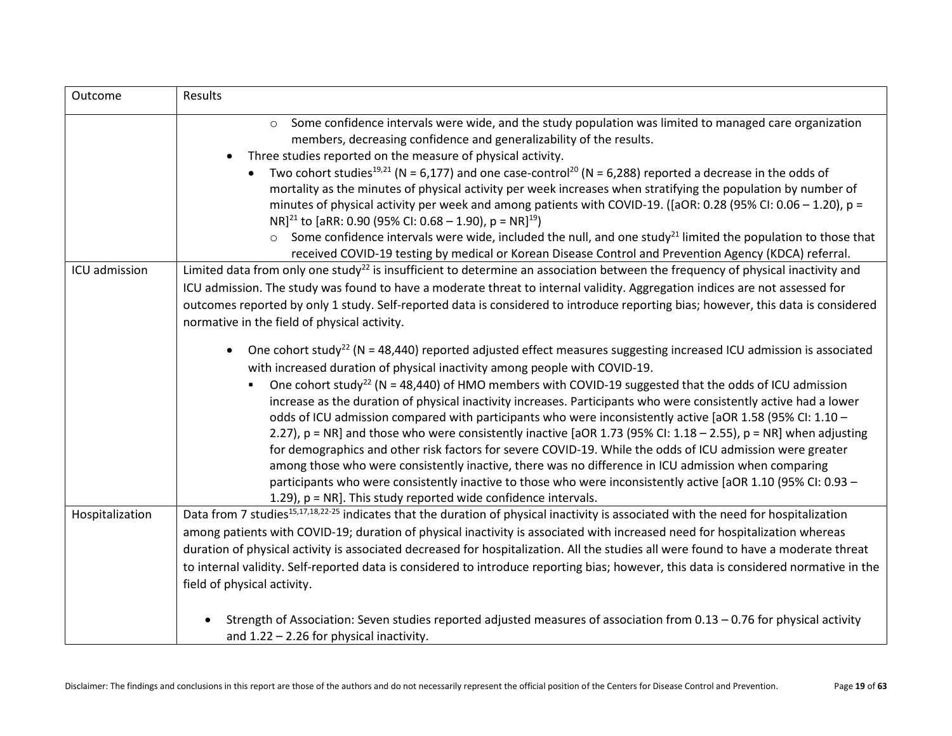| Outcome         | Results                                                                                                                                                                                                                               |
|-----------------|---------------------------------------------------------------------------------------------------------------------------------------------------------------------------------------------------------------------------------------|
|                 | Some confidence intervals were wide, and the study population was limited to managed care organization<br>$\circ$<br>members, decreasing confidence and generalizability of the results.                                              |
|                 | Three studies reported on the measure of physical activity.                                                                                                                                                                           |
|                 | Two cohort studies <sup>19,21</sup> (N = 6,177) and one case-control <sup>20</sup> (N = 6,288) reported a decrease in the odds of                                                                                                     |
|                 | mortality as the minutes of physical activity per week increases when stratifying the population by number of                                                                                                                         |
|                 | minutes of physical activity per week and among patients with COVID-19. ([aOR: 0.28 (95% CI: 0.06 - 1.20), p =<br>NR] <sup>21</sup> to [aRR: 0.90 (95% CI: 0.68 - 1.90), p = NR] <sup>19</sup> )                                      |
|                 | $\circ$ Some confidence intervals were wide, included the null, and one study <sup>21</sup> limited the population to those that                                                                                                      |
|                 | received COVID-19 testing by medical or Korean Disease Control and Prevention Agency (KDCA) referral.                                                                                                                                 |
| ICU admission   | Limited data from only one study <sup>22</sup> is insufficient to determine an association between the frequency of physical inactivity and                                                                                           |
|                 | ICU admission. The study was found to have a moderate threat to internal validity. Aggregation indices are not assessed for                                                                                                           |
|                 | outcomes reported by only 1 study. Self-reported data is considered to introduce reporting bias; however, this data is considered                                                                                                     |
|                 | normative in the field of physical activity.                                                                                                                                                                                          |
|                 | One cohort study <sup>22</sup> (N = 48,440) reported adjusted effect measures suggesting increased ICU admission is associated<br>with increased duration of physical inactivity among people with COVID-19.                          |
|                 | One cohort study <sup>22</sup> (N = 48,440) of HMO members with COVID-19 suggested that the odds of ICU admission<br>increase as the duration of physical inactivity increases. Participants who were consistently active had a lower |
|                 | odds of ICU admission compared with participants who were inconsistently active [aOR 1.58 (95% CI: 1.10 -<br>2.27), $p = NR$ ] and those who were consistently inactive [aOR 1.73 (95% CI: 1.18 - 2.55), $p = NR$ ] when adjusting    |
|                 | for demographics and other risk factors for severe COVID-19. While the odds of ICU admission were greater                                                                                                                             |
|                 | among those who were consistently inactive, there was no difference in ICU admission when comparing                                                                                                                                   |
|                 | participants who were consistently inactive to those who were inconsistently active [aOR 1.10 (95% CI: 0.93 -                                                                                                                         |
|                 | 1.29), p = NR]. This study reported wide confidence intervals.                                                                                                                                                                        |
| Hospitalization | Data from 7 studies <sup>15,17,18,22-25</sup> indicates that the duration of physical inactivity is associated with the need for hospitalization                                                                                      |
|                 | among patients with COVID-19; duration of physical inactivity is associated with increased need for hospitalization whereas                                                                                                           |
|                 | duration of physical activity is associated decreased for hospitalization. All the studies all were found to have a moderate threat                                                                                                   |
|                 | to internal validity. Self-reported data is considered to introduce reporting bias; however, this data is considered normative in the                                                                                                 |
|                 | field of physical activity.                                                                                                                                                                                                           |
|                 | Strength of Association: Seven studies reported adjusted measures of association from 0.13 - 0.76 for physical activity                                                                                                               |
|                 | and $1.22 - 2.26$ for physical inactivity.                                                                                                                                                                                            |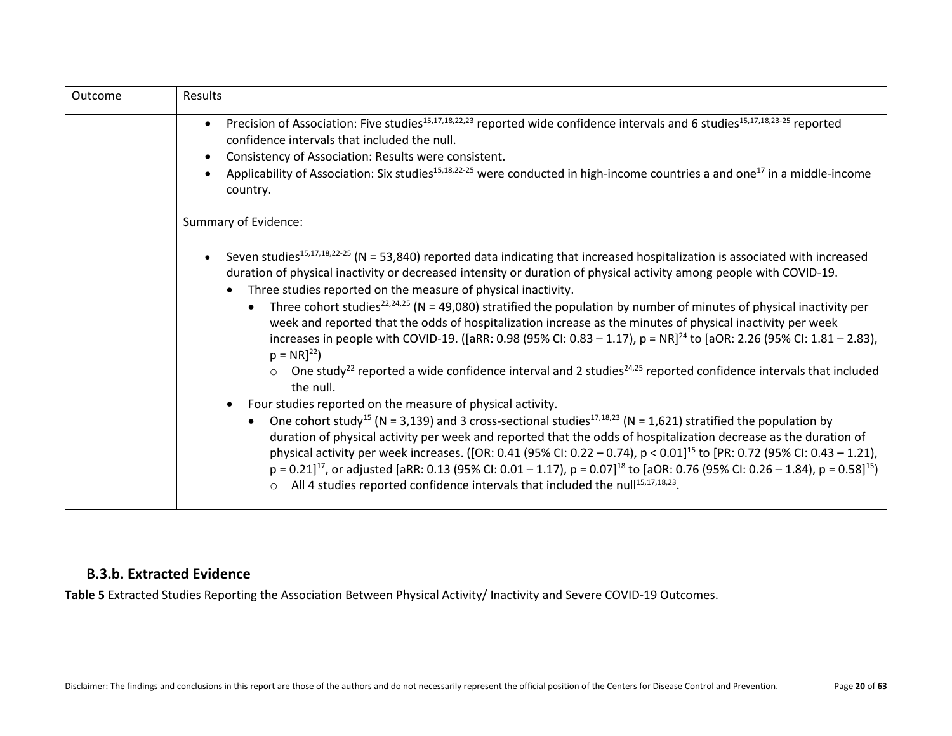| Outcome | Results                                                                                                                                                                                                                                                                                                                                                                                                                                                                                                                                                                                                                                                                                                                                                                                                                                                                                                                                                                                                                                                                                                                                                                                                                                                                                                                                                                                                                                                                                                                                                                                                                                                                             |
|---------|-------------------------------------------------------------------------------------------------------------------------------------------------------------------------------------------------------------------------------------------------------------------------------------------------------------------------------------------------------------------------------------------------------------------------------------------------------------------------------------------------------------------------------------------------------------------------------------------------------------------------------------------------------------------------------------------------------------------------------------------------------------------------------------------------------------------------------------------------------------------------------------------------------------------------------------------------------------------------------------------------------------------------------------------------------------------------------------------------------------------------------------------------------------------------------------------------------------------------------------------------------------------------------------------------------------------------------------------------------------------------------------------------------------------------------------------------------------------------------------------------------------------------------------------------------------------------------------------------------------------------------------------------------------------------------------|
|         | Precision of Association: Five studies <sup>15,17,18,22,23</sup> reported wide confidence intervals and 6 studies <sup>15,17,18,23-25</sup> reported<br>confidence intervals that included the null.<br>Consistency of Association: Results were consistent.<br>Applicability of Association: Six studies <sup>15,18,22-25</sup> were conducted in high-income countries a and one <sup>17</sup> in a middle-income<br>country.                                                                                                                                                                                                                                                                                                                                                                                                                                                                                                                                                                                                                                                                                                                                                                                                                                                                                                                                                                                                                                                                                                                                                                                                                                                     |
|         | Summary of Evidence:                                                                                                                                                                                                                                                                                                                                                                                                                                                                                                                                                                                                                                                                                                                                                                                                                                                                                                                                                                                                                                                                                                                                                                                                                                                                                                                                                                                                                                                                                                                                                                                                                                                                |
|         | Seven studies <sup>15,17,18,22-25</sup> (N = 53,840) reported data indicating that increased hospitalization is associated with increased<br>duration of physical inactivity or decreased intensity or duration of physical activity among people with COVID-19.<br>Three studies reported on the measure of physical inactivity.<br>Three cohort studies <sup>22,24,25</sup> (N = 49,080) stratified the population by number of minutes of physical inactivity per<br>$\bullet$<br>week and reported that the odds of hospitalization increase as the minutes of physical inactivity per week<br>increases in people with COVID-19. ([aRR: 0.98 (95% CI: 0.83 - 1.17), p = NR] <sup>24</sup> to [aOR: 2.26 (95% CI: 1.81 - 2.83),<br>$p = NR]^{22}$<br>One study <sup>22</sup> reported a wide confidence interval and 2 studies <sup>24,25</sup> reported confidence intervals that included<br>the null.<br>Four studies reported on the measure of physical activity.<br>One cohort study <sup>15</sup> (N = 3,139) and 3 cross-sectional studies <sup>17,18,23</sup> (N = 1,621) stratified the population by<br>$\bullet$<br>duration of physical activity per week and reported that the odds of hospitalization decrease as the duration of<br>physical activity per week increases. ([OR: 0.41 (95% CI: 0.22 - 0.74), $p < 0.01$ ] <sup>15</sup> to [PR: 0.72 (95% CI: 0.43 - 1.21),<br>$p = 0.21$ ] <sup>17</sup> , or adjusted [aRR: 0.13 (95% CI: 0.01 – 1.17), $p = 0.07$ ] <sup>18</sup> to [aOR: 0.76 (95% CI: 0.26 – 1.84), $p = 0.58$ ] <sup>15</sup> )<br>All 4 studies reported confidence intervals that included the null <sup>15,17,18,23</sup> .<br>$\circ$ |

### <span id="page-19-0"></span>**B.3.b. Extracted Evidence**

<span id="page-19-1"></span>**Table 5** Extracted Studies Reporting the Association Between Physical Activity/ Inactivity and Severe COVID-19 Outcomes.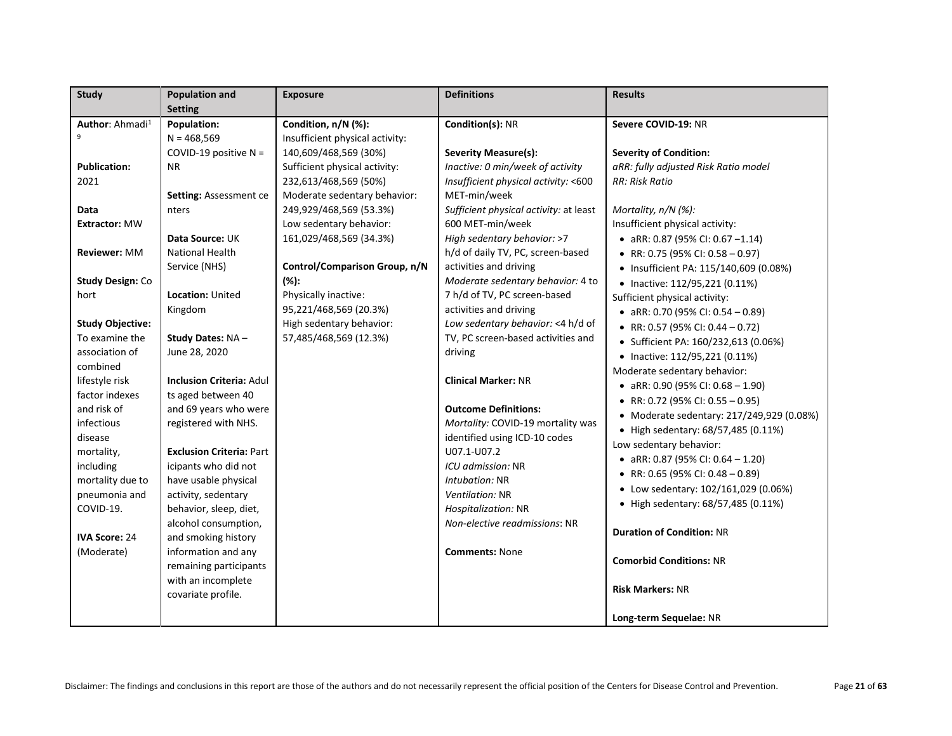| <b>Study</b>                | <b>Population and</b>           | <b>Exposure</b>                 | <b>Definitions</b>                     | <b>Results</b>                            |
|-----------------------------|---------------------------------|---------------------------------|----------------------------------------|-------------------------------------------|
|                             | <b>Setting</b>                  |                                 |                                        |                                           |
| Author: Ahmadi <sup>1</sup> | Population:                     | Condition, n/N (%):             | Condition(s): NR                       | Severe COVID-19: NR                       |
|                             | $N = 468,569$                   | Insufficient physical activity: |                                        |                                           |
|                             | COVID-19 positive $N =$         | 140,609/468,569 (30%)           | <b>Severity Measure(s):</b>            | <b>Severity of Condition:</b>             |
| <b>Publication:</b>         | ΝR                              | Sufficient physical activity:   | Inactive: 0 min/week of activity       | aRR: fully adjusted Risk Ratio model      |
| 2021                        |                                 | 232,613/468,569 (50%)           | Insufficient physical activity: <600   | RR: Risk Ratio                            |
|                             | <b>Setting: Assessment ce</b>   | Moderate sedentary behavior:    | MET-min/week                           |                                           |
| Data                        | nters                           | 249,929/468,569 (53.3%)         | Sufficient physical activity: at least | Mortality, n/N (%):                       |
| <b>Extractor: MW</b>        |                                 | Low sedentary behavior:         | 600 MET-min/week                       | Insufficient physical activity:           |
|                             | Data Source: UK                 | 161,029/468,569 (34.3%)         | High sedentary behavior: >7            | • aRR: 0.87 (95% CI: 0.67 -1.14)          |
| Reviewer: MM                | National Health                 |                                 | h/d of daily TV, PC, screen-based      | • RR: 0.75 (95% CI: 0.58 - 0.97)          |
|                             | Service (NHS)                   | Control/Comparison Group, n/N   | activities and driving                 | • Insufficient PA: 115/140,609 (0.08%)    |
| <b>Study Design: Co</b>     |                                 | $(\%):$                         | Moderate sedentary behavior: 4 to      | • Inactive: 112/95,221 (0.11%)            |
| hort                        | Location: United                | Physically inactive:            | 7 h/d of TV, PC screen-based           | Sufficient physical activity:             |
|                             | Kingdom                         | 95,221/468,569 (20.3%)          | activities and driving                 | • aRR: 0.70 (95% CI: 0.54 - 0.89)         |
| <b>Study Objective:</b>     |                                 | High sedentary behavior:        | Low sedentary behavior: <4 h/d of      | • RR: 0.57 (95% CI: 0.44 - 0.72)          |
| To examine the              | Study Dates: NA-                | 57,485/468,569 (12.3%)          | TV, PC screen-based activities and     | • Sufficient PA: 160/232,613 (0.06%)      |
| association of              | June 28, 2020                   |                                 | driving                                | • Inactive: 112/95,221 (0.11%)            |
| combined                    |                                 |                                 |                                        | Moderate sedentary behavior:              |
| lifestyle risk              | <b>Inclusion Criteria: Adul</b> |                                 | <b>Clinical Marker: NR</b>             | • aRR: 0.90 (95% CI: 0.68 - 1.90)         |
| factor indexes              | ts aged between 40              |                                 |                                        | • RR: 0.72 (95% CI: 0.55 - 0.95)          |
| and risk of                 | and 69 years who were           |                                 | <b>Outcome Definitions:</b>            | • Moderate sedentary: 217/249,929 (0.08%) |
| infectious                  | registered with NHS.            |                                 | Mortality: COVID-19 mortality was      | • High sedentary: 68/57,485 (0.11%)       |
| disease                     |                                 |                                 | identified using ICD-10 codes          | Low sedentary behavior:                   |
| mortality,                  | <b>Exclusion Criteria: Part</b> |                                 | U07.1-U07.2                            | • aRR: 0.87 (95% CI: 0.64 - 1.20)         |
| including                   | icipants who did not            |                                 | ICU admission: NR                      | • RR: 0.65 (95% CI: 0.48 - 0.89)          |
| mortality due to            | have usable physical            |                                 | Intubation: NR                         | • Low sedentary: 102/161,029 (0.06%)      |
| pneumonia and               | activity, sedentary             |                                 | Ventilation: NR                        | • High sedentary: 68/57,485 (0.11%)       |
| COVID-19.                   | behavior, sleep, diet,          |                                 | Hospitalization: NR                    |                                           |
|                             | alcohol consumption,            |                                 | Non-elective readmissions: NR          | <b>Duration of Condition: NR</b>          |
| <b>IVA Score: 24</b>        | and smoking history             |                                 |                                        |                                           |
| (Moderate)                  | information and any             |                                 | <b>Comments: None</b>                  | <b>Comorbid Conditions: NR</b>            |
|                             | remaining participants          |                                 |                                        |                                           |
|                             | with an incomplete              |                                 |                                        | <b>Risk Markers: NR</b>                   |
|                             | covariate profile.              |                                 |                                        |                                           |
|                             |                                 |                                 |                                        | Long-term Sequelae: NR                    |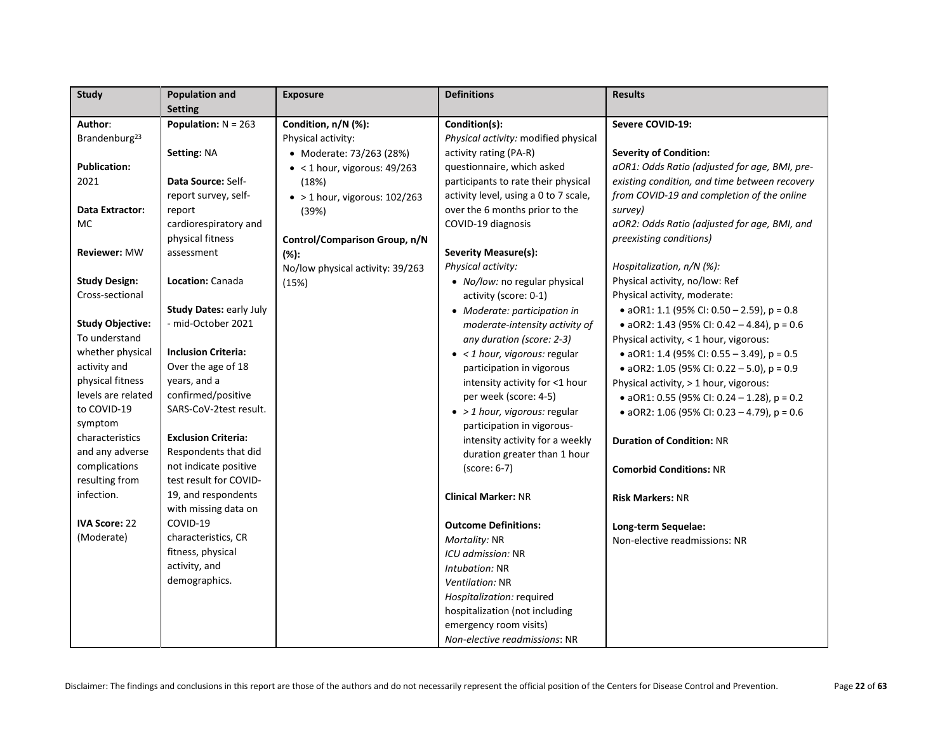| <b>Study</b>              | <b>Population and</b>          | <b>Exposure</b>                       | <b>Definitions</b>                    | <b>Results</b>                                |
|---------------------------|--------------------------------|---------------------------------------|---------------------------------------|-----------------------------------------------|
|                           | <b>Setting</b>                 |                                       |                                       |                                               |
| Author:                   | Population: $N = 263$          | Condition, n/N (%):                   | Condition(s):                         | Severe COVID-19:                              |
| Brandenburg <sup>23</sup> |                                | Physical activity:                    | Physical activity: modified physical  |                                               |
|                           | Setting: NA                    | • Moderate: 73/263 (28%)              | activity rating (PA-R)                | <b>Severity of Condition:</b>                 |
| <b>Publication:</b>       |                                | $\bullet$ < 1 hour, vigorous: 49/263  | questionnaire, which asked            | aOR1: Odds Ratio (adjusted for age, BMI, pre- |
| 2021                      | Data Source: Self-             | (18%)                                 | participants to rate their physical   | existing condition, and time between recovery |
|                           | report survey, self-           | $\bullet$ > 1 hour, vigorous: 102/263 | activity level, using a 0 to 7 scale, | from COVID-19 and completion of the online    |
| Data Extractor:           | report                         | (39%)                                 | over the 6 months prior to the        | survey)                                       |
| MC                        | cardiorespiratory and          |                                       | COVID-19 diagnosis                    | aOR2: Odds Ratio (adjusted for age, BMI, and  |
|                           | physical fitness               | Control/Comparison Group, n/N         |                                       | preexisting conditions)                       |
| <b>Reviewer: MW</b>       | assessment                     | $(% )^{\ast }$                        | <b>Severity Measure(s):</b>           |                                               |
|                           |                                | No/low physical activity: 39/263      | Physical activity:                    | Hospitalization, n/N (%):                     |
| <b>Study Design:</b>      | Location: Canada               | (15%)                                 | • No/low: no regular physical         | Physical activity, no/low: Ref                |
| Cross-sectional           |                                |                                       | activity (score: 0-1)                 | Physical activity, moderate:                  |
|                           | <b>Study Dates: early July</b> |                                       | • Moderate: participation in          | • aOR1: 1.1 (95% CI: 0.50 - 2.59), $p = 0.8$  |
| <b>Study Objective:</b>   | - mid-October 2021             |                                       | moderate-intensity activity of        | • aOR2: 1.43 (95% CI: 0.42 - 4.84), $p = 0.6$ |
| To understand             |                                |                                       | any duration (score: 2-3)             | Physical activity, < 1 hour, vigorous:        |
| whether physical          | <b>Inclusion Criteria:</b>     |                                       | $\bullet$ < 1 hour, vigorous: regular | • aOR1: 1.4 (95% CI: 0.55 - 3.49), $p = 0.5$  |
| activity and              | Over the age of 18             |                                       | participation in vigorous             | • aOR2: 1.05 (95% CI: 0.22 - 5.0), $p = 0.9$  |
| physical fitness          | years, and a                   |                                       | intensity activity for <1 hour        | Physical activity, > 1 hour, vigorous:        |
| levels are related        | confirmed/positive             |                                       | per week (score: 4-5)                 | • aOR1: 0.55 (95% CI: 0.24 - 1.28), $p = 0.2$ |
| to COVID-19               | SARS-CoV-2test result.         |                                       | $\bullet$ > 1 hour, vigorous: regular | • aOR2: 1.06 (95% CI: 0.23 - 4.79), $p = 0.6$ |
| symptom                   |                                |                                       | participation in vigorous-            |                                               |
| characteristics           | <b>Exclusion Criteria:</b>     |                                       | intensity activity for a weekly       | <b>Duration of Condition: NR</b>              |
| and any adverse           | Respondents that did           |                                       | duration greater than 1 hour          |                                               |
| complications             | not indicate positive          |                                       | (score: 6-7)                          | <b>Comorbid Conditions: NR</b>                |
| resulting from            | test result for COVID-         |                                       |                                       |                                               |
| infection.                | 19, and respondents            |                                       | <b>Clinical Marker: NR</b>            | <b>Risk Markers: NR</b>                       |
|                           | with missing data on           |                                       |                                       |                                               |
| <b>IVA Score: 22</b>      | COVID-19                       |                                       | <b>Outcome Definitions:</b>           | Long-term Sequelae:                           |
| (Moderate)                | characteristics, CR            |                                       | Mortality: NR                         | Non-elective readmissions: NR                 |
|                           | fitness, physical              |                                       | ICU admission: NR                     |                                               |
|                           | activity, and                  |                                       | Intubation: NR                        |                                               |
|                           | demographics.                  |                                       | Ventilation: NR                       |                                               |
|                           |                                |                                       | Hospitalization: required             |                                               |
|                           |                                |                                       | hospitalization (not including        |                                               |
|                           |                                |                                       | emergency room visits)                |                                               |
|                           |                                |                                       | Non-elective readmissions: NR         |                                               |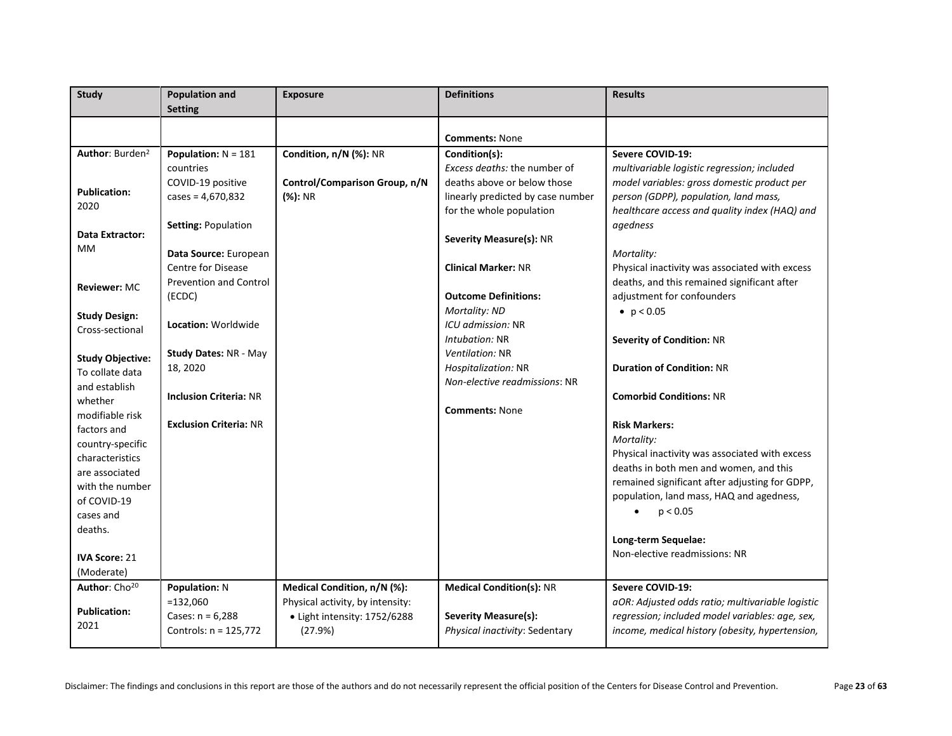| <b>Study</b>                | <b>Population and</b>         | <b>Exposure</b>                  | <b>Definitions</b>                | <b>Results</b>                                   |
|-----------------------------|-------------------------------|----------------------------------|-----------------------------------|--------------------------------------------------|
|                             | <b>Setting</b>                |                                  |                                   |                                                  |
|                             |                               |                                  |                                   |                                                  |
|                             |                               |                                  | <b>Comments: None</b>             |                                                  |
| Author: Burden <sup>2</sup> | Population: $N = 181$         | Condition, n/N (%): NR           | Condition(s):                     | Severe COVID-19:                                 |
|                             | countries                     |                                  | Excess deaths: the number of      | multivariable logistic regression; included      |
|                             | COVID-19 positive             | Control/Comparison Group, n/N    | deaths above or below those       | model variables: gross domestic product per      |
| <b>Publication:</b>         | cases = $4,670,832$           | (%): NR                          | linearly predicted by case number | person (GDPP), population, land mass,            |
| 2020                        |                               |                                  | for the whole population          | healthcare access and quality index (HAQ) and    |
|                             | Setting: Population           |                                  |                                   | agedness                                         |
| Data Extractor:             |                               |                                  | Severity Measure(s): NR           |                                                  |
| MM                          | Data Source: European         |                                  |                                   | Mortality:                                       |
|                             | <b>Centre for Disease</b>     |                                  | <b>Clinical Marker: NR</b>        | Physical inactivity was associated with excess   |
| <b>Reviewer: MC</b>         | <b>Prevention and Control</b> |                                  |                                   | deaths, and this remained significant after      |
|                             | (ECDC)                        |                                  | <b>Outcome Definitions:</b>       | adjustment for confounders                       |
| <b>Study Design:</b>        |                               |                                  | Mortality: ND                     | • $p < 0.05$                                     |
| Cross-sectional             | Location: Worldwide           |                                  | ICU admission: NR                 |                                                  |
|                             |                               |                                  | Intubation: NR                    | <b>Severity of Condition: NR</b>                 |
| <b>Study Objective:</b>     | <b>Study Dates: NR - May</b>  |                                  | <b>Ventilation: NR</b>            |                                                  |
| To collate data             | 18, 2020                      |                                  | Hospitalization: NR               | <b>Duration of Condition: NR</b>                 |
| and establish               |                               |                                  | Non-elective readmissions: NR     |                                                  |
| whether                     | <b>Inclusion Criteria: NR</b> |                                  |                                   | <b>Comorbid Conditions: NR</b>                   |
| modifiable risk             |                               |                                  | <b>Comments: None</b>             |                                                  |
| factors and                 | <b>Exclusion Criteria: NR</b> |                                  |                                   | <b>Risk Markers:</b>                             |
| country-specific            |                               |                                  |                                   | Mortality:                                       |
| characteristics             |                               |                                  |                                   | Physical inactivity was associated with excess   |
| are associated              |                               |                                  |                                   | deaths in both men and women, and this           |
| with the number             |                               |                                  |                                   | remained significant after adjusting for GDPP,   |
| of COVID-19                 |                               |                                  |                                   | population, land mass, HAQ and agedness,         |
| cases and                   |                               |                                  |                                   | p < 0.05<br>$\bullet$                            |
| deaths.                     |                               |                                  |                                   |                                                  |
|                             |                               |                                  |                                   | Long-term Sequelae:                              |
| <b>IVA Score: 21</b>        |                               |                                  |                                   | Non-elective readmissions: NR                    |
| (Moderate)                  |                               |                                  |                                   |                                                  |
| Author: Cho <sup>20</sup>   | <b>Population: N</b>          | Medical Condition, n/N (%):      | <b>Medical Condition(s): NR</b>   | Severe COVID-19:                                 |
|                             | $=132,060$                    | Physical activity, by intensity: |                                   | aOR: Adjusted odds ratio; multivariable logistic |
| <b>Publication:</b>         | Cases: $n = 6,288$            | · Light intensity: 1752/6288     | Severity Measure(s):              | regression; included model variables: age, sex,  |
| 2021                        | Controls: n = 125,772         | (27.9%)                          | Physical inactivity: Sedentary    | income, medical history (obesity, hypertension,  |
|                             |                               |                                  |                                   |                                                  |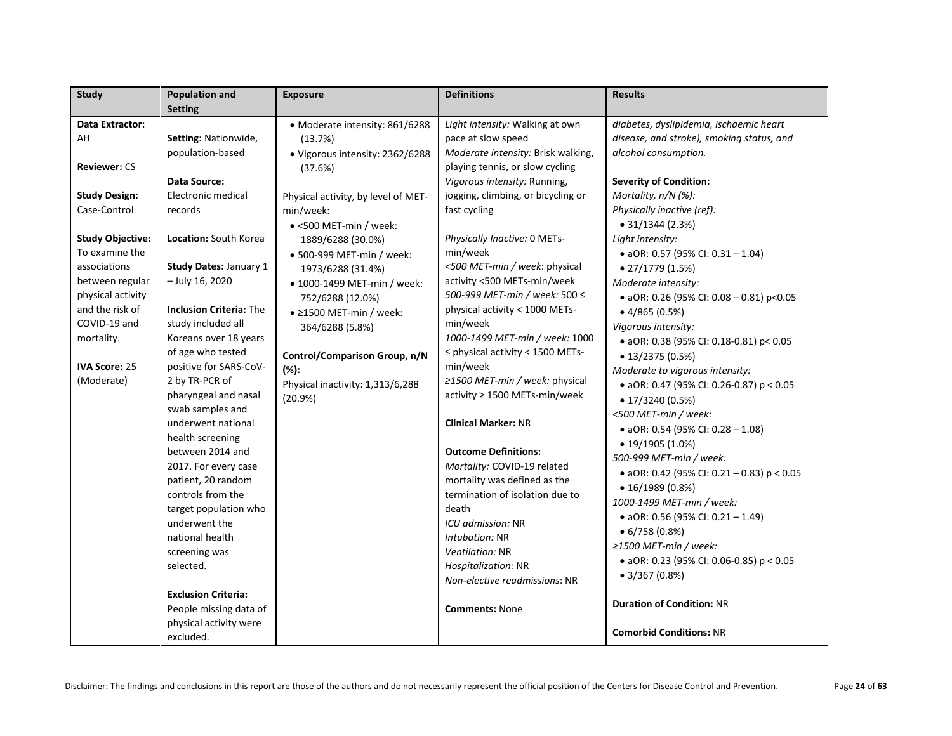| <b>Study</b>            | <b>Population and</b>            | <b>Exposure</b>                     | <b>Definitions</b>                    | <b>Results</b>                               |
|-------------------------|----------------------------------|-------------------------------------|---------------------------------------|----------------------------------------------|
|                         | <b>Setting</b>                   |                                     |                                       |                                              |
| Data Extractor:         |                                  | • Moderate intensity: 861/6288      | Light intensity: Walking at own       | diabetes, dyslipidemia, ischaemic heart      |
| AH                      | Setting: Nationwide,             | (13.7%)                             | pace at slow speed                    | disease, and stroke), smoking status, and    |
|                         | population-based                 | · Vigorous intensity: 2362/6288     | Moderate intensity: Brisk walking,    | alcohol consumption.                         |
| <b>Reviewer: CS</b>     |                                  | (37.6%)                             | playing tennis, or slow cycling       |                                              |
|                         | <b>Data Source:</b>              |                                     | Vigorous intensity: Running,          | <b>Severity of Condition:</b>                |
| <b>Study Design:</b>    | Electronic medical               | Physical activity, by level of MET- | jogging, climbing, or bicycling or    | Mortality, n/N (%):                          |
| Case-Control            | records                          | min/week:                           | fast cycling                          | Physically inactive (ref):                   |
|                         |                                  | · <500 MET-min / week:              |                                       | $\bullet$ 31/1344 (2.3%)                     |
| <b>Study Objective:</b> | Location: South Korea            | 1889/6288 (30.0%)                   | Physically Inactive: 0 METs-          | Light intensity:                             |
| To examine the          |                                  | • 500-999 MET-min / week:           | min/week                              | • aOR: 0.57 (95% CI: 0.31 - 1.04)            |
| associations            | <b>Study Dates: January 1</b>    | 1973/6288 (31.4%)                   | <500 MET-min / week: physical         | $\bullet$ 27/1779 (1.5%)                     |
| between regular         | - July 16, 2020                  | • 1000-1499 MET-min / week:         | activity <500 METs-min/week           | Moderate intensity:                          |
| physical activity       |                                  | 752/6288 (12.0%)                    | 500-999 MET-min / week: 500 ≤         | • aOR: 0.26 (95% CI: 0.08 - 0.81) p<0.05     |
| and the risk of         | <b>Inclusion Criteria: The</b>   | $\bullet$ 21500 MET-min / week:     | physical activity < 1000 METs-        | $\bullet$ 4/865 (0.5%)                       |
| COVID-19 and            | study included all               | 364/6288 (5.8%)                     | min/week                              | Vigorous intensity:                          |
| mortality.              | Koreans over 18 years            |                                     | 1000-1499 MET-min / week: 1000        | • aOR: 0.38 (95% CI: 0.18-0.81) p< 0.05      |
|                         | of age who tested                | Control/Comparison Group, n/N       | $\leq$ physical activity < 1500 METs- | $\bullet$ 13/2375 (0.5%)                     |
| <b>IVA Score: 25</b>    | positive for SARS-CoV-           | $(% )^{\ast }$                      | min/week                              | Moderate to vigorous intensity:              |
| (Moderate)              | 2 by TR-PCR of                   | Physical inactivity: 1,313/6,288    | ≥1500 MET-min / week: physical        | • aOR: 0.47 (95% CI: 0.26-0.87) p < 0.05     |
|                         | pharyngeal and nasal             | (20.9%)                             | activity ≥ 1500 METs-min/week         | $\bullet$ 17/3240 (0.5%)                     |
|                         | swab samples and                 |                                     |                                       | <500 MET-min / week:                         |
|                         | underwent national               |                                     | <b>Clinical Marker: NR</b>            | • aOR: 0.54 (95% CI: 0.28 - 1.08)            |
|                         | health screening                 |                                     |                                       | $\bullet$ 19/1905 (1.0%)                     |
|                         | between 2014 and                 |                                     | <b>Outcome Definitions:</b>           | 500-999 MET-min / week:                      |
|                         | 2017. For every case             |                                     | Mortality: COVID-19 related           | • aOR: 0.42 (95% CI: 0.21 - 0.83) $p < 0.05$ |
|                         | patient, 20 random               |                                     | mortality was defined as the          | $\bullet$ 16/1989 (0.8%)                     |
|                         | controls from the                |                                     | termination of isolation due to       | 1000-1499 MET-min / week:                    |
|                         | target population who            |                                     | death<br>ICU admission: NR            | • aOR: 0.56 (95% CI: 0.21 - 1.49)            |
|                         | underwent the<br>national health |                                     | Intubation: NR                        | $\bullet$ 6/758 (0.8%)                       |
|                         |                                  |                                     | Ventilation: NR                       | $\geq$ 1500 MET-min / week:                  |
|                         | screening was<br>selected.       |                                     | Hospitalization: NR                   | • aOR: 0.23 (95% CI: 0.06-0.85) p < 0.05     |
|                         |                                  |                                     | Non-elective readmissions: NR         | $\bullet$ 3/367 (0.8%)                       |
|                         | <b>Exclusion Criteria:</b>       |                                     |                                       |                                              |
|                         | People missing data of           |                                     | <b>Comments: None</b>                 | <b>Duration of Condition: NR</b>             |
|                         | physical activity were           |                                     |                                       |                                              |
|                         | excluded.                        |                                     |                                       | <b>Comorbid Conditions: NR</b>               |
|                         |                                  |                                     |                                       |                                              |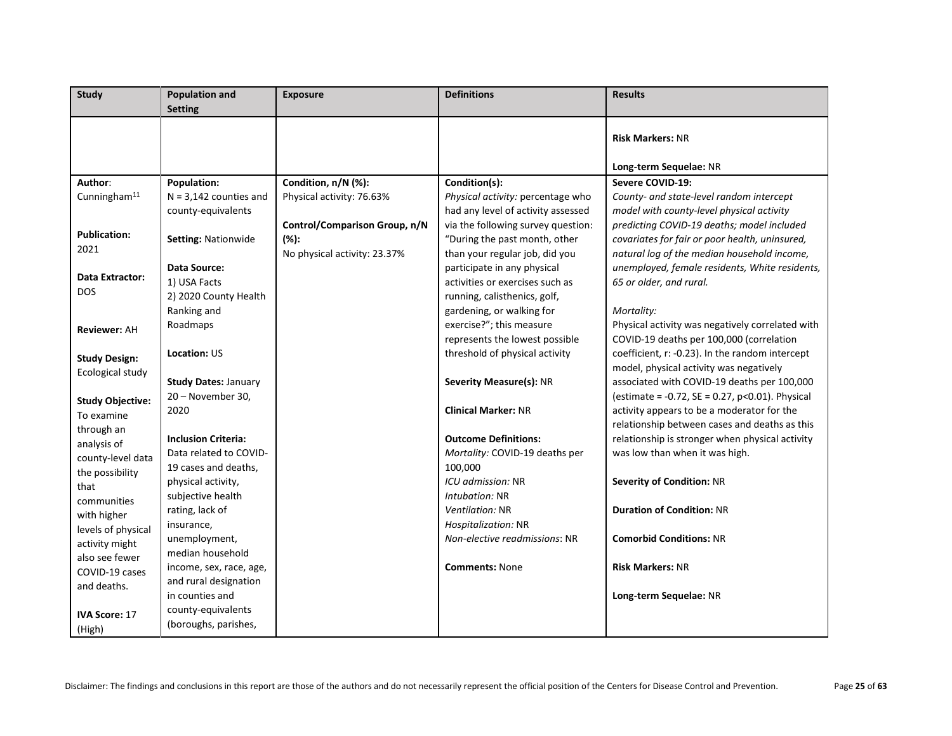| <b>Study</b>                         | <b>Population and</b><br><b>Setting</b> | <b>Exposure</b>               | <b>Definitions</b>                                               | <b>Results</b>                                                                              |
|--------------------------------------|-----------------------------------------|-------------------------------|------------------------------------------------------------------|---------------------------------------------------------------------------------------------|
|                                      |                                         |                               |                                                                  |                                                                                             |
|                                      |                                         |                               |                                                                  | <b>Risk Markers: NR</b>                                                                     |
|                                      |                                         |                               |                                                                  |                                                                                             |
|                                      |                                         |                               |                                                                  | Long-term Sequelae: NR                                                                      |
| Author:                              | <b>Population:</b>                      | Condition, n/N (%):           | Condition(s):                                                    | Severe COVID-19:                                                                            |
| Cunningham <sup>11</sup>             | $N = 3,142$ counties and                | Physical activity: 76.63%     | Physical activity: percentage who                                | County- and state-level random intercept                                                    |
|                                      | county-equivalents                      |                               | had any level of activity assessed                               | model with county-level physical activity                                                   |
| <b>Publication:</b>                  |                                         | Control/Comparison Group, n/N | via the following survey question:                               | predicting COVID-19 deaths; model included                                                  |
| 2021                                 | Setting: Nationwide                     | $(% )^{\ast }$                | "During the past month, other                                    | covariates for fair or poor health, uninsured,                                              |
|                                      |                                         | No physical activity: 23.37%  | than your regular job, did you                                   | natural log of the median household income,                                                 |
| Data Extractor:                      | Data Source:                            |                               | participate in any physical                                      | unemployed, female residents, White residents,                                              |
| <b>DOS</b>                           | 1) USA Facts                            |                               | activities or exercises such as                                  | 65 or older, and rural.                                                                     |
|                                      | 2) 2020 County Health                   |                               | running, calisthenics, golf,                                     |                                                                                             |
|                                      | Ranking and                             |                               | gardening, or walking for                                        | Mortality:                                                                                  |
| <b>Reviewer: AH</b>                  | Roadmaps                                |                               | exercise?"; this measure                                         | Physical activity was negatively correlated with                                            |
|                                      | <b>Location: US</b>                     |                               | represents the lowest possible<br>threshold of physical activity | COVID-19 deaths per 100,000 (correlation<br>coefficient, r: -0.23). In the random intercept |
| <b>Study Design:</b>                 |                                         |                               |                                                                  | model, physical activity was negatively                                                     |
| Ecological study                     | <b>Study Dates: January</b>             |                               | <b>Severity Measure(s): NR</b>                                   | associated with COVID-19 deaths per 100,000                                                 |
|                                      | 20 - November 30,                       |                               |                                                                  | (estimate = -0.72, SE = 0.27, p<0.01). Physical                                             |
| <b>Study Objective:</b>              | 2020                                    |                               | <b>Clinical Marker: NR</b>                                       | activity appears to be a moderator for the                                                  |
| To examine                           |                                         |                               |                                                                  | relationship between cases and deaths as this                                               |
| through an                           | <b>Inclusion Criteria:</b>              |                               | <b>Outcome Definitions:</b>                                      | relationship is stronger when physical activity                                             |
| analysis of                          | Data related to COVID-                  |                               | Mortality: COVID-19 deaths per                                   | was low than when it was high.                                                              |
| county-level data<br>the possibility | 19 cases and deaths,                    |                               | 100,000                                                          |                                                                                             |
| that                                 | physical activity,                      |                               | ICU admission: NR                                                | <b>Severity of Condition: NR</b>                                                            |
| communities                          | subjective health                       |                               | Intubation: NR                                                   |                                                                                             |
| with higher                          | rating, lack of                         |                               | <i>Ventilation:</i> NR                                           | <b>Duration of Condition: NR</b>                                                            |
| levels of physical                   | insurance,                              |                               | Hospitalization: NR                                              |                                                                                             |
| activity might                       | unemployment,                           |                               | Non-elective readmissions: NR                                    | <b>Comorbid Conditions: NR</b>                                                              |
| also see fewer                       | median household                        |                               |                                                                  |                                                                                             |
| COVID-19 cases                       | income, sex, race, age,                 |                               | <b>Comments: None</b>                                            | <b>Risk Markers: NR</b>                                                                     |
| and deaths.                          | and rural designation                   |                               |                                                                  |                                                                                             |
|                                      | in counties and                         |                               |                                                                  | Long-term Sequelae: NR                                                                      |
| <b>IVA Score: 17</b>                 | county-equivalents                      |                               |                                                                  |                                                                                             |
| (High)                               | (boroughs, parishes,                    |                               |                                                                  |                                                                                             |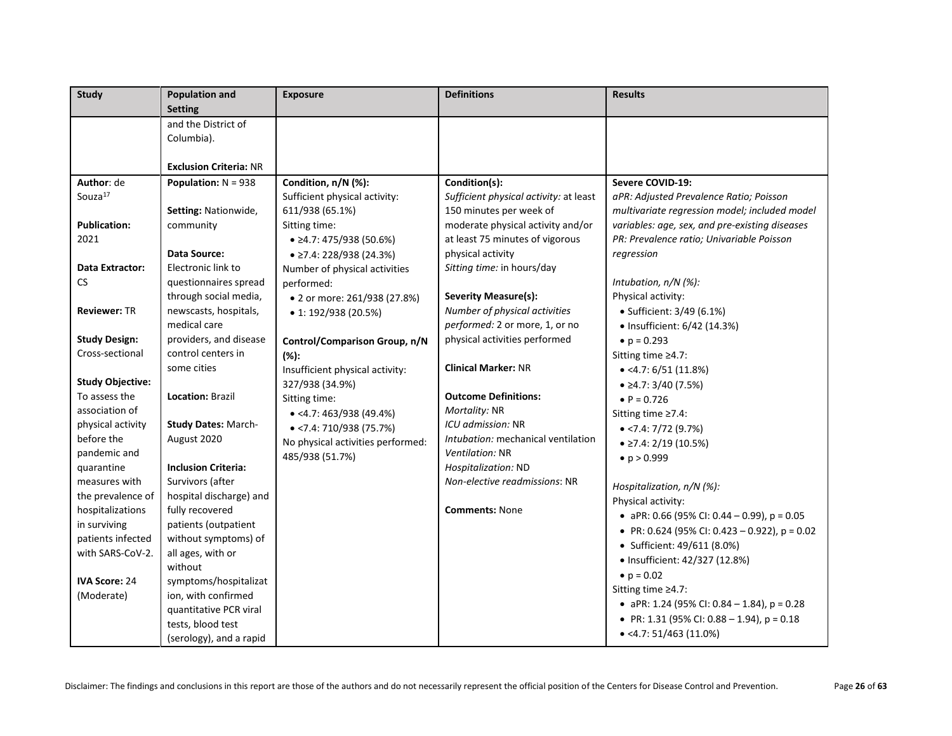| <b>Study</b>            | <b>Population and</b>         | <b>Exposure</b>                   | <b>Definitions</b>                     | <b>Results</b>                                  |
|-------------------------|-------------------------------|-----------------------------------|----------------------------------------|-------------------------------------------------|
|                         | <b>Setting</b>                |                                   |                                        |                                                 |
|                         | and the District of           |                                   |                                        |                                                 |
|                         | Columbia).                    |                                   |                                        |                                                 |
|                         |                               |                                   |                                        |                                                 |
|                         | <b>Exclusion Criteria: NR</b> |                                   |                                        |                                                 |
| Author: de              | <b>Population:</b> $N = 938$  | Condition, n/N (%):               | Condition(s):                          | Severe COVID-19:                                |
| Souza <sup>17</sup>     |                               | Sufficient physical activity:     | Sufficient physical activity: at least | aPR: Adjusted Prevalence Ratio; Poisson         |
|                         | Setting: Nationwide,          | 611/938 (65.1%)                   | 150 minutes per week of                | multivariate regression model; included model   |
| <b>Publication:</b>     | community                     | Sitting time:                     | moderate physical activity and/or      | variables: age, sex, and pre-existing diseases  |
| 2021                    |                               | $\bullet$ ≥4.7: 475/938 (50.6%)   | at least 75 minutes of vigorous        | PR: Prevalence ratio; Univariable Poisson       |
|                         | Data Source:                  | $\bullet$ ≥7.4: 228/938 (24.3%)   | physical activity                      | regression                                      |
| <b>Data Extractor:</b>  | Electronic link to            | Number of physical activities     | Sitting time: in hours/day             |                                                 |
| CS.                     | questionnaires spread         | performed:                        |                                        | Intubation, n/N (%):                            |
|                         | through social media,         | • 2 or more: 261/938 (27.8%)      | Severity Measure(s):                   | Physical activity:                              |
| <b>Reviewer: TR</b>     | newscasts, hospitals,         | • 1: 192/938 (20.5%)              | Number of physical activities          | • Sufficient: 3/49 (6.1%)                       |
|                         | medical care                  |                                   | performed: 2 or more, 1, or no         | • Insufficient: 6/42 (14.3%)                    |
| <b>Study Design:</b>    | providers, and disease        | Control/Comparison Group, n/N     | physical activities performed          | • $p = 0.293$                                   |
| Cross-sectional         | control centers in            | $(% )^{\ast }$                    |                                        | Sitting time ≥4.7:                              |
|                         | some cities                   | Insufficient physical activity:   | <b>Clinical Marker: NR</b>             | $\bullet$ <4.7: 6/51 (11.8%)                    |
| <b>Study Objective:</b> |                               | 327/938 (34.9%)                   |                                        | $\bullet$ $\geq$ 4.7: 3/40 (7.5%)               |
| To assess the           | Location: Brazil              | Sitting time:                     | <b>Outcome Definitions:</b>            | • $P = 0.726$                                   |
| association of          |                               | $\bullet$ <4.7: 463/938 (49.4%)   | Mortality: NR                          | Sitting time ≥7.4:                              |
| physical activity       | <b>Study Dates: March-</b>    | $\bullet$ <7.4: 710/938 (75.7%)   | ICU admission: NR                      | $\bullet$ <7.4: 7/72 (9.7%)                     |
| before the              | August 2020                   | No physical activities performed: | Intubation: mechanical ventilation     | $\bullet$ ≥7.4: 2/19 (10.5%)                    |
| pandemic and            |                               | 485/938 (51.7%)                   | Ventilation: NR                        | • $p > 0.999$                                   |
| quarantine              | <b>Inclusion Criteria:</b>    |                                   | Hospitalization: ND                    |                                                 |
| measures with           | Survivors (after              |                                   | Non-elective readmissions: NR          | Hospitalization, n/N (%):                       |
| the prevalence of       | hospital discharge) and       |                                   |                                        | Physical activity:                              |
| hospitalizations        | fully recovered               |                                   | <b>Comments: None</b>                  | • aPR: 0.66 (95% CI: 0.44 - 0.99), $p = 0.05$   |
| in surviving            | patients (outpatient          |                                   |                                        | • PR: 0.624 (95% CI: 0.423 - 0.922), $p = 0.02$ |
| patients infected       | without symptoms) of          |                                   |                                        | • Sufficient: 49/611 (8.0%)                     |
| with SARS-CoV-2.        | all ages, with or             |                                   |                                        |                                                 |
|                         | without                       |                                   |                                        | · Insufficient: 42/327 (12.8%)                  |
| <b>IVA Score: 24</b>    | symptoms/hospitalizat         |                                   |                                        | • $p = 0.02$                                    |
| (Moderate)              | ion, with confirmed           |                                   |                                        | Sitting time ≥4.7:                              |
|                         | quantitative PCR viral        |                                   |                                        | • aPR: 1.24 (95% CI: 0.84 - 1.84), $p = 0.28$   |
|                         | tests, blood test             |                                   |                                        | • PR: 1.31 (95% CI: 0.88 - 1.94), $p = 0.18$    |
|                         | (serology), and a rapid       |                                   |                                        | $\bullet$ <4.7: 51/463 (11.0%)                  |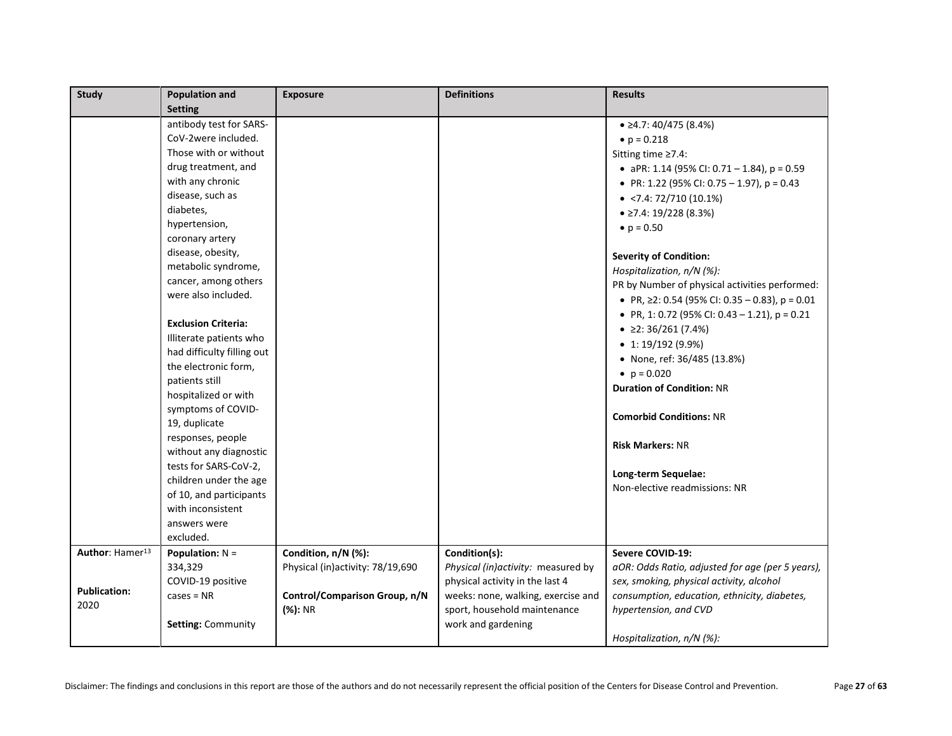| Study                       | <b>Population and</b>      | <b>Exposure</b>                  | <b>Definitions</b>                  | <b>Results</b>                                       |
|-----------------------------|----------------------------|----------------------------------|-------------------------------------|------------------------------------------------------|
|                             | <b>Setting</b>             |                                  |                                     |                                                      |
|                             | antibody test for SARS-    |                                  |                                     | $\bullet$ 24.7: 40/475 (8.4%)                        |
|                             | CoV-2were included.        |                                  |                                     | • $p = 0.218$                                        |
|                             | Those with or without      |                                  |                                     | Sitting time $\geq 7.4$ :                            |
|                             | drug treatment, and        |                                  |                                     | • aPR: 1.14 (95% CI: 0.71 - 1.84), $p = 0.59$        |
|                             | with any chronic           |                                  |                                     | • PR: 1.22 (95% CI: 0.75 - 1.97), $p = 0.43$         |
|                             | disease, such as           |                                  |                                     | $\bullet$ <7.4: 72/710 (10.1%)                       |
|                             | diabetes,                  |                                  |                                     | $\bullet$ ≥7.4: 19/228 (8.3%)                        |
|                             | hypertension,              |                                  |                                     | • $p = 0.50$                                         |
|                             | coronary artery            |                                  |                                     |                                                      |
|                             | disease, obesity,          |                                  |                                     | <b>Severity of Condition:</b>                        |
|                             | metabolic syndrome,        |                                  |                                     | Hospitalization, $n/N$ (%):                          |
|                             | cancer, among others       |                                  |                                     | PR by Number of physical activities performed:       |
|                             | were also included.        |                                  |                                     | • PR, $\geq$ 2: 0.54 (95% CI: 0.35 - 0.83), p = 0.01 |
|                             |                            |                                  |                                     | • PR, 1: 0.72 (95% CI: 0.43 - 1.21), $p = 0.21$      |
|                             | <b>Exclusion Criteria:</b> |                                  |                                     | • $\geq$ 2: 36/261 (7.4%)                            |
|                             | Illiterate patients who    |                                  |                                     | $\bullet$ 1: 19/192 (9.9%)                           |
|                             | had difficulty filling out |                                  |                                     | • None, ref: 36/485 (13.8%)                          |
|                             | the electronic form,       |                                  |                                     | • $p = 0.020$                                        |
|                             | patients still             |                                  |                                     | <b>Duration of Condition: NR</b>                     |
|                             | hospitalized or with       |                                  |                                     |                                                      |
|                             | symptoms of COVID-         |                                  |                                     | <b>Comorbid Conditions: NR</b>                       |
|                             | 19, duplicate              |                                  |                                     |                                                      |
|                             | responses, people          |                                  |                                     | <b>Risk Markers: NR</b>                              |
|                             | without any diagnostic     |                                  |                                     |                                                      |
|                             | tests for SARS-CoV-2,      |                                  |                                     | Long-term Sequelae:                                  |
|                             | children under the age     |                                  |                                     | Non-elective readmissions: NR                        |
|                             | of 10, and participants    |                                  |                                     |                                                      |
|                             | with inconsistent          |                                  |                                     |                                                      |
|                             | answers were               |                                  |                                     |                                                      |
|                             | excluded.                  |                                  |                                     |                                                      |
| Author: Hamer <sup>13</sup> | Population: $N =$          | Condition, n/N (%):              | Condition(s):                       | Severe COVID-19:                                     |
|                             | 334,329                    | Physical (in)activity: 78/19,690 | Physical (in) activity: measured by | aOR: Odds Ratio, adjusted for age (per 5 years),     |
| <b>Publication:</b>         | COVID-19 positive          |                                  | physical activity in the last 4     | sex, smoking, physical activity, alcohol             |
| 2020                        | $cases = NR$               | Control/Comparison Group, n/N    | weeks: none, walking, exercise and  | consumption, education, ethnicity, diabetes,         |
|                             |                            | (%): NR                          | sport, household maintenance        | hypertension, and CVD                                |
|                             | <b>Setting: Community</b>  |                                  | work and gardening                  |                                                      |
|                             |                            |                                  |                                     | Hospitalization, n/N (%):                            |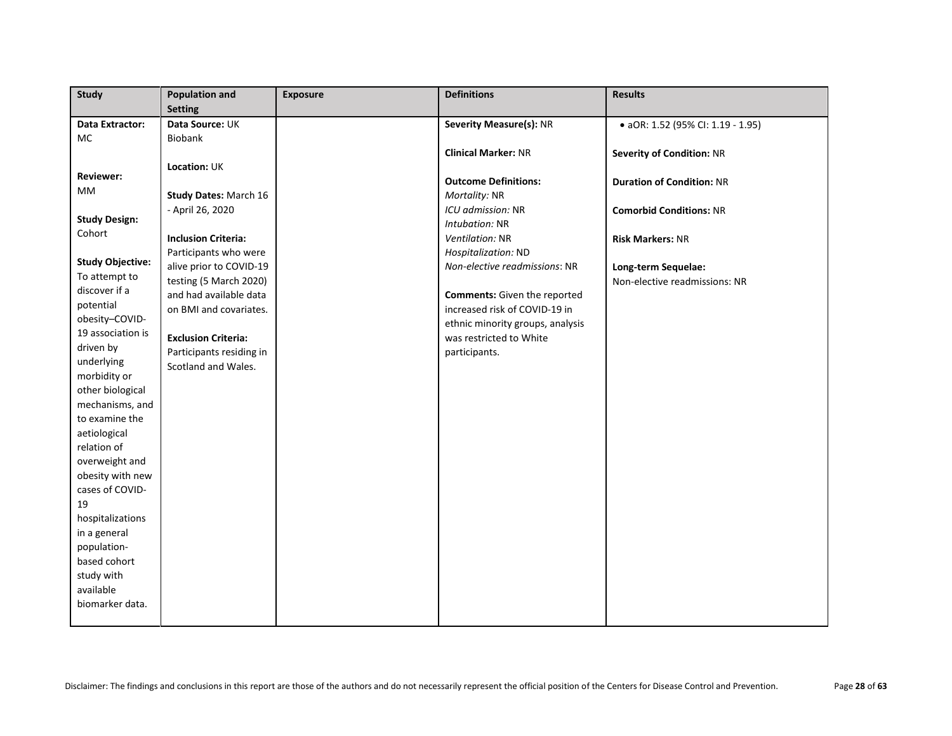| <b>Study</b>            | <b>Population and</b>        | <b>Exposure</b> | <b>Definitions</b>                  | <b>Results</b>                    |
|-------------------------|------------------------------|-----------------|-------------------------------------|-----------------------------------|
|                         | <b>Setting</b>               |                 |                                     |                                   |
| Data Extractor:         | Data Source: UK              |                 | Severity Measure(s): NR             | · aOR: 1.52 (95% CI: 1.19 - 1.95) |
| <b>MC</b>               | Biobank                      |                 |                                     |                                   |
|                         |                              |                 | <b>Clinical Marker: NR</b>          | <b>Severity of Condition: NR</b>  |
| <b>Reviewer:</b>        | Location: UK                 |                 |                                     |                                   |
| MM                      |                              |                 | <b>Outcome Definitions:</b>         | <b>Duration of Condition: NR</b>  |
|                         | <b>Study Dates: March 16</b> |                 | Mortality: NR                       |                                   |
| <b>Study Design:</b>    | - April 26, 2020             |                 | ICU admission: NR                   | <b>Comorbid Conditions: NR</b>    |
| Cohort                  |                              |                 | Intubation: NR                      |                                   |
|                         | <b>Inclusion Criteria:</b>   |                 | Ventilation: NR                     | <b>Risk Markers: NR</b>           |
| <b>Study Objective:</b> | Participants who were        |                 | Hospitalization: ND                 |                                   |
| To attempt to           | alive prior to COVID-19      |                 | Non-elective readmissions: NR       | Long-term Sequelae:               |
| discover if a           | testing (5 March 2020)       |                 |                                     | Non-elective readmissions: NR     |
| potential               | and had available data       |                 | <b>Comments:</b> Given the reported |                                   |
| obesity-COVID-          | on BMI and covariates.       |                 | increased risk of COVID-19 in       |                                   |
| 19 association is       |                              |                 | ethnic minority groups, analysis    |                                   |
| driven by               | <b>Exclusion Criteria:</b>   |                 | was restricted to White             |                                   |
| underlying              | Participants residing in     |                 | participants.                       |                                   |
| morbidity or            | Scotland and Wales.          |                 |                                     |                                   |
| other biological        |                              |                 |                                     |                                   |
| mechanisms, and         |                              |                 |                                     |                                   |
| to examine the          |                              |                 |                                     |                                   |
| aetiological            |                              |                 |                                     |                                   |
| relation of             |                              |                 |                                     |                                   |
| overweight and          |                              |                 |                                     |                                   |
| obesity with new        |                              |                 |                                     |                                   |
| cases of COVID-         |                              |                 |                                     |                                   |
| 19                      |                              |                 |                                     |                                   |
| hospitalizations        |                              |                 |                                     |                                   |
| in a general            |                              |                 |                                     |                                   |
| population-             |                              |                 |                                     |                                   |
| based cohort            |                              |                 |                                     |                                   |
| study with              |                              |                 |                                     |                                   |
| available               |                              |                 |                                     |                                   |
| biomarker data.         |                              |                 |                                     |                                   |
|                         |                              |                 |                                     |                                   |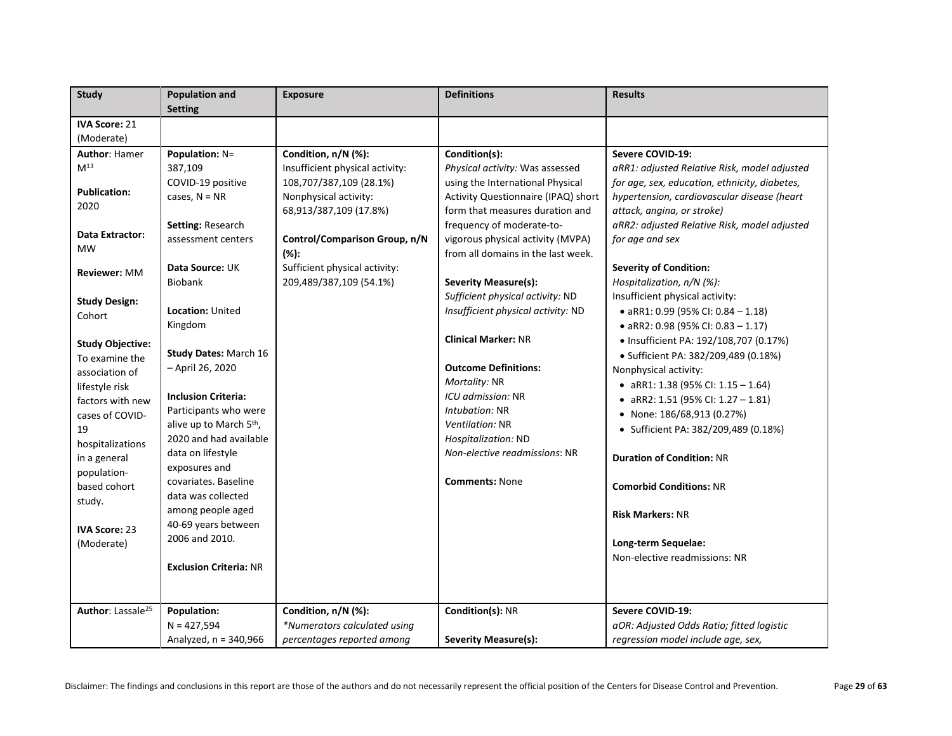| <b>Study</b>                  | <b>Population and</b>               | <b>Exposure</b>                 | <b>Definitions</b>                  | <b>Results</b>                                |
|-------------------------------|-------------------------------------|---------------------------------|-------------------------------------|-----------------------------------------------|
|                               | <b>Setting</b>                      |                                 |                                     |                                               |
| <b>IVA Score: 21</b>          |                                     |                                 |                                     |                                               |
| (Moderate)                    |                                     |                                 |                                     |                                               |
| <b>Author: Hamer</b>          | <b>Population: N=</b>               | Condition, n/N (%):             | Condition(s):                       | Severe COVID-19:                              |
| M <sup>13</sup>               | 387,109                             | Insufficient physical activity: | Physical activity: Was assessed     | aRR1: adjusted Relative Risk, model adjusted  |
|                               | COVID-19 positive                   | 108,707/387,109 (28.1%)         | using the International Physical    | for age, sex, education, ethnicity, diabetes, |
| <b>Publication:</b>           | cases, $N = NR$                     | Nonphysical activity:           | Activity Questionnaire (IPAQ) short | hypertension, cardiovascular disease (heart   |
| 2020                          |                                     | 68,913/387,109 (17.8%)          | form that measures duration and     | attack, angina, or stroke)                    |
|                               | Setting: Research                   |                                 | frequency of moderate-to-           | aRR2: adjusted Relative Risk, model adjusted  |
| Data Extractor:               | assessment centers                  | Control/Comparison Group, n/N   | vigorous physical activity (MVPA)   | for age and sex                               |
| <b>MW</b>                     |                                     | $(% )^{\ast }$                  | from all domains in the last week.  |                                               |
| Reviewer: MM                  | Data Source: UK                     | Sufficient physical activity:   |                                     | <b>Severity of Condition:</b>                 |
|                               | <b>Biobank</b>                      | 209,489/387,109 (54.1%)         | <b>Severity Measure(s):</b>         | Hospitalization, n/N (%):                     |
| <b>Study Design:</b>          |                                     |                                 | Sufficient physical activity: ND    | Insufficient physical activity:               |
| Cohort                        | <b>Location: United</b>             |                                 | Insufficient physical activity: ND  | • aRR1: 0.99 (95% CI: 0.84 - 1.18)            |
|                               | Kingdom                             |                                 |                                     | • aRR2: 0.98 (95% CI: 0.83 - 1.17)            |
| <b>Study Objective:</b>       |                                     |                                 | <b>Clinical Marker: NR</b>          | • Insufficient PA: 192/108,707 (0.17%)        |
| To examine the                | Study Dates: March 16               |                                 |                                     | • Sufficient PA: 382/209,489 (0.18%)          |
| association of                | - April 26, 2020                    |                                 | <b>Outcome Definitions:</b>         | Nonphysical activity:                         |
| lifestyle risk                |                                     |                                 | Mortality: NR                       | • aRR1: 1.38 (95% CI: 1.15 - 1.64)            |
| factors with new              | <b>Inclusion Criteria:</b>          |                                 | ICU admission: NR                   | • aRR2: 1.51 (95% CI: 1.27 - 1.81)            |
| cases of COVID-               | Participants who were               |                                 | Intubation: NR                      | • None: 186/68,913 (0.27%)                    |
| 19                            | alive up to March 5 <sup>th</sup> , |                                 | Ventilation: NR                     | • Sufficient PA: 382/209,489 (0.18%)          |
| hospitalizations              | 2020 and had available              |                                 | Hospitalization: ND                 |                                               |
| in a general                  | data on lifestyle                   |                                 | Non-elective readmissions: NR       | <b>Duration of Condition: NR</b>              |
| population-                   | exposures and                       |                                 |                                     |                                               |
| based cohort                  | covariates. Baseline                |                                 | <b>Comments: None</b>               | <b>Comorbid Conditions: NR</b>                |
| study.                        | data was collected                  |                                 |                                     |                                               |
|                               | among people aged                   |                                 |                                     | <b>Risk Markers: NR</b>                       |
| <b>IVA Score: 23</b>          | 40-69 years between                 |                                 |                                     |                                               |
| (Moderate)                    | 2006 and 2010.                      |                                 |                                     | Long-term Sequelae:                           |
|                               |                                     |                                 |                                     | Non-elective readmissions: NR                 |
|                               | <b>Exclusion Criteria: NR</b>       |                                 |                                     |                                               |
|                               |                                     |                                 |                                     |                                               |
|                               |                                     |                                 |                                     |                                               |
| Author: Lassale <sup>25</sup> | Population:                         | Condition, n/N (%):             | Condition(s): NR                    | Severe COVID-19:                              |
|                               | $N = 427,594$                       | *Numerators calculated using    |                                     | aOR: Adjusted Odds Ratio; fitted logistic     |
|                               | Analyzed, n = 340,966               | percentages reported among      | Severity Measure(s):                | regression model include age, sex,            |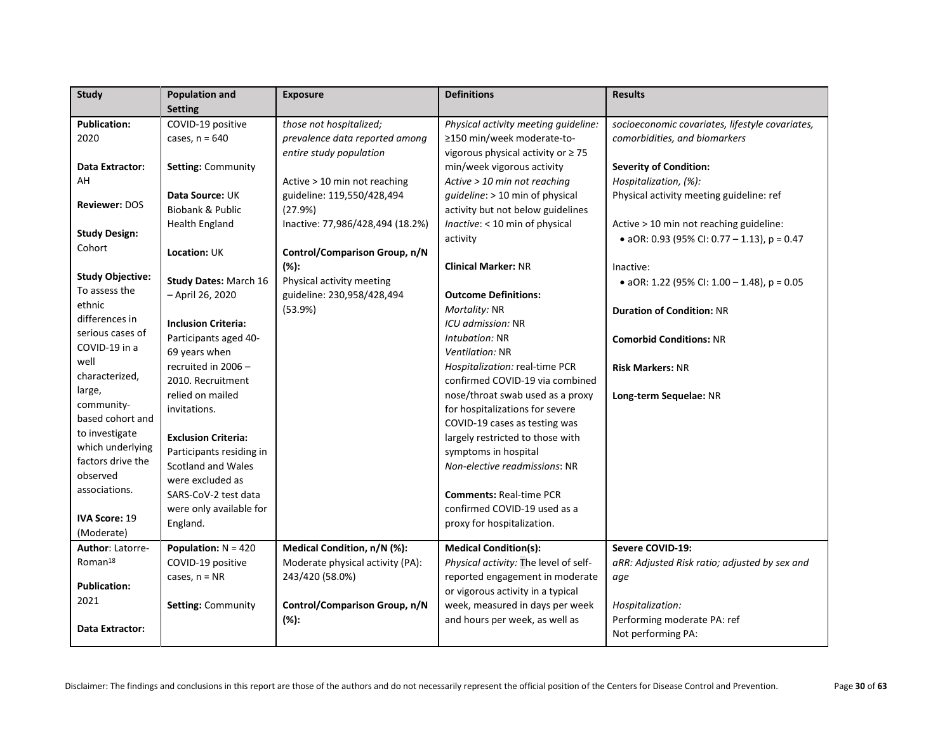| Study                   | <b>Population and</b>        | <b>Exposure</b>                  | <b>Definitions</b>                      | <b>Results</b>                                  |
|-------------------------|------------------------------|----------------------------------|-----------------------------------------|-------------------------------------------------|
|                         | <b>Setting</b>               |                                  |                                         |                                                 |
| <b>Publication:</b>     | COVID-19 positive            | those not hospitalized;          | Physical activity meeting guideline:    | socioeconomic covariates, lifestyle covariates, |
| 2020                    | cases, $n = 640$             | prevalence data reported among   | ≥150 min/week moderate-to-              | comorbidities, and biomarkers                   |
|                         |                              | entire study population          | vigorous physical activity or $\geq 75$ |                                                 |
| Data Extractor:         | <b>Setting: Community</b>    |                                  | min/week vigorous activity              | <b>Severity of Condition:</b>                   |
| AH                      |                              | Active > 10 min not reaching     | Active > 10 min not reaching            | Hospitalization, (%):                           |
|                         | Data Source: UK              | guideline: 119,550/428,494       | guideline: > 10 min of physical         | Physical activity meeting guideline: ref        |
| <b>Reviewer: DOS</b>    | Biobank & Public             | (27.9%)                          | activity but not below guidelines       |                                                 |
|                         | <b>Health England</b>        | Inactive: 77,986/428,494 (18.2%) | Inactive: < 10 min of physical          | Active > 10 min not reaching guideline:         |
| <b>Study Design:</b>    |                              |                                  | activity                                | • aOR: 0.93 (95% CI: 0.77 - 1.13), $p = 0.47$   |
| Cohort                  | Location: UK                 | Control/Comparison Group, n/N    |                                         |                                                 |
|                         |                              | (%):                             | <b>Clinical Marker: NR</b>              | Inactive:                                       |
| <b>Study Objective:</b> | <b>Study Dates: March 16</b> | Physical activity meeting        |                                         | • aOR: 1.22 (95% CI: 1.00 - 1.48), $p = 0.05$   |
| To assess the           | - April 26, 2020             | guideline: 230,958/428,494       | <b>Outcome Definitions:</b>             |                                                 |
| ethnic                  |                              | (53.9%)                          | Mortality: NR                           | <b>Duration of Condition: NR</b>                |
| differences in          | <b>Inclusion Criteria:</b>   |                                  | ICU admission: NR                       |                                                 |
| serious cases of        | Participants aged 40-        |                                  | Intubation: NR                          | <b>Comorbid Conditions: NR</b>                  |
| COVID-19 in a           | 69 years when                |                                  | Ventilation: NR                         |                                                 |
| well                    | recruited in 2006 -          |                                  | Hospitalization: real-time PCR          | <b>Risk Markers: NR</b>                         |
| characterized,          | 2010. Recruitment            |                                  | confirmed COVID-19 via combined         |                                                 |
| large,                  | relied on mailed             |                                  | nose/throat swab used as a proxy        | Long-term Sequelae: NR                          |
| community-              | invitations.                 |                                  | for hospitalizations for severe         |                                                 |
| based cohort and        |                              |                                  | COVID-19 cases as testing was           |                                                 |
| to investigate          | <b>Exclusion Criteria:</b>   |                                  | largely restricted to those with        |                                                 |
| which underlying        | Participants residing in     |                                  | symptoms in hospital                    |                                                 |
| factors drive the       | <b>Scotland and Wales</b>    |                                  | Non-elective readmissions: NR           |                                                 |
| observed                | were excluded as             |                                  |                                         |                                                 |
| associations.           | SARS-CoV-2 test data         |                                  | <b>Comments: Real-time PCR</b>          |                                                 |
|                         | were only available for      |                                  | confirmed COVID-19 used as a            |                                                 |
| <b>IVA Score: 19</b>    | England.                     |                                  | proxy for hospitalization.              |                                                 |
| (Moderate)              |                              |                                  |                                         |                                                 |
| Author: Latorre-        | Population: $N = 420$        | Medical Condition, n/N (%):      | <b>Medical Condition(s):</b>            | Severe COVID-19:                                |
| Roman <sup>18</sup>     | COVID-19 positive            | Moderate physical activity (PA): | Physical activity: The level of self-   | aRR: Adjusted Risk ratio; adjusted by sex and   |
| <b>Publication:</b>     | cases, $n = NR$              | 243/420 (58.0%)                  | reported engagement in moderate         | aqe                                             |
| 2021                    |                              |                                  | or vigorous activity in a typical       |                                                 |
|                         | <b>Setting: Community</b>    | Control/Comparison Group, n/N    | week, measured in days per week         | Hospitalization:                                |
| Data Extractor:         |                              | (%):                             | and hours per week, as well as          | Performing moderate PA: ref                     |
|                         |                              |                                  |                                         | Not performing PA:                              |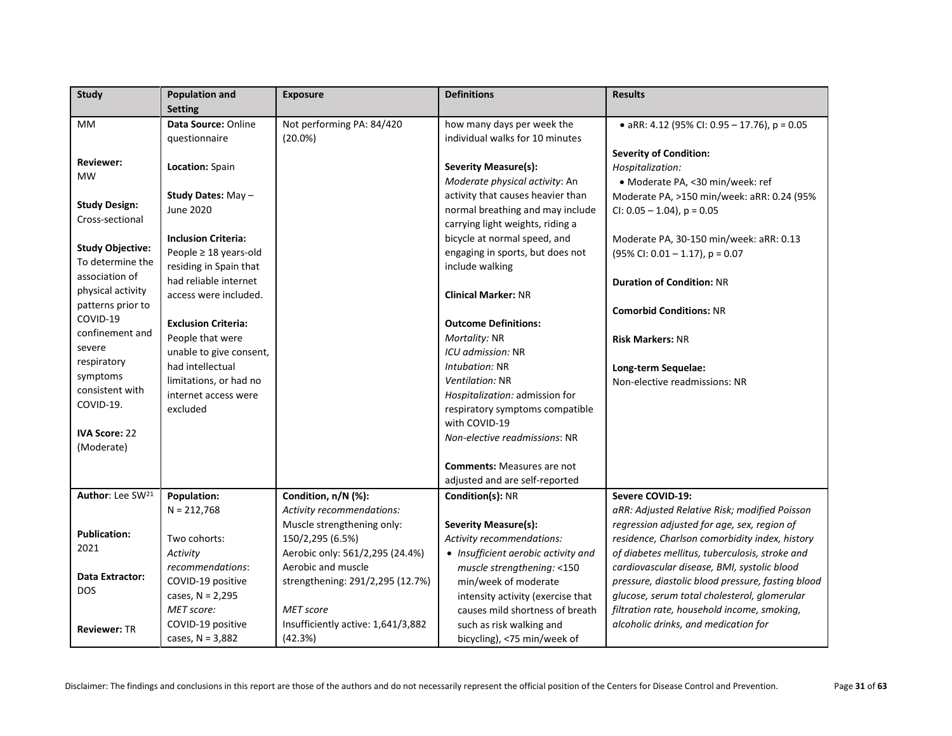| Study                        | <b>Population and</b>                       | <b>Exposure</b>                    | <b>Definitions</b>                  | <b>Results</b>                                       |
|------------------------------|---------------------------------------------|------------------------------------|-------------------------------------|------------------------------------------------------|
|                              | <b>Setting</b>                              |                                    |                                     |                                                      |
| MM                           | Data Source: Online                         | Not performing PA: 84/420          | how many days per week the          | • aRR: 4.12 (95% CI: 0.95 - 17.76), p = 0.05         |
|                              | questionnaire                               | $(20.0\%)$                         | individual walks for 10 minutes     |                                                      |
| <b>Reviewer:</b>             |                                             |                                    |                                     | <b>Severity of Condition:</b>                        |
| <b>MW</b>                    | Location: Spain                             |                                    | Severity Measure(s):                | Hospitalization:                                     |
|                              |                                             |                                    | Moderate physical activity: An      | · Moderate PA, <30 min/week: ref                     |
| <b>Study Design:</b>         | Study Dates: May -                          |                                    | activity that causes heavier than   | Moderate PA, >150 min/week: aRR: 0.24 (95%           |
| Cross-sectional              | June 2020                                   |                                    | normal breathing and may include    | CI: $0.05 - 1.04$ ), $p = 0.05$                      |
|                              |                                             |                                    | carrying light weights, riding a    |                                                      |
| <b>Study Objective:</b>      | <b>Inclusion Criteria:</b>                  |                                    | bicycle at normal speed, and        | Moderate PA, 30-150 min/week: aRR: 0.13              |
| To determine the             | People ≥ 18 years-old                       |                                    | engaging in sports, but does not    | $(95\%$ CI: 0.01 - 1.17), p = 0.07                   |
| association of               | residing in Spain that                      |                                    | include walking                     |                                                      |
| physical activity            | had reliable internet                       |                                    |                                     | <b>Duration of Condition: NR</b>                     |
| patterns prior to            | access were included.                       |                                    | <b>Clinical Marker: NR</b>          |                                                      |
| COVID-19                     |                                             |                                    |                                     | <b>Comorbid Conditions: NR</b>                       |
| confinement and              | <b>Exclusion Criteria:</b>                  |                                    | <b>Outcome Definitions:</b>         |                                                      |
| severe                       | People that were<br>unable to give consent, |                                    | Mortality: NR<br>ICU admission: NR  | <b>Risk Markers: NR</b>                              |
| respiratory                  | had intellectual                            |                                    | Intubation: NR                      |                                                      |
| symptoms                     | limitations, or had no                      |                                    | Ventilation: NR                     | Long-term Sequelae:<br>Non-elective readmissions: NR |
| consistent with              | internet access were                        |                                    | Hospitalization: admission for      |                                                      |
| COVID-19.                    | excluded                                    |                                    | respiratory symptoms compatible     |                                                      |
|                              |                                             |                                    | with COVID-19                       |                                                      |
| <b>IVA Score: 22</b>         |                                             |                                    | Non-elective readmissions: NR       |                                                      |
| (Moderate)                   |                                             |                                    |                                     |                                                      |
|                              |                                             |                                    | <b>Comments: Measures are not</b>   |                                                      |
|                              |                                             |                                    | adjusted and are self-reported      |                                                      |
| Author: Lee SW <sup>21</sup> | Population:                                 | Condition, n/N (%):                | Condition(s): NR                    | Severe COVID-19:                                     |
|                              | $N = 212,768$                               | Activity recommendations:          |                                     | aRR: Adjusted Relative Risk; modified Poisson        |
|                              |                                             | Muscle strengthening only:         | <b>Severity Measure(s):</b>         | regression adjusted for age, sex, region of          |
| <b>Publication:</b>          | Two cohorts:                                | 150/2,295 (6.5%)                   | Activity recommendations:           | residence, Charlson comorbidity index, history       |
| 2021                         | Activity                                    | Aerobic only: 561/2,295 (24.4%)    | • Insufficient aerobic activity and | of diabetes mellitus, tuberculosis, stroke and       |
|                              | recommendations:                            | Aerobic and muscle                 | muscle strengthening: <150          | cardiovascular disease, BMI, systolic blood          |
| Data Extractor:              | COVID-19 positive                           | strengthening: 291/2,295 (12.7%)   | min/week of moderate                | pressure, diastolic blood pressure, fasting blood    |
| <b>DOS</b>                   | cases, $N = 2,295$                          |                                    | intensity activity (exercise that   | glucose, serum total cholesterol, glomerular         |
|                              | MET score:                                  | <b>MET</b> score                   | causes mild shortness of breath     | filtration rate, household income, smoking,          |
| <b>Reviewer: TR</b>          | COVID-19 positive                           | Insufficiently active: 1,641/3,882 | such as risk walking and            | alcoholic drinks, and medication for                 |
|                              | cases, $N = 3,882$                          | (42.3%)                            | bicycling), <75 min/week of         |                                                      |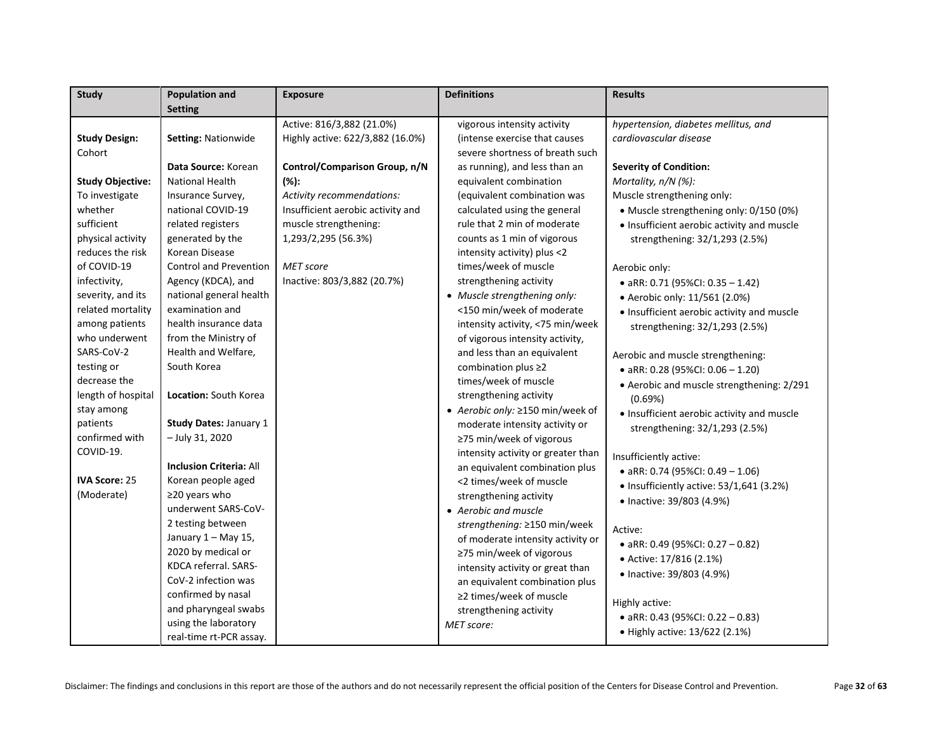| <b>Study</b>            | <b>Population and</b>          | <b>Exposure</b>                   | <b>Definitions</b>                 | <b>Results</b>                             |
|-------------------------|--------------------------------|-----------------------------------|------------------------------------|--------------------------------------------|
|                         | <b>Setting</b>                 |                                   |                                    |                                            |
|                         |                                | Active: 816/3,882 (21.0%)         | vigorous intensity activity        | hypertension, diabetes mellitus, and       |
| <b>Study Design:</b>    | Setting: Nationwide            | Highly active: 622/3,882 (16.0%)  | (intense exercise that causes      | cardiovascular disease                     |
| Cohort                  |                                |                                   | severe shortness of breath such    |                                            |
|                         | Data Source: Korean            | Control/Comparison Group, n/N     | as running), and less than an      | <b>Severity of Condition:</b>              |
| <b>Study Objective:</b> | <b>National Health</b>         | $(% )^{2}(x^{2})$                 | equivalent combination             | Mortality, n/N (%):                        |
| To investigate          | Insurance Survey,              | Activity recommendations:         | (equivalent combination was        | Muscle strengthening only:                 |
| whether                 | national COVID-19              | Insufficient aerobic activity and | calculated using the general       | • Muscle strengthening only: 0/150 (0%)    |
| sufficient              | related registers              | muscle strengthening:             | rule that 2 min of moderate        | · Insufficient aerobic activity and muscle |
| physical activity       | generated by the               | 1,293/2,295 (56.3%)               | counts as 1 min of vigorous        | strengthening: 32/1,293 (2.5%)             |
| reduces the risk        | Korean Disease                 |                                   | intensity activity) plus <2        |                                            |
| of COVID-19             | <b>Control and Prevention</b>  | <b>MET</b> score                  | times/week of muscle               | Aerobic only:                              |
| infectivity,            | Agency (KDCA), and             | Inactive: 803/3,882 (20.7%)       | strengthening activity             | • aRR: 0.71 (95%CI: 0.35 - 1.42)           |
| severity, and its       | national general health        |                                   | • Muscle strengthening only:       | • Aerobic only: 11/561 (2.0%)              |
| related mortality       | examination and                |                                   | <150 min/week of moderate          | • Insufficient aerobic activity and muscle |
| among patients          | health insurance data          |                                   | intensity activity, <75 min/week   | strengthening: 32/1,293 (2.5%)             |
| who underwent           | from the Ministry of           |                                   | of vigorous intensity activity,    |                                            |
| SARS-CoV-2              | Health and Welfare,            |                                   | and less than an equivalent        | Aerobic and muscle strengthening:          |
| testing or              | South Korea                    |                                   | combination plus ≥2                | • aRR: 0.28 (95%CI: $0.06 - 1.20$ )        |
| decrease the            |                                |                                   | times/week of muscle               | • Aerobic and muscle strengthening: 2/291  |
| length of hospital      | Location: South Korea          |                                   | strengthening activity             | (0.69%)                                    |
| stay among              |                                |                                   | ● Aerobic only: ≥150 min/week of   | • Insufficient aerobic activity and muscle |
| patients                | Study Dates: January 1         |                                   | moderate intensity activity or     | strengthening: 32/1,293 (2.5%)             |
| confirmed with          | - July 31, 2020                |                                   | ≥75 min/week of vigorous           |                                            |
| COVID-19.               |                                |                                   | intensity activity or greater than | Insufficiently active:                     |
|                         | <b>Inclusion Criteria: All</b> |                                   | an equivalent combination plus     | • aRR: 0.74 (95%CI: 0.49 - 1.06)           |
| <b>IVA Score: 25</b>    | Korean people aged             |                                   | <2 times/week of muscle            | · Insufficiently active: 53/1,641 (3.2%)   |
| (Moderate)              | $\geq$ 20 years who            |                                   | strengthening activity             | • Inactive: 39/803 (4.9%)                  |
|                         | underwent SARS-CoV-            |                                   | • Aerobic and muscle               |                                            |
|                         | 2 testing between              |                                   | strengthening: ≥150 min/week       | Active:                                    |
|                         | January 1 - May 15,            |                                   | of moderate intensity activity or  | • aRR: 0.49 (95%CI: 0.27 - 0.82)           |
|                         | 2020 by medical or             |                                   | ≥75 min/week of vigorous           | • Active: 17/816 (2.1%)                    |
|                         | KDCA referral. SARS-           |                                   | intensity activity or great than   | • Inactive: 39/803 (4.9%)                  |
|                         | CoV-2 infection was            |                                   | an equivalent combination plus     |                                            |
|                         | confirmed by nasal             |                                   | ≥2 times/week of muscle            | Highly active:                             |
|                         | and pharyngeal swabs           |                                   | strengthening activity             | • aRR: 0.43 (95%CI: 0.22 - 0.83)           |
|                         | using the laboratory           |                                   | MET score:                         | • Highly active: 13/622 (2.1%)             |
|                         | real-time rt-PCR assay.        |                                   |                                    |                                            |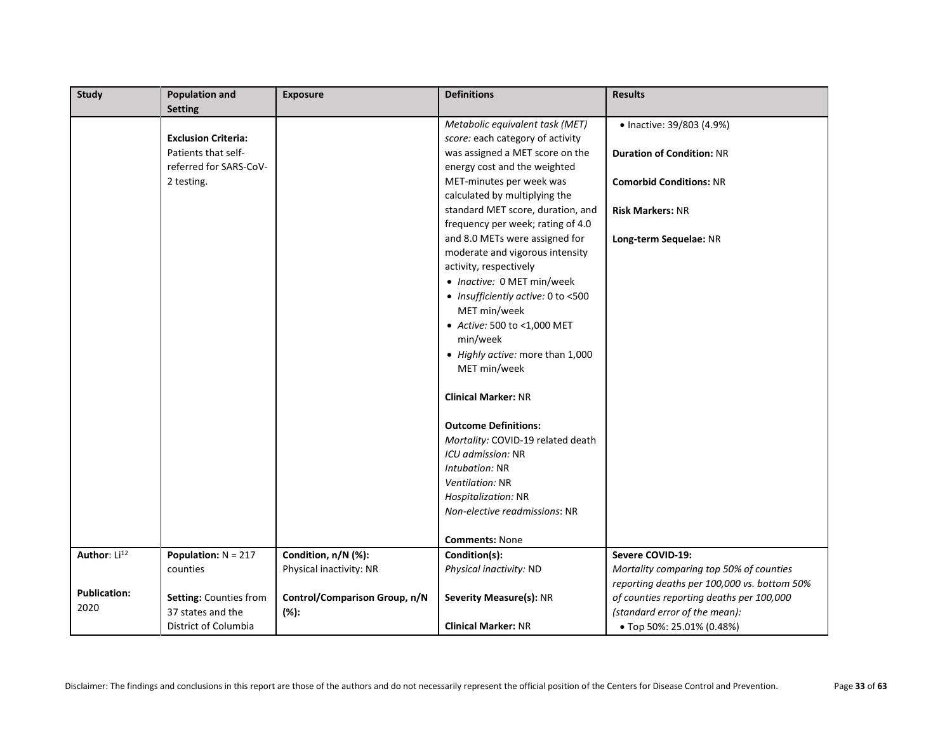| Study                    | <b>Population and</b>      | <b>Exposure</b>               | <b>Definitions</b>                 | <b>Results</b>                              |
|--------------------------|----------------------------|-------------------------------|------------------------------------|---------------------------------------------|
|                          | <b>Setting</b>             |                               |                                    |                                             |
|                          |                            |                               | Metabolic equivalent task (MET)    | • Inactive: 39/803 (4.9%)                   |
|                          | <b>Exclusion Criteria:</b> |                               | score: each category of activity   |                                             |
|                          | Patients that self-        |                               | was assigned a MET score on the    | <b>Duration of Condition: NR</b>            |
|                          | referred for SARS-CoV-     |                               | energy cost and the weighted       |                                             |
|                          | 2 testing.                 |                               | MET-minutes per week was           | <b>Comorbid Conditions: NR</b>              |
|                          |                            |                               | calculated by multiplying the      |                                             |
|                          |                            |                               | standard MET score, duration, and  | <b>Risk Markers: NR</b>                     |
|                          |                            |                               | frequency per week; rating of 4.0  |                                             |
|                          |                            |                               | and 8.0 METs were assigned for     | Long-term Sequelae: NR                      |
|                          |                            |                               | moderate and vigorous intensity    |                                             |
|                          |                            |                               | activity, respectively             |                                             |
|                          |                            |                               | • Inactive: 0 MET min/week         |                                             |
|                          |                            |                               | • Insufficiently active: 0 to <500 |                                             |
|                          |                            |                               | MET min/week                       |                                             |
|                          |                            |                               | • Active: 500 to <1,000 MET        |                                             |
|                          |                            |                               | min/week                           |                                             |
|                          |                            |                               | • Highly active: more than 1,000   |                                             |
|                          |                            |                               | MET min/week                       |                                             |
|                          |                            |                               |                                    |                                             |
|                          |                            |                               | <b>Clinical Marker: NR</b>         |                                             |
|                          |                            |                               |                                    |                                             |
|                          |                            |                               | <b>Outcome Definitions:</b>        |                                             |
|                          |                            |                               | Mortality: COVID-19 related death  |                                             |
|                          |                            |                               | ICU admission: NR                  |                                             |
|                          |                            |                               | Intubation: NR                     |                                             |
|                          |                            |                               | Ventilation: NR                    |                                             |
|                          |                            |                               | Hospitalization: NR                |                                             |
|                          |                            |                               | Non-elective readmissions: NR      |                                             |
|                          |                            |                               |                                    |                                             |
|                          |                            |                               | <b>Comments: None</b>              |                                             |
| Author: Li <sup>12</sup> | Population: $N = 217$      | Condition, n/N (%):           | Condition(s):                      | Severe COVID-19:                            |
|                          | counties                   | Physical inactivity: NR       | Physical inactivity: ND            | Mortality comparing top 50% of counties     |
| <b>Publication:</b>      |                            |                               |                                    | reporting deaths per 100,000 vs. bottom 50% |
| 2020                     | Setting: Counties from     | Control/Comparison Group, n/N | Severity Measure(s): NR            | of counties reporting deaths per 100,000    |
|                          | 37 states and the          | $(% )^{\ast }$                |                                    | (standard error of the mean):               |
|                          | District of Columbia       |                               | <b>Clinical Marker: NR</b>         | • Top 50%: 25.01% (0.48%)                   |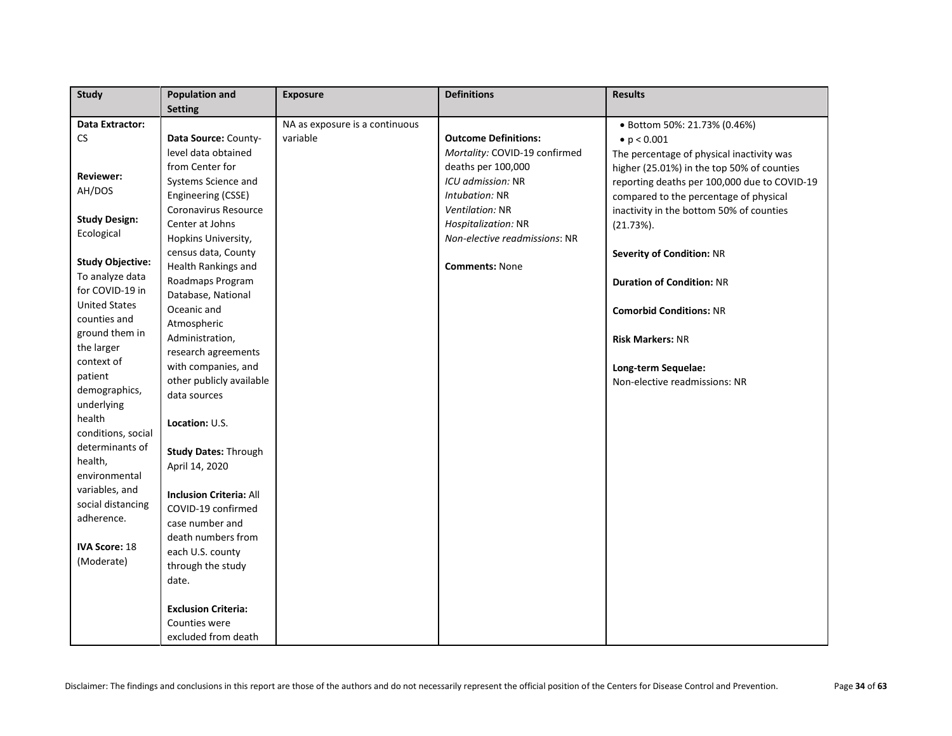| Study                   | <b>Population and</b>          | <b>Exposure</b>                | <b>Definitions</b>            | <b>Results</b>                               |
|-------------------------|--------------------------------|--------------------------------|-------------------------------|----------------------------------------------|
|                         | <b>Setting</b>                 |                                |                               |                                              |
| Data Extractor:         |                                | NA as exposure is a continuous |                               | ● Bottom 50%: 21.73% (0.46%)                 |
| CS.                     | Data Source: County-           | variable                       | <b>Outcome Definitions:</b>   | • $p < 0.001$                                |
|                         | level data obtained            |                                | Mortality: COVID-19 confirmed | The percentage of physical inactivity was    |
|                         | from Center for                |                                | deaths per 100,000            | higher (25.01%) in the top 50% of counties   |
| <b>Reviewer:</b>        | Systems Science and            |                                | ICU admission: NR             | reporting deaths per 100,000 due to COVID-19 |
| AH/DOS                  | Engineering (CSSE)             |                                | Intubation: NR                | compared to the percentage of physical       |
|                         | Coronavirus Resource           |                                | Ventilation: NR               | inactivity in the bottom 50% of counties     |
| <b>Study Design:</b>    | Center at Johns                |                                | Hospitalization: NR           | $(21.73\%).$                                 |
| Ecological              | Hopkins University,            |                                | Non-elective readmissions: NR |                                              |
|                         | census data, County            |                                |                               | <b>Severity of Condition: NR</b>             |
| <b>Study Objective:</b> | Health Rankings and            |                                | <b>Comments: None</b>         |                                              |
| To analyze data         | Roadmaps Program               |                                |                               | <b>Duration of Condition: NR</b>             |
| for COVID-19 in         | Database, National             |                                |                               |                                              |
| <b>United States</b>    | Oceanic and                    |                                |                               | <b>Comorbid Conditions: NR</b>               |
| counties and            | Atmospheric                    |                                |                               |                                              |
| ground them in          | Administration,                |                                |                               | <b>Risk Markers: NR</b>                      |
| the larger              | research agreements            |                                |                               |                                              |
| context of              | with companies, and            |                                |                               | Long-term Sequelae:                          |
| patient                 | other publicly available       |                                |                               | Non-elective readmissions: NR                |
| demographics,           | data sources                   |                                |                               |                                              |
| underlying              |                                |                                |                               |                                              |
| health                  | Location: U.S.                 |                                |                               |                                              |
| conditions, social      |                                |                                |                               |                                              |
| determinants of         | <b>Study Dates: Through</b>    |                                |                               |                                              |
| health,                 | April 14, 2020                 |                                |                               |                                              |
| environmental           |                                |                                |                               |                                              |
| variables, and          | <b>Inclusion Criteria: All</b> |                                |                               |                                              |
| social distancing       | COVID-19 confirmed             |                                |                               |                                              |
| adherence.              | case number and                |                                |                               |                                              |
|                         | death numbers from             |                                |                               |                                              |
| <b>IVA Score: 18</b>    | each U.S. county               |                                |                               |                                              |
| (Moderate)              | through the study              |                                |                               |                                              |
|                         | date.                          |                                |                               |                                              |
|                         |                                |                                |                               |                                              |
|                         | <b>Exclusion Criteria:</b>     |                                |                               |                                              |
|                         | Counties were                  |                                |                               |                                              |
|                         | excluded from death            |                                |                               |                                              |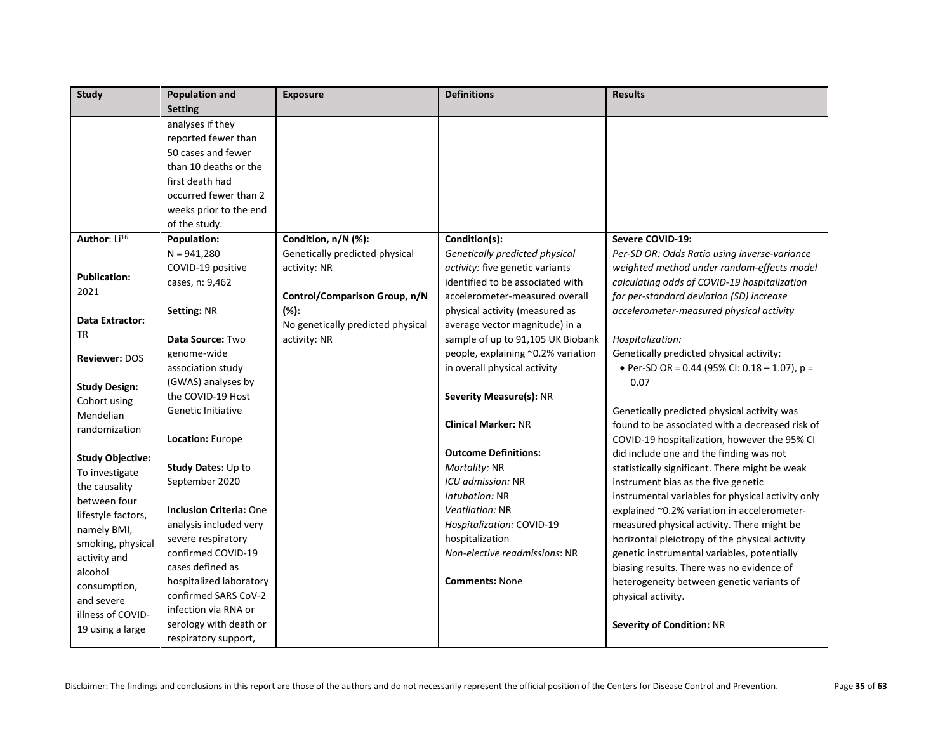| <b>Study</b>             | <b>Population and</b>          | <b>Exposure</b>                   | <b>Definitions</b>                 | <b>Results</b>                                    |
|--------------------------|--------------------------------|-----------------------------------|------------------------------------|---------------------------------------------------|
|                          | <b>Setting</b>                 |                                   |                                    |                                                   |
|                          | analyses if they               |                                   |                                    |                                                   |
|                          | reported fewer than            |                                   |                                    |                                                   |
|                          | 50 cases and fewer             |                                   |                                    |                                                   |
|                          | than 10 deaths or the          |                                   |                                    |                                                   |
|                          | first death had                |                                   |                                    |                                                   |
|                          | occurred fewer than 2          |                                   |                                    |                                                   |
|                          | weeks prior to the end         |                                   |                                    |                                                   |
|                          | of the study.                  |                                   |                                    |                                                   |
| Author: Li <sup>16</sup> | <b>Population:</b>             | Condition, n/N (%):               | Condition(s):                      | Severe COVID-19:                                  |
|                          | $N = 941,280$                  | Genetically predicted physical    | Genetically predicted physical     | Per-SD OR: Odds Ratio using inverse-variance      |
| <b>Publication:</b>      | COVID-19 positive              | activity: NR                      | activity: five genetic variants    | weighted method under random-effects model        |
| 2021                     | cases, n: 9,462                |                                   | identified to be associated with   | calculating odds of COVID-19 hospitalization      |
|                          |                                | Control/Comparison Group, n/N     | accelerometer-measured overall     | for per-standard deviation (SD) increase          |
| Data Extractor:          | <b>Setting: NR</b>             | $(% )^{\ast }$                    | physical activity (measured as     | accelerometer-measured physical activity          |
| <b>TR</b>                |                                | No genetically predicted physical | average vector magnitude) in a     |                                                   |
|                          | Data Source: Two               | activity: NR                      | sample of up to 91,105 UK Biobank  | Hospitalization:                                  |
| <b>Reviewer: DOS</b>     | genome-wide                    |                                   | people, explaining ~0.2% variation | Genetically predicted physical activity:          |
|                          | association study              |                                   | in overall physical activity       | • Per-SD OR = 0.44 (95% CI: 0.18 - 1.07), $p =$   |
| <b>Study Design:</b>     | (GWAS) analyses by             |                                   |                                    | 0.07                                              |
| Cohort using             | the COVID-19 Host              |                                   | <b>Severity Measure(s): NR</b>     |                                                   |
| Mendelian                | Genetic Initiative             |                                   |                                    | Genetically predicted physical activity was       |
| randomization            |                                |                                   | <b>Clinical Marker: NR</b>         | found to be associated with a decreased risk of   |
|                          | Location: Europe               |                                   |                                    | COVID-19 hospitalization, however the 95% CI      |
| <b>Study Objective:</b>  |                                |                                   | <b>Outcome Definitions:</b>        | did include one and the finding was not           |
| To investigate           | Study Dates: Up to             |                                   | Mortality: NR                      | statistically significant. There might be weak    |
| the causality            | September 2020                 |                                   | ICU admission: NR                  | instrument bias as the five genetic               |
| between four             |                                |                                   | Intubation: NR                     | instrumental variables for physical activity only |
| lifestyle factors,       | <b>Inclusion Criteria: One</b> |                                   | Ventilation: NR                    | explained ~0.2% variation in accelerometer-       |
| namely BMI,              | analysis included very         |                                   | Hospitalization: COVID-19          | measured physical activity. There might be        |
| smoking, physical        | severe respiratory             |                                   | hospitalization                    | horizontal pleiotropy of the physical activity    |
| activity and             | confirmed COVID-19             |                                   | Non-elective readmissions: NR      | genetic instrumental variables, potentially       |
| alcohol                  | cases defined as               |                                   |                                    | biasing results. There was no evidence of         |
| consumption,             | hospitalized laboratory        |                                   | <b>Comments: None</b>              | heterogeneity between genetic variants of         |
| and severe               | confirmed SARS CoV-2           |                                   |                                    | physical activity.                                |
| illness of COVID-        | infection via RNA or           |                                   |                                    |                                                   |
| 19 using a large         | serology with death or         |                                   |                                    | Severity of Condition: NR                         |
|                          | respiratory support,           |                                   |                                    |                                                   |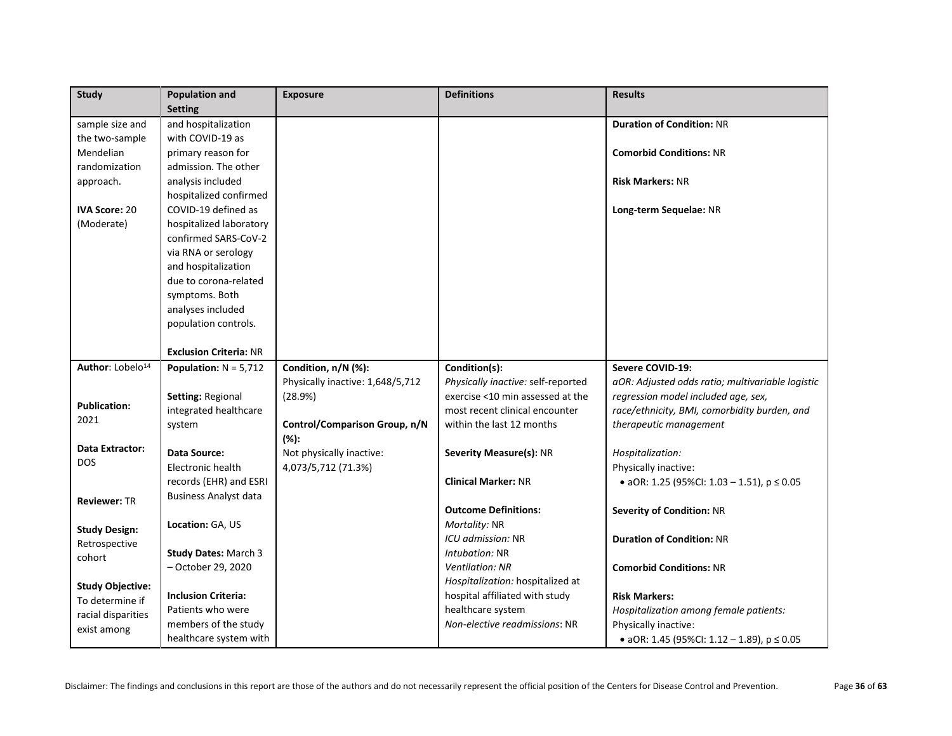| <b>Study</b>                 | <b>Population and</b>         | <b>Exposure</b>                  | <b>Definitions</b>                 | <b>Results</b>                                   |
|------------------------------|-------------------------------|----------------------------------|------------------------------------|--------------------------------------------------|
|                              | <b>Setting</b>                |                                  |                                    |                                                  |
| sample size and              | and hospitalization           |                                  |                                    | <b>Duration of Condition: NR</b>                 |
| the two-sample               | with COVID-19 as              |                                  |                                    |                                                  |
| Mendelian                    | primary reason for            |                                  |                                    | <b>Comorbid Conditions: NR</b>                   |
| randomization                | admission. The other          |                                  |                                    |                                                  |
| approach.                    | analysis included             |                                  |                                    | <b>Risk Markers: NR</b>                          |
|                              | hospitalized confirmed        |                                  |                                    |                                                  |
| IVA Score: 20                | COVID-19 defined as           |                                  |                                    | Long-term Sequelae: NR                           |
| (Moderate)                   | hospitalized laboratory       |                                  |                                    |                                                  |
|                              | confirmed SARS-CoV-2          |                                  |                                    |                                                  |
|                              | via RNA or serology           |                                  |                                    |                                                  |
|                              | and hospitalization           |                                  |                                    |                                                  |
|                              | due to corona-related         |                                  |                                    |                                                  |
|                              | symptoms. Both                |                                  |                                    |                                                  |
|                              | analyses included             |                                  |                                    |                                                  |
|                              | population controls.          |                                  |                                    |                                                  |
|                              |                               |                                  |                                    |                                                  |
|                              | <b>Exclusion Criteria: NR</b> |                                  |                                    |                                                  |
| Author: Lobelo <sup>14</sup> | Population: $N = 5,712$       | Condition, n/N (%):              | Condition(s):                      | Severe COVID-19:                                 |
|                              |                               | Physically inactive: 1,648/5,712 | Physically inactive: self-reported | aOR: Adjusted odds ratio; multivariable logistic |
| <b>Publication:</b>          | Setting: Regional             | (28.9%)                          | exercise <10 min assessed at the   | regression model included age, sex,              |
| 2021                         | integrated healthcare         |                                  | most recent clinical encounter     | race/ethnicity, BMI, comorbidity burden, and     |
|                              | system                        | Control/Comparison Group, n/N    | within the last 12 months          | therapeutic management                           |
| Data Extractor:              |                               | $(% )^{\ast }$                   |                                    |                                                  |
| <b>DOS</b>                   | Data Source:                  | Not physically inactive:         | Severity Measure(s): NR            | Hospitalization:                                 |
|                              | Electronic health             | 4,073/5,712 (71.3%)              |                                    | Physically inactive:                             |
|                              | records (EHR) and ESRI        |                                  | <b>Clinical Marker: NR</b>         | • aOR: 1.25 (95%CI: 1.03 - 1.51), $p \le 0.05$   |
| <b>Reviewer: TR</b>          | <b>Business Analyst data</b>  |                                  |                                    |                                                  |
|                              |                               |                                  | <b>Outcome Definitions:</b>        | <b>Severity of Condition: NR</b>                 |
| <b>Study Design:</b>         | Location: GA, US              |                                  | Mortality: NR                      |                                                  |
| Retrospective                |                               |                                  | ICU admission: NR                  | <b>Duration of Condition: NR</b>                 |
| cohort                       | <b>Study Dates: March 3</b>   |                                  | Intubation: NR                     |                                                  |
|                              | - October 29, 2020            |                                  | <b>Ventilation: NR</b>             | <b>Comorbid Conditions: NR</b>                   |
| <b>Study Objective:</b>      |                               |                                  | Hospitalization: hospitalized at   |                                                  |
| To determine if              | <b>Inclusion Criteria:</b>    |                                  | hospital affiliated with study     | <b>Risk Markers:</b>                             |
| racial disparities           | Patients who were             |                                  | healthcare system                  | Hospitalization among female patients:           |
| exist among                  | members of the study          |                                  | Non-elective readmissions: NR      | Physically inactive:                             |
|                              | healthcare system with        |                                  |                                    | • aOR: 1.45 (95%Cl: 1.12 - 1.89), $p \le 0.05$   |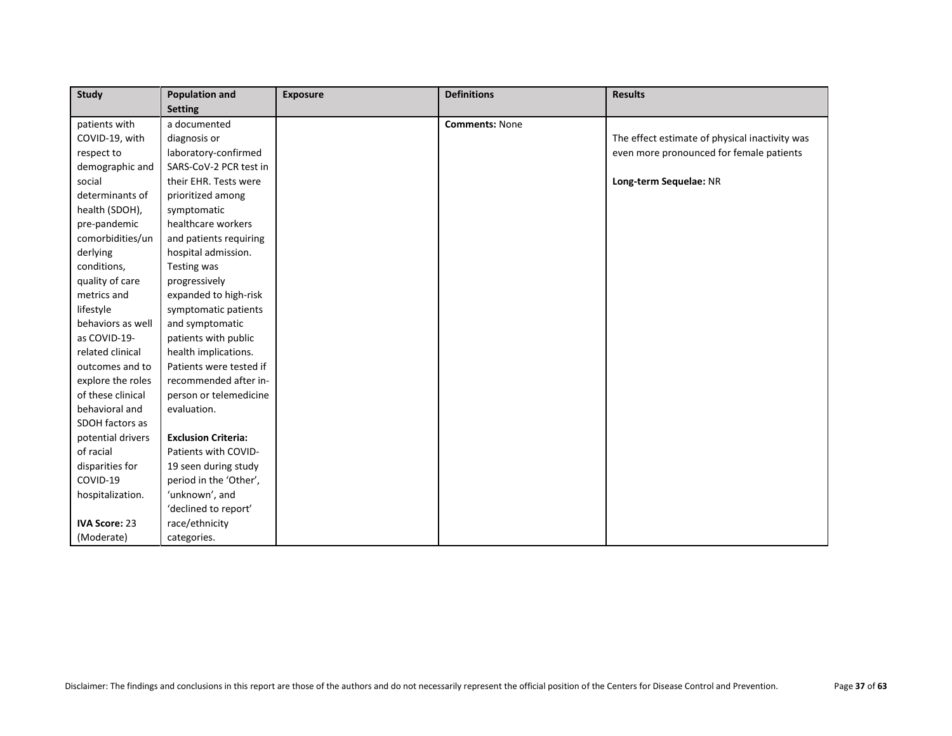| Study                | <b>Population and</b>      | <b>Exposure</b> | <b>Definitions</b>    | <b>Results</b>                                 |
|----------------------|----------------------------|-----------------|-----------------------|------------------------------------------------|
|                      | <b>Setting</b>             |                 |                       |                                                |
| patients with        | a documented               |                 | <b>Comments: None</b> |                                                |
| COVID-19, with       | diagnosis or               |                 |                       | The effect estimate of physical inactivity was |
| respect to           | laboratory-confirmed       |                 |                       | even more pronounced for female patients       |
| demographic and      | SARS-CoV-2 PCR test in     |                 |                       |                                                |
| social               | their EHR. Tests were      |                 |                       | Long-term Sequelae: NR                         |
| determinants of      | prioritized among          |                 |                       |                                                |
| health (SDOH),       | symptomatic                |                 |                       |                                                |
| pre-pandemic         | healthcare workers         |                 |                       |                                                |
| comorbidities/un     | and patients requiring     |                 |                       |                                                |
| derlying             | hospital admission.        |                 |                       |                                                |
| conditions,          | Testing was                |                 |                       |                                                |
| quality of care      | progressively              |                 |                       |                                                |
| metrics and          | expanded to high-risk      |                 |                       |                                                |
| lifestyle            | symptomatic patients       |                 |                       |                                                |
| behaviors as well    | and symptomatic            |                 |                       |                                                |
| as COVID-19-         | patients with public       |                 |                       |                                                |
| related clinical     | health implications.       |                 |                       |                                                |
| outcomes and to      | Patients were tested if    |                 |                       |                                                |
| explore the roles    | recommended after in-      |                 |                       |                                                |
| of these clinical    | person or telemedicine     |                 |                       |                                                |
| behavioral and       | evaluation.                |                 |                       |                                                |
| SDOH factors as      |                            |                 |                       |                                                |
| potential drivers    | <b>Exclusion Criteria:</b> |                 |                       |                                                |
| of racial            | Patients with COVID-       |                 |                       |                                                |
| disparities for      | 19 seen during study       |                 |                       |                                                |
| COVID-19             | period in the 'Other',     |                 |                       |                                                |
| hospitalization.     | 'unknown', and             |                 |                       |                                                |
|                      | 'declined to report'       |                 |                       |                                                |
| <b>IVA Score: 23</b> | race/ethnicity             |                 |                       |                                                |
| (Moderate)           | categories.                |                 |                       |                                                |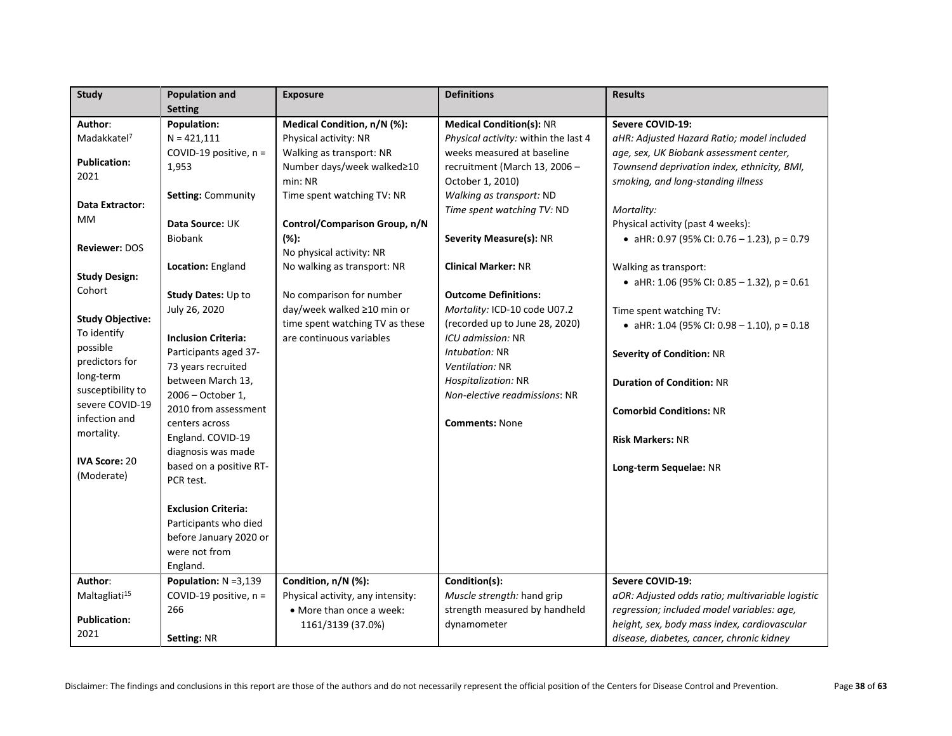| <b>Study</b>              | <b>Population and</b>               | <b>Exposure</b>                   | <b>Definitions</b>                   | <b>Results</b>                                   |
|---------------------------|-------------------------------------|-----------------------------------|--------------------------------------|--------------------------------------------------|
|                           | <b>Setting</b>                      |                                   |                                      |                                                  |
| Author:                   | Population:                         | Medical Condition, n/N (%):       | <b>Medical Condition(s): NR</b>      | <b>Severe COVID-19:</b>                          |
| Madakkatel <sup>7</sup>   | $N = 421,111$                       | Physical activity: NR             | Physical activity: within the last 4 | aHR: Adjusted Hazard Ratio; model included       |
| <b>Publication:</b>       | COVID-19 positive, n =              | Walking as transport: NR          | weeks measured at baseline           | age, sex, UK Biobank assessment center,          |
|                           | 1,953                               | Number days/week walked≥10        | recruitment (March 13, 2006 -        | Townsend deprivation index, ethnicity, BMI,      |
| 2021                      |                                     | min: NR                           | October 1, 2010)                     | smoking, and long-standing illness               |
| Data Extractor:           | Setting: Community                  | Time spent watching TV: NR        | Walking as transport: ND             |                                                  |
| МM                        |                                     |                                   | Time spent watching TV: ND           | Mortality:                                       |
|                           | Data Source: UK                     | Control/Comparison Group, n/N     |                                      | Physical activity (past 4 weeks):                |
| <b>Reviewer: DOS</b>      | <b>Biobank</b>                      | (%):                              | Severity Measure(s): NR              | • aHR: 0.97 (95% CI: 0.76 - 1.23), p = 0.79      |
|                           |                                     | No physical activity: NR          |                                      |                                                  |
| <b>Study Design:</b>      | Location: England                   | No walking as transport: NR       | <b>Clinical Marker: NR</b>           | Walking as transport:                            |
| Cohort                    |                                     |                                   |                                      | • aHR: 1.06 (95% CI: 0.85 - 1.32), $p = 0.61$    |
|                           | Study Dates: Up to                  | No comparison for number          | <b>Outcome Definitions:</b>          |                                                  |
| <b>Study Objective:</b>   | July 26, 2020                       | day/week walked ≥10 min or        | Mortality: ICD-10 code U07.2         | Time spent watching TV:                          |
| To identify               |                                     | time spent watching TV as these   | (recorded up to June 28, 2020)       | • aHR: 1.04 (95% CI: 0.98 - 1.10), $p = 0.18$    |
| possible                  | <b>Inclusion Criteria:</b>          | are continuous variables          | ICU admission: NR                    |                                                  |
| predictors for            | Participants aged 37-               |                                   | Intubation: NR                       | <b>Severity of Condition: NR</b>                 |
| long-term                 | 73 years recruited                  |                                   | Ventilation: NR                      |                                                  |
| susceptibility to         | between March 13,                   |                                   | Hospitalization: NR                  | <b>Duration of Condition: NR</b>                 |
| severe COVID-19           | 2006 - October 1,                   |                                   | Non-elective readmissions: NR        |                                                  |
| infection and             | 2010 from assessment                |                                   |                                      | <b>Comorbid Conditions: NR</b>                   |
| mortality.                | centers across<br>England. COVID-19 |                                   | <b>Comments: None</b>                |                                                  |
|                           | diagnosis was made                  |                                   |                                      | <b>Risk Markers: NR</b>                          |
| <b>IVA Score: 20</b>      | based on a positive RT-             |                                   |                                      |                                                  |
| (Moderate)                | PCR test.                           |                                   |                                      | Long-term Sequelae: NR                           |
|                           |                                     |                                   |                                      |                                                  |
|                           | <b>Exclusion Criteria:</b>          |                                   |                                      |                                                  |
|                           | Participants who died               |                                   |                                      |                                                  |
|                           | before January 2020 or              |                                   |                                      |                                                  |
|                           | were not from                       |                                   |                                      |                                                  |
|                           | England.                            |                                   |                                      |                                                  |
| Author:                   | Population: N =3,139                | Condition, n/N (%):               | Condition(s):                        | Severe COVID-19:                                 |
| Maltagliati <sup>15</sup> | COVID-19 positive, n =              | Physical activity, any intensity: | Muscle strength: hand grip           | aOR: Adjusted odds ratio; multivariable logistic |
|                           | 266                                 | • More than once a week:          | strength measured by handheld        | regression; included model variables: age,       |
| <b>Publication:</b>       |                                     | 1161/3139 (37.0%)                 | dynamometer                          | height, sex, body mass index, cardiovascular     |
| 2021                      | Setting: NR                         |                                   |                                      | disease, diabetes, cancer, chronic kidney        |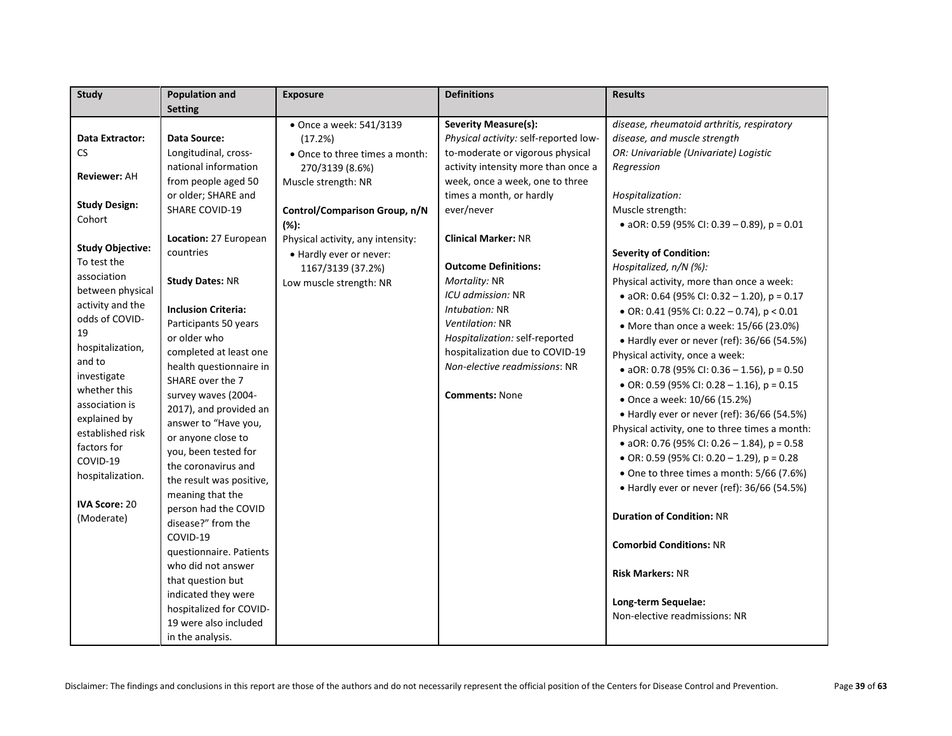| <b>Study</b>            | <b>Population and</b>      | <b>Exposure</b>                   | <b>Definitions</b>                    | <b>Results</b>                                 |
|-------------------------|----------------------------|-----------------------------------|---------------------------------------|------------------------------------------------|
|                         | <b>Setting</b>             |                                   |                                       |                                                |
|                         |                            | • Once a week: 541/3139           | <b>Severity Measure(s):</b>           | disease, rheumatoid arthritis, respiratory     |
| <b>Data Extractor:</b>  | <b>Data Source:</b>        | (17.2%)                           | Physical activity: self-reported low- | disease, and muscle strength                   |
| CS                      | Longitudinal, cross-       | • Once to three times a month:    | to-moderate or vigorous physical      | OR: Univariable (Univariate) Logistic          |
|                         | national information       | 270/3139 (8.6%)                   | activity intensity more than once a   | Regression                                     |
| <b>Reviewer: AH</b>     | from people aged 50        | Muscle strength: NR               | week, once a week, one to three       |                                                |
|                         | or older; SHARE and        |                                   | times a month, or hardly              | Hospitalization:                               |
| <b>Study Design:</b>    | <b>SHARE COVID-19</b>      | Control/Comparison Group, n/N     | ever/never                            | Muscle strength:                               |
| Cohort                  |                            | $(% )^{\ast }$                    |                                       | • aOR: 0.59 (95% CI: 0.39 – 0.89), $p = 0.01$  |
|                         | Location: 27 European      | Physical activity, any intensity: | <b>Clinical Marker: NR</b>            |                                                |
| <b>Study Objective:</b> | countries                  | • Hardly ever or never:           |                                       | <b>Severity of Condition:</b>                  |
| To test the             |                            | 1167/3139 (37.2%)                 | <b>Outcome Definitions:</b>           | Hospitalized, n/N (%):                         |
| association             | <b>Study Dates: NR</b>     | Low muscle strength: NR           | Mortality: NR                         | Physical activity, more than once a week:      |
| between physical        |                            |                                   | ICU admission: NR                     | • aOR: 0.64 (95% CI: 0.32 - 1.20), $p = 0.17$  |
| activity and the        | <b>Inclusion Criteria:</b> |                                   | Intubation: NR                        | • OR: 0.41 (95% CI: 0.22 - 0.74), $p < 0.01$   |
| odds of COVID-          | Participants 50 years      |                                   | Ventilation: NR                       | • More than once a week: 15/66 (23.0%)         |
| 19                      | or older who               |                                   | Hospitalization: self-reported        | • Hardly ever or never (ref): 36/66 (54.5%)    |
| hospitalization,        | completed at least one     |                                   | hospitalization due to COVID-19       | Physical activity, once a week:                |
| and to                  | health questionnaire in    |                                   | Non-elective readmissions: NR         | • aOR: 0.78 (95% CI: 0.36 - 1.56), $p = 0.50$  |
| investigate             | SHARE over the 7           |                                   |                                       | • OR: 0.59 (95% CI: 0.28 - 1.16), $p = 0.15$   |
| whether this            | survey waves (2004-        |                                   | <b>Comments: None</b>                 | • Once a week: 10/66 (15.2%)                   |
| association is          | 2017), and provided an     |                                   |                                       | • Hardly ever or never (ref): 36/66 (54.5%)    |
| explained by            | answer to "Have you,       |                                   |                                       | Physical activity, one to three times a month: |
| established risk        | or anyone close to         |                                   |                                       | • aOR: 0.76 (95% CI: 0.26 - 1.84), $p = 0.58$  |
| factors for             | you, been tested for       |                                   |                                       | • OR: 0.59 (95% CI: 0.20 - 1.29), $p = 0.28$   |
| COVID-19                | the coronavirus and        |                                   |                                       | • One to three times a month: 5/66 (7.6%)      |
| hospitalization.        | the result was positive,   |                                   |                                       | • Hardly ever or never (ref): 36/66 (54.5%)    |
|                         | meaning that the           |                                   |                                       |                                                |
| <b>IVA Score: 20</b>    | person had the COVID       |                                   |                                       | <b>Duration of Condition: NR</b>               |
| (Moderate)              | disease?" from the         |                                   |                                       |                                                |
|                         | COVID-19                   |                                   |                                       | <b>Comorbid Conditions: NR</b>                 |
|                         | questionnaire. Patients    |                                   |                                       |                                                |
|                         | who did not answer         |                                   |                                       | <b>Risk Markers: NR</b>                        |
|                         | that question but          |                                   |                                       |                                                |
|                         | indicated they were        |                                   |                                       | Long-term Sequelae:                            |
|                         | hospitalized for COVID-    |                                   |                                       | Non-elective readmissions: NR                  |
|                         | 19 were also included      |                                   |                                       |                                                |
|                         | in the analysis.           |                                   |                                       |                                                |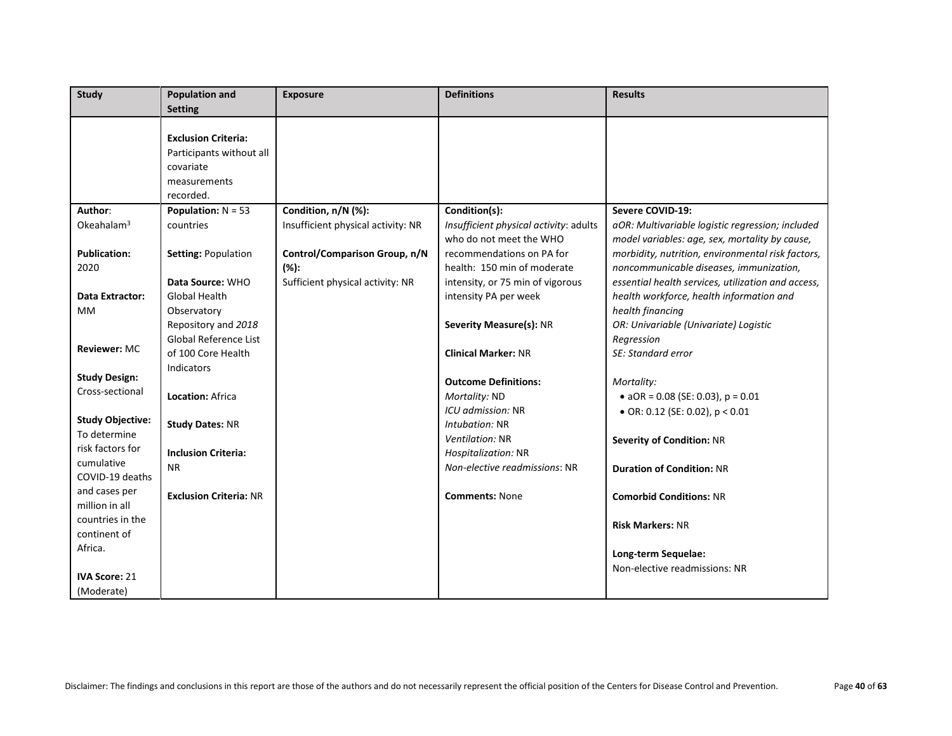| <b>Study</b>            | <b>Population and</b><br><b>Setting</b> | <b>Exposure</b>                    | <b>Definitions</b>                     | <b>Results</b>                                     |
|-------------------------|-----------------------------------------|------------------------------------|----------------------------------------|----------------------------------------------------|
|                         |                                         |                                    |                                        |                                                    |
|                         | <b>Exclusion Criteria:</b>              |                                    |                                        |                                                    |
|                         | Participants without all                |                                    |                                        |                                                    |
|                         | covariate                               |                                    |                                        |                                                    |
|                         | measurements                            |                                    |                                        |                                                    |
|                         | recorded.                               |                                    |                                        |                                                    |
| Author:                 | <b>Population:</b> $N = 53$             | Condition, n/N (%):                | Condition(s):                          | Severe COVID-19:                                   |
| Okeahalam <sup>3</sup>  | countries                               | Insufficient physical activity: NR | Insufficient physical activity: adults | aOR: Multivariable logistic regression; included   |
|                         |                                         |                                    | who do not meet the WHO                | model variables: age, sex, mortality by cause,     |
| <b>Publication:</b>     | Setting: Population                     | Control/Comparison Group, n/N      | recommendations on PA for              | morbidity, nutrition, environmental risk factors,  |
| 2020                    |                                         | $(% )^{\ast }$                     | health: 150 min of moderate            | noncommunicable diseases, immunization,            |
|                         | Data Source: WHO                        | Sufficient physical activity: NR   | intensity, or 75 min of vigorous       | essential health services, utilization and access, |
| Data Extractor:         | <b>Global Health</b>                    |                                    | intensity PA per week                  | health workforce, health information and           |
| <b>MM</b>               | Observatory                             |                                    |                                        | health financing                                   |
|                         | Repository and 2018                     |                                    | Severity Measure(s): NR                | OR: Univariable (Univariate) Logistic              |
|                         | Global Reference List                   |                                    |                                        | Regression                                         |
| <b>Reviewer: MC</b>     | of 100 Core Health                      |                                    | <b>Clinical Marker: NR</b>             | SE: Standard error                                 |
|                         | Indicators                              |                                    |                                        |                                                    |
| <b>Study Design:</b>    |                                         |                                    | <b>Outcome Definitions:</b>            | Mortality:                                         |
| Cross-sectional         | <b>Location: Africa</b>                 |                                    | Mortality: ND                          | • $aOR = 0.08$ (SE: 0.03), $p = 0.01$              |
|                         |                                         |                                    | ICU admission: NR                      | $\bullet$ OR: 0.12 (SE: 0.02), p < 0.01            |
| <b>Study Objective:</b> | <b>Study Dates: NR</b>                  |                                    | Intubation: NR                         |                                                    |
| To determine            |                                         |                                    | Ventilation: NR                        | <b>Severity of Condition: NR</b>                   |
| risk factors for        | <b>Inclusion Criteria:</b>              |                                    | Hospitalization: NR                    |                                                    |
| cumulative              | <b>NR</b>                               |                                    | Non-elective readmissions: NR          | <b>Duration of Condition: NR</b>                   |
| COVID-19 deaths         |                                         |                                    |                                        |                                                    |
| and cases per           | <b>Exclusion Criteria: NR</b>           |                                    | <b>Comments: None</b>                  | <b>Comorbid Conditions: NR</b>                     |
| million in all          |                                         |                                    |                                        |                                                    |
| countries in the        |                                         |                                    |                                        | <b>Risk Markers: NR</b>                            |
| continent of            |                                         |                                    |                                        |                                                    |
| Africa.                 |                                         |                                    |                                        | Long-term Sequelae:                                |
|                         |                                         |                                    |                                        | Non-elective readmissions: NR                      |
| <b>IVA Score: 21</b>    |                                         |                                    |                                        |                                                    |
| (Moderate)              |                                         |                                    |                                        |                                                    |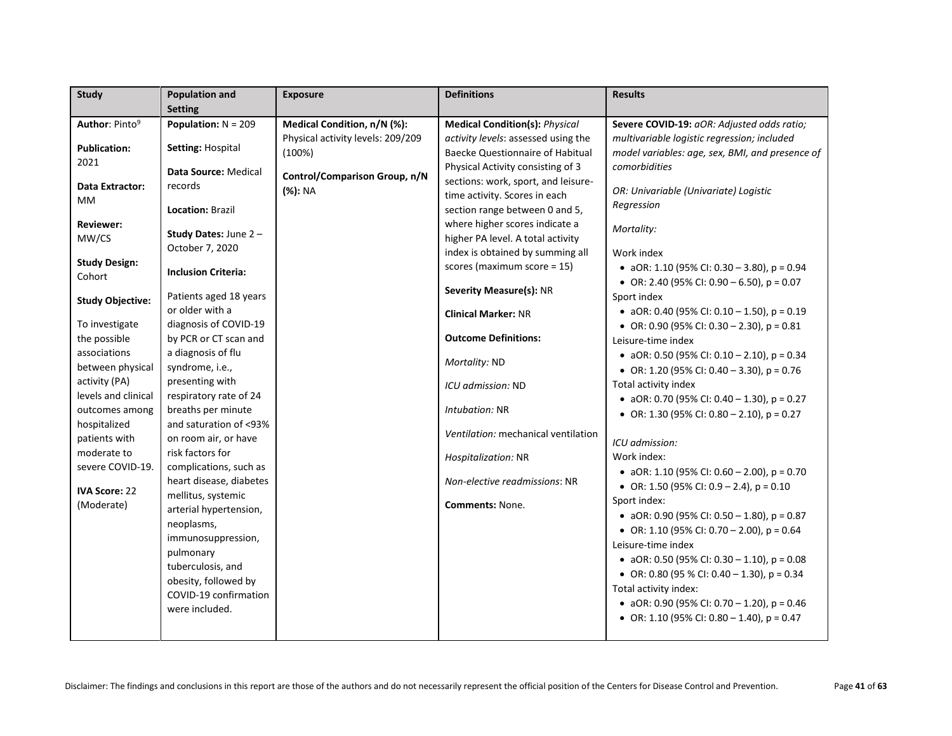| <b>Study</b>                | <b>Population and</b>          | <b>Exposure</b>                   | <b>Definitions</b>                                                    | <b>Results</b>                                              |
|-----------------------------|--------------------------------|-----------------------------------|-----------------------------------------------------------------------|-------------------------------------------------------------|
|                             | <b>Setting</b>                 |                                   |                                                                       |                                                             |
| Author: Pinto <sup>9</sup>  | Population: $N = 209$          | Medical Condition, n/N (%):       | <b>Medical Condition(s): Physical</b>                                 | Severe COVID-19: aOR: Adjusted odds ratio;                  |
|                             |                                | Physical activity levels: 209/209 | activity levels: assessed using the                                   | multivariable logistic regression; included                 |
| <b>Publication:</b><br>2021 | Setting: Hospital              | (100%)                            | <b>Baecke Questionnaire of Habitual</b>                               | model variables: age, sex, BMI, and presence of             |
|                             | Data Source: Medical           | Control/Comparison Group, n/N     | Physical Activity consisting of 3                                     | comorbidities                                               |
| <b>Data Extractor:</b>      | records                        | (%): NA                           | sections: work, sport, and leisure-                                   | OR: Univariable (Univariate) Logistic                       |
| МM                          |                                |                                   | time activity. Scores in each                                         | Regression                                                  |
|                             | Location: Brazil               |                                   | section range between 0 and 5,                                        |                                                             |
| <b>Reviewer:</b><br>MW/CS   | Study Dates: June 2-           |                                   | where higher scores indicate a                                        | Mortality:                                                  |
|                             | October 7, 2020                |                                   | higher PA level. A total activity<br>index is obtained by summing all | Work index                                                  |
| <b>Study Design:</b>        |                                |                                   | scores (maximum score = 15)                                           |                                                             |
| Cohort                      | <b>Inclusion Criteria:</b>     |                                   |                                                                       | • aOR: 1.10 (95% CI: 0.30 - 3.80), $p = 0.94$               |
|                             | Patients aged 18 years         |                                   | <b>Severity Measure(s): NR</b>                                        | • OR: 2.40 (95% CI: 0.90 – 6.50), $p = 0.07$<br>Sport index |
| <b>Study Objective:</b>     | or older with a                |                                   |                                                                       | • aOR: 0.40 (95% CI: 0.10 - 1.50), $p = 0.19$               |
| To investigate              | diagnosis of COVID-19          |                                   | <b>Clinical Marker: NR</b>                                            | • OR: 0.90 (95% CI: 0.30 - 2.30), $p = 0.81$                |
| the possible                | by PCR or CT scan and          |                                   | <b>Outcome Definitions:</b>                                           | Leisure-time index                                          |
| associations                | a diagnosis of flu             |                                   |                                                                       | • aOR: 0.50 (95% CI: 0.10 - 2.10), $p = 0.34$               |
| between physical            | syndrome, i.e.,                |                                   | Mortality: ND                                                         | • OR: 1.20 (95% CI: 0.40 - 3.30), $p = 0.76$                |
| activity (PA)               | presenting with                |                                   | ICU admission: ND                                                     | Total activity index                                        |
| levels and clinical         | respiratory rate of 24         |                                   |                                                                       | • aOR: 0.70 (95% CI: 0.40 - 1.30), $p = 0.27$               |
| outcomes among              | breaths per minute             |                                   | Intubation: NR                                                        | • OR: 1.30 (95% CI: 0.80 - 2.10), $p = 0.27$                |
| hospitalized                | and saturation of <93%         |                                   |                                                                       |                                                             |
| patients with               | on room air, or have           |                                   | Ventilation: mechanical ventilation                                   | ICU admission:                                              |
| moderate to                 | risk factors for               |                                   | Hospitalization: NR                                                   | Work index:                                                 |
| severe COVID-19.            | complications, such as         |                                   |                                                                       | • aOR: 1.10 (95% CI: 0.60 - 2.00), $p = 0.70$               |
| <b>IVA Score: 22</b>        | heart disease, diabetes        |                                   | Non-elective readmissions: NR                                         | • OR: 1.50 (95% CI: 0.9 - 2.4), $p = 0.10$                  |
| (Moderate)                  | mellitus, systemic             |                                   | <b>Comments: None.</b>                                                | Sport index:                                                |
|                             | arterial hypertension,         |                                   |                                                                       | • aOR: 0.90 (95% CI: 0.50 - 1.80), $p = 0.87$               |
|                             | neoplasms,                     |                                   |                                                                       | • OR: 1.10 (95% CI: 0.70 - 2.00), $p = 0.64$                |
|                             | immunosuppression,             |                                   |                                                                       | Leisure-time index                                          |
|                             | pulmonary<br>tuberculosis, and |                                   |                                                                       | • aOR: 0.50 (95% CI: 0.30 - 1.10), $p = 0.08$               |
|                             | obesity, followed by           |                                   |                                                                       | • OR: 0.80 (95 % CI: 0.40 - 1.30), $p = 0.34$               |
|                             | COVID-19 confirmation          |                                   |                                                                       | Total activity index:                                       |
|                             | were included.                 |                                   |                                                                       | • aOR: 0.90 (95% CI: 0.70 - 1.20), $p = 0.46$               |
|                             |                                |                                   |                                                                       | • OR: 1.10 (95% CI: 0.80 - 1.40), $p = 0.47$                |
|                             |                                |                                   |                                                                       |                                                             |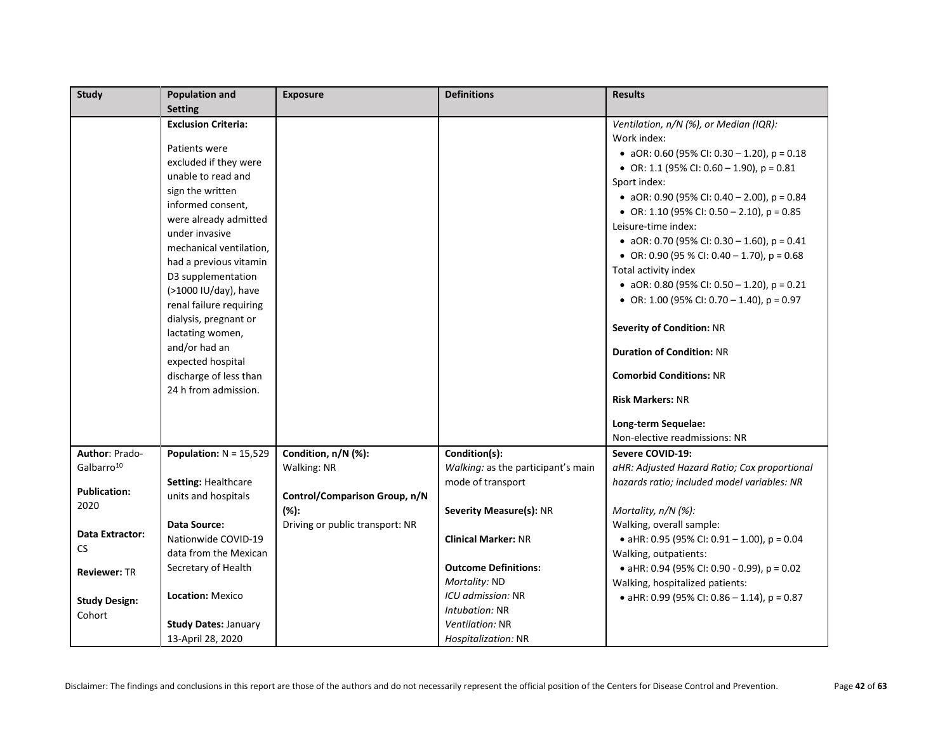| <b>Study</b>           | <b>Population and</b>                          | <b>Exposure</b>                 | <b>Definitions</b>                 | <b>Results</b>                                |
|------------------------|------------------------------------------------|---------------------------------|------------------------------------|-----------------------------------------------|
|                        | <b>Setting</b>                                 |                                 |                                    |                                               |
|                        | <b>Exclusion Criteria:</b>                     |                                 |                                    | Ventilation, n/N (%), or Median (IQR):        |
|                        |                                                |                                 |                                    | Work index:                                   |
|                        | Patients were                                  |                                 |                                    | • aOR: 0.60 (95% CI: 0.30 - 1.20), $p = 0.18$ |
|                        | excluded if they were                          |                                 |                                    | • OR: 1.1 (95% CI: 0.60 – 1.90), $p = 0.81$   |
|                        | unable to read and                             |                                 |                                    | Sport index:                                  |
|                        | sign the written                               |                                 |                                    | • aOR: 0.90 (95% CI: 0.40 - 2.00), $p = 0.84$ |
|                        | informed consent,                              |                                 |                                    | • OR: 1.10 (95% CI: 0.50 - 2.10), $p = 0.85$  |
|                        | were already admitted                          |                                 |                                    | Leisure-time index:                           |
|                        | under invasive                                 |                                 |                                    | • aOR: 0.70 (95% CI: 0.30 - 1.60), $p = 0.41$ |
|                        | mechanical ventilation,                        |                                 |                                    | • OR: 0.90 (95 % CI: 0.40 – 1.70), $p = 0.68$ |
|                        | had a previous vitamin                         |                                 |                                    | Total activity index                          |
|                        | D3 supplementation                             |                                 |                                    | • aOR: 0.80 (95% CI: 0.50 - 1.20), $p = 0.21$ |
|                        | (>1000 IU/day), have                           |                                 |                                    | • OR: 1.00 (95% CI: 0.70 - 1.40), $p = 0.97$  |
|                        | renal failure requiring                        |                                 |                                    |                                               |
|                        | dialysis, pregnant or                          |                                 |                                    | <b>Severity of Condition: NR</b>              |
|                        | lactating women,                               |                                 |                                    |                                               |
|                        | and/or had an                                  |                                 |                                    | <b>Duration of Condition: NR</b>              |
|                        | expected hospital                              |                                 |                                    |                                               |
|                        | discharge of less than<br>24 h from admission. |                                 |                                    | <b>Comorbid Conditions: NR</b>                |
|                        |                                                |                                 |                                    | <b>Risk Markers: NR</b>                       |
|                        |                                                |                                 |                                    | Long-term Sequelae:                           |
|                        |                                                |                                 |                                    | Non-elective readmissions: NR                 |
| Author: Prado-         | Population: $N = 15,529$                       | Condition, n/N (%):             | Condition(s):                      | Severe COVID-19:                              |
| Galbarro <sup>10</sup> |                                                | Walking: NR                     | Walking: as the participant's main | aHR: Adjusted Hazard Ratio; Cox proportional  |
|                        | Setting: Healthcare                            |                                 | mode of transport                  | hazards ratio; included model variables: NR   |
| <b>Publication:</b>    | units and hospitals                            | Control/Comparison Group, n/N   |                                    |                                               |
| 2020                   |                                                | $(% )^{\ast }$                  | Severity Measure(s): NR            | Mortality, n/N (%):                           |
|                        | <b>Data Source:</b>                            | Driving or public transport: NR |                                    | Walking, overall sample:                      |
| <b>Data Extractor:</b> | Nationwide COVID-19                            |                                 | <b>Clinical Marker: NR</b>         | • aHR: 0.95 (95% CI: 0.91 - 1.00), p = 0.04   |
| CS                     | data from the Mexican                          |                                 |                                    | Walking, outpatients:                         |
| <b>Reviewer: TR</b>    | Secretary of Health                            |                                 | <b>Outcome Definitions:</b>        | • aHR: 0.94 (95% CI: 0.90 - 0.99), $p = 0.02$ |
|                        |                                                |                                 | Mortality: ND                      | Walking, hospitalized patients:               |
| <b>Study Design:</b>   | Location: Mexico                               |                                 | ICU admission: NR                  | • aHR: 0.99 (95% CI: 0.86 - 1.14), $p = 0.87$ |
| Cohort                 |                                                |                                 | Intubation: NR                     |                                               |
|                        | <b>Study Dates: January</b>                    |                                 | Ventilation: NR                    |                                               |
|                        | 13-April 28, 2020                              |                                 | Hospitalization: NR                |                                               |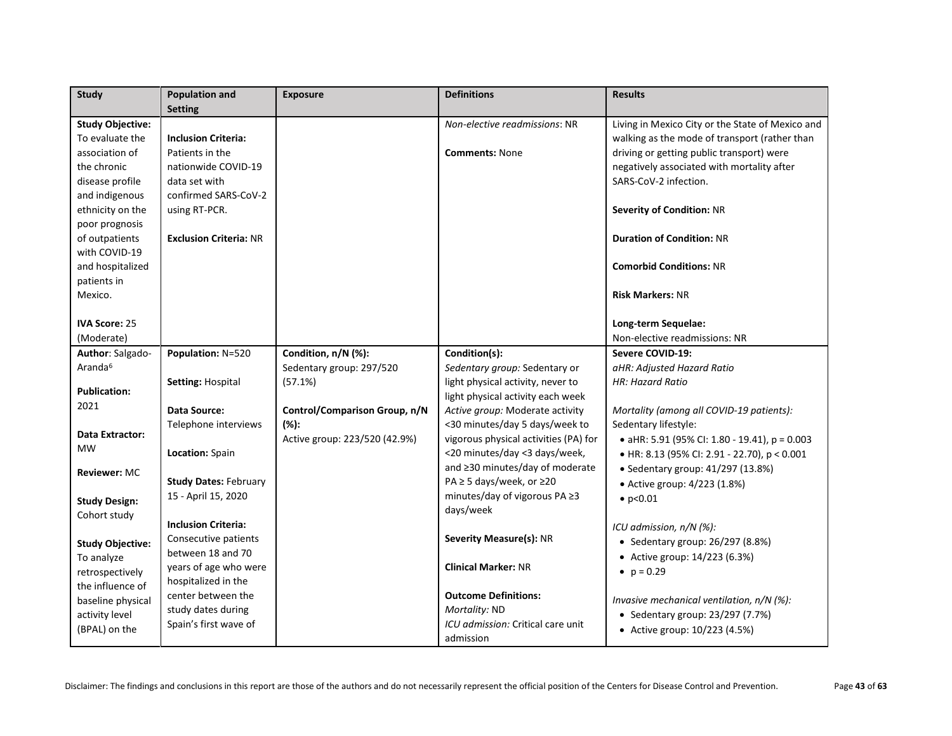| <b>Study</b>            | <b>Population and</b>         | <b>Exposure</b>               | <b>Definitions</b>                    | <b>Results</b>                                   |
|-------------------------|-------------------------------|-------------------------------|---------------------------------------|--------------------------------------------------|
|                         | <b>Setting</b>                |                               |                                       |                                                  |
| <b>Study Objective:</b> |                               |                               | Non-elective readmissions: NR         | Living in Mexico City or the State of Mexico and |
| To evaluate the         | <b>Inclusion Criteria:</b>    |                               |                                       | walking as the mode of transport (rather than    |
| association of          | Patients in the               |                               | <b>Comments: None</b>                 | driving or getting public transport) were        |
| the chronic             | nationwide COVID-19           |                               |                                       | negatively associated with mortality after       |
| disease profile         | data set with                 |                               |                                       | SARS-CoV-2 infection.                            |
| and indigenous          | confirmed SARS-CoV-2          |                               |                                       |                                                  |
| ethnicity on the        | using RT-PCR.                 |                               |                                       | <b>Severity of Condition: NR</b>                 |
| poor prognosis          |                               |                               |                                       |                                                  |
| of outpatients          | <b>Exclusion Criteria: NR</b> |                               |                                       | <b>Duration of Condition: NR</b>                 |
| with COVID-19           |                               |                               |                                       |                                                  |
| and hospitalized        |                               |                               |                                       | <b>Comorbid Conditions: NR</b>                   |
| patients in             |                               |                               |                                       |                                                  |
| Mexico.                 |                               |                               |                                       | <b>Risk Markers: NR</b>                          |
|                         |                               |                               |                                       |                                                  |
| <b>IVA Score: 25</b>    |                               |                               |                                       | Long-term Sequelae:                              |
| (Moderate)              |                               |                               |                                       | Non-elective readmissions: NR                    |
| Author: Salgado-        | Population: N=520             | Condition, n/N (%):           | Condition(s):                         | Severe COVID-19:                                 |
| Aranda <sup>6</sup>     |                               | Sedentary group: 297/520      | Sedentary group: Sedentary or         | aHR: Adjusted Hazard Ratio                       |
|                         | Setting: Hospital             | (57.1%)                       | light physical activity, never to     | HR: Hazard Ratio                                 |
| <b>Publication:</b>     |                               |                               | light physical activity each week     |                                                  |
| 2021                    | Data Source:                  | Control/Comparison Group, n/N | Active group: Moderate activity       | Mortality (among all COVID-19 patients):         |
|                         | Telephone interviews          | $(\%):$                       | <30 minutes/day 5 days/week to        | Sedentary lifestyle:                             |
| Data Extractor:         |                               | Active group: 223/520 (42.9%) | vigorous physical activities (PA) for | • aHR: 5.91 (95% CI: 1.80 - 19.41), p = 0.003    |
| <b>MW</b>               | Location: Spain               |                               | <20 minutes/day <3 days/week,         | • HR: 8.13 (95% CI: 2.91 - 22.70), p < 0.001     |
| <b>Reviewer: MC</b>     |                               |                               | and ≥30 minutes/day of moderate       | • Sedentary group: 41/297 (13.8%)                |
|                         | <b>Study Dates: February</b>  |                               | PA ≥ 5 days/week, or ≥20              | • Active group: 4/223 (1.8%)                     |
| <b>Study Design:</b>    | 15 - April 15, 2020           |                               | minutes/day of vigorous PA ≥3         | $\bullet$ p<0.01                                 |
| Cohort study            |                               |                               | days/week                             |                                                  |
|                         | <b>Inclusion Criteria:</b>    |                               |                                       | ICU admission, $n/N$ (%):                        |
| <b>Study Objective:</b> | Consecutive patients          |                               | <b>Severity Measure(s): NR</b>        | • Sedentary group: 26/297 (8.8%)                 |
| To analyze              | between 18 and 70             |                               |                                       | • Active group: 14/223 (6.3%)                    |
| retrospectively         | years of age who were         |                               | <b>Clinical Marker: NR</b>            | • $p = 0.29$                                     |
| the influence of        | hospitalized in the           |                               |                                       |                                                  |
| baseline physical       | center between the            |                               | <b>Outcome Definitions:</b>           | Invasive mechanical ventilation, n/N (%):        |
| activity level          | study dates during            |                               | Mortality: ND                         | • Sedentary group: 23/297 (7.7%)                 |
| (BPAL) on the           | Spain's first wave of         |                               | ICU admission: Critical care unit     | • Active group: 10/223 (4.5%)                    |
|                         |                               |                               | admission                             |                                                  |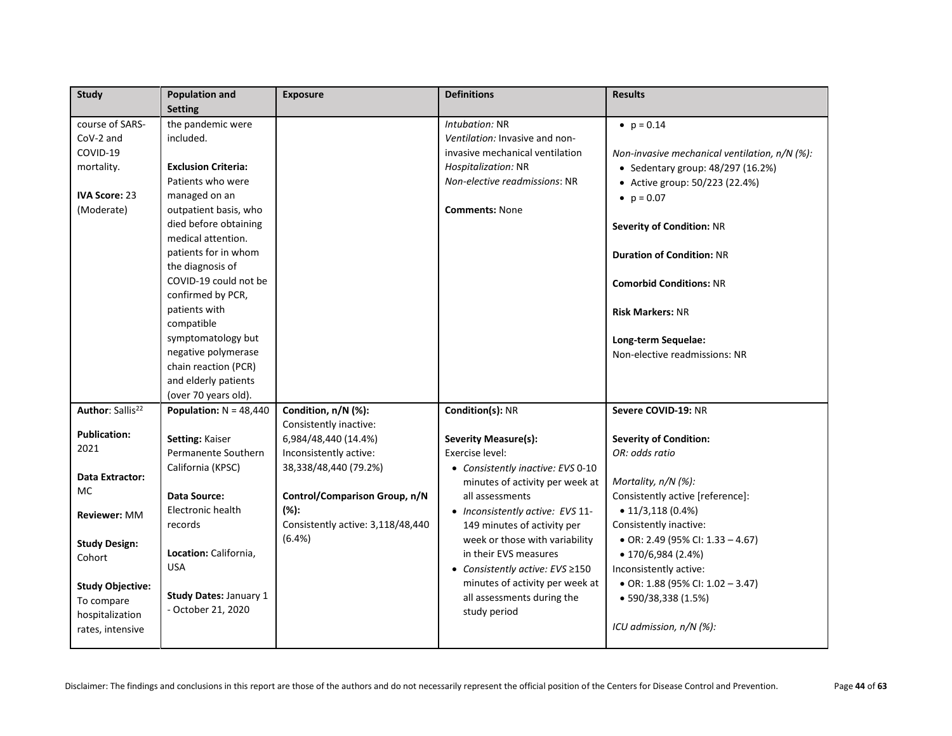| <b>Study</b>                                                                                 | <b>Population and</b>                                                                                                                                                                                                                                                                                                                       | <b>Exposure</b>                                                            | <b>Definitions</b>                                                                                                                                                   | <b>Results</b>                                                                                                                                                                                                                                                                                                   |
|----------------------------------------------------------------------------------------------|---------------------------------------------------------------------------------------------------------------------------------------------------------------------------------------------------------------------------------------------------------------------------------------------------------------------------------------------|----------------------------------------------------------------------------|----------------------------------------------------------------------------------------------------------------------------------------------------------------------|------------------------------------------------------------------------------------------------------------------------------------------------------------------------------------------------------------------------------------------------------------------------------------------------------------------|
| course of SARS-<br>CoV-2 and<br>COVID-19<br>mortality.<br><b>IVA Score: 23</b><br>(Moderate) | <b>Setting</b><br>the pandemic were<br>included.<br><b>Exclusion Criteria:</b><br>Patients who were<br>managed on an<br>outpatient basis, who<br>died before obtaining<br>medical attention.<br>patients for in whom<br>the diagnosis of<br>COVID-19 could not be<br>confirmed by PCR,<br>patients with<br>compatible<br>symptomatology but |                                                                            | Intubation: NR<br>Ventilation: Invasive and non-<br>invasive mechanical ventilation<br>Hospitalization: NR<br>Non-elective readmissions: NR<br><b>Comments: None</b> | • $p = 0.14$<br>Non-invasive mechanical ventilation, n/N (%):<br>• Sedentary group: 48/297 (16.2%)<br>• Active group: 50/223 (22.4%)<br>• $p = 0.07$<br><b>Severity of Condition: NR</b><br><b>Duration of Condition: NR</b><br><b>Comorbid Conditions: NR</b><br><b>Risk Markers: NR</b><br>Long-term Sequelae: |
|                                                                                              | negative polymerase<br>chain reaction (PCR)<br>and elderly patients<br>(over 70 years old).                                                                                                                                                                                                                                                 |                                                                            |                                                                                                                                                                      | Non-elective readmissions: NR                                                                                                                                                                                                                                                                                    |
| Author: Sallis <sup>22</sup>                                                                 | Population: $N = 48,440$                                                                                                                                                                                                                                                                                                                    | Condition, n/N (%):<br>Consistently inactive:                              | Condition(s): NR                                                                                                                                                     | Severe COVID-19: NR                                                                                                                                                                                                                                                                                              |
| <b>Publication:</b><br>2021<br>Data Extractor:                                               | Setting: Kaiser<br>Permanente Southern<br>California (KPSC)                                                                                                                                                                                                                                                                                 | 6,984/48,440 (14.4%)<br>Inconsistently active:<br>38,338/48,440 (79.2%)    | <b>Severity Measure(s):</b><br>Exercise level:<br>• Consistently inactive: EVS 0-10<br>minutes of activity per week at                                               | <b>Severity of Condition:</b><br>OR: odds ratio<br>Mortality, n/N (%):                                                                                                                                                                                                                                           |
| МC<br>Reviewer: MM                                                                           | Data Source:<br>Electronic health<br>records                                                                                                                                                                                                                                                                                                | Control/Comparison Group, n/N<br>(%):<br>Consistently active: 3,118/48,440 | all assessments<br>• Inconsistently active: EVS 11-<br>149 minutes of activity per                                                                                   | Consistently active [reference]:<br>$\bullet$ 11/3,118 (0.4%)<br>Consistently inactive:                                                                                                                                                                                                                          |
| <b>Study Design:</b><br>Cohort                                                               | Location: California,<br><b>USA</b>                                                                                                                                                                                                                                                                                                         | (6.4%)                                                                     | week or those with variability<br>in their EVS measures<br>● Consistently active: EVS ≥150                                                                           | • OR: 2.49 (95% CI: $1.33 - 4.67$ )<br>$\bullet$ 170/6,984 (2.4%)<br>Inconsistently active:                                                                                                                                                                                                                      |
| <b>Study Objective:</b><br>To compare<br>hospitalization<br>rates, intensive                 | <b>Study Dates: January 1</b><br>- October 21, 2020                                                                                                                                                                                                                                                                                         |                                                                            | minutes of activity per week at<br>all assessments during the<br>study period                                                                                        | • OR: 1.88 (95% CI: $1.02 - 3.47$ )<br>$\bullet$ 590/38,338 (1.5%)<br>ICU admission, $n/N$ (%):                                                                                                                                                                                                                  |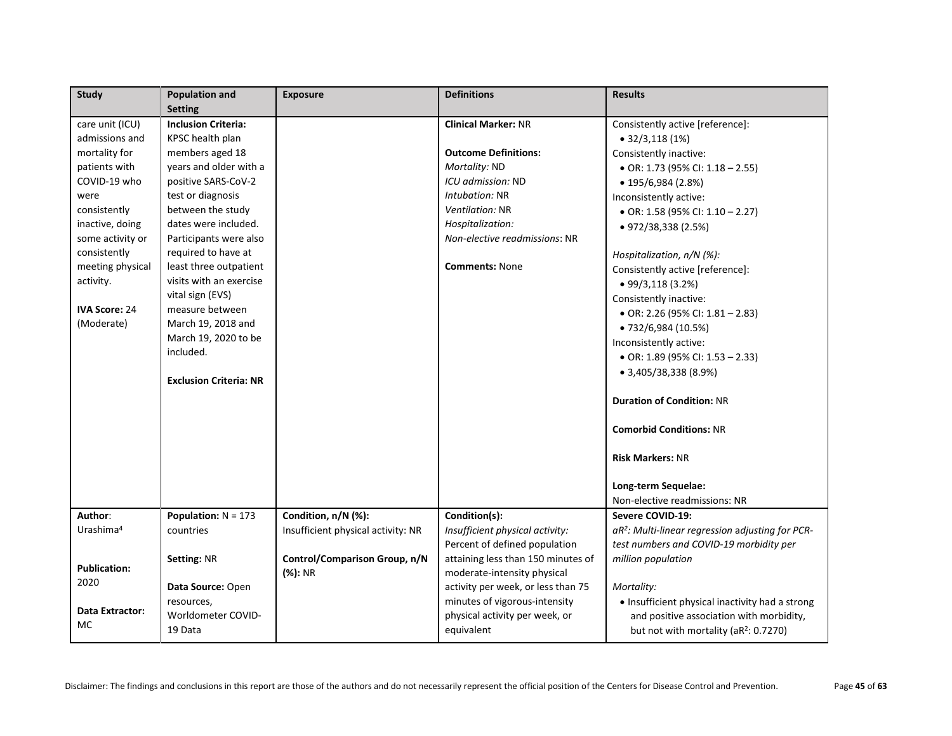| <b>Study</b>          | <b>Population and</b>         | <b>Exposure</b>                    | <b>Definitions</b>                 | <b>Results</b>                                               |
|-----------------------|-------------------------------|------------------------------------|------------------------------------|--------------------------------------------------------------|
|                       | <b>Setting</b>                |                                    |                                    |                                                              |
| care unit (ICU)       | <b>Inclusion Criteria:</b>    |                                    | <b>Clinical Marker: NR</b>         | Consistently active [reference]:                             |
| admissions and        | KPSC health plan              |                                    |                                    | $\bullet$ 32/3,118 (1%)                                      |
| mortality for         | members aged 18               |                                    | <b>Outcome Definitions:</b>        | Consistently inactive:                                       |
| patients with         | years and older with a        |                                    | Mortality: ND                      | • OR: 1.73 (95% CI: 1.18 - 2.55)                             |
| COVID-19 who          | positive SARS-CoV-2           |                                    | ICU admission: ND                  | $\bullet$ 195/6,984 (2.8%)                                   |
| were                  | test or diagnosis             |                                    | Intubation: NR                     | Inconsistently active:                                       |
| consistently          | between the study             |                                    | Ventilation: NR                    | • OR: 1.58 (95% CI: $1.10 - 2.27$ )                          |
| inactive, doing       | dates were included.          |                                    | Hospitalization:                   | $\bullet$ 972/38,338 (2.5%)                                  |
| some activity or      | Participants were also        |                                    | Non-elective readmissions: NR      |                                                              |
| consistently          | required to have at           |                                    |                                    | Hospitalization, n/N (%):                                    |
| meeting physical      | least three outpatient        |                                    | <b>Comments: None</b>              | Consistently active [reference]:                             |
| activity.             | visits with an exercise       |                                    |                                    | $\bullet$ 99/3,118 (3.2%)                                    |
|                       | vital sign (EVS)              |                                    |                                    | Consistently inactive:                                       |
| <b>IVA Score: 24</b>  | measure between               |                                    |                                    | • OR: 2.26 (95% CI: $1.81 - 2.83$ )                          |
| (Moderate)            | March 19, 2018 and            |                                    |                                    | • 732/6,984 (10.5%)                                          |
|                       | March 19, 2020 to be          |                                    |                                    | Inconsistently active:                                       |
|                       | included.                     |                                    |                                    | • OR: 1.89 (95% CI: 1.53 - 2.33)                             |
|                       |                               |                                    |                                    | $\bullet$ 3,405/38,338 (8.9%)                                |
|                       | <b>Exclusion Criteria: NR</b> |                                    |                                    |                                                              |
|                       |                               |                                    |                                    | <b>Duration of Condition: NR</b>                             |
|                       |                               |                                    |                                    | <b>Comorbid Conditions: NR</b>                               |
|                       |                               |                                    |                                    | <b>Risk Markers: NR</b>                                      |
|                       |                               |                                    |                                    |                                                              |
|                       |                               |                                    |                                    | Long-term Sequelae:                                          |
|                       |                               |                                    |                                    | Non-elective readmissions: NR                                |
| Author:               | Population: $N = 173$         | Condition, n/N (%):                | Condition(s):                      | Severe COVID-19:                                             |
| Urashima <sup>4</sup> | countries                     | Insufficient physical activity: NR | Insufficient physical activity:    | aR <sup>2</sup> : Multi-linear regression adjusting for PCR- |
|                       |                               |                                    | Percent of defined population      | test numbers and COVID-19 morbidity per                      |
| <b>Publication:</b>   | Setting: NR                   | Control/Comparison Group, n/N      | attaining less than 150 minutes of | million population                                           |
| 2020                  |                               | (%): NR                            | moderate-intensity physical        |                                                              |
|                       | Data Source: Open             |                                    | activity per week, or less than 75 | Mortality:                                                   |
| Data Extractor:       | resources,                    |                                    | minutes of vigorous-intensity      | • Insufficient physical inactivity had a strong              |
| <b>MC</b>             | Worldometer COVID-            |                                    | physical activity per week, or     | and positive association with morbidity,                     |
|                       | 19 Data                       |                                    | equivalent                         | but not with mortality (aR <sup>2</sup> : 0.7270)            |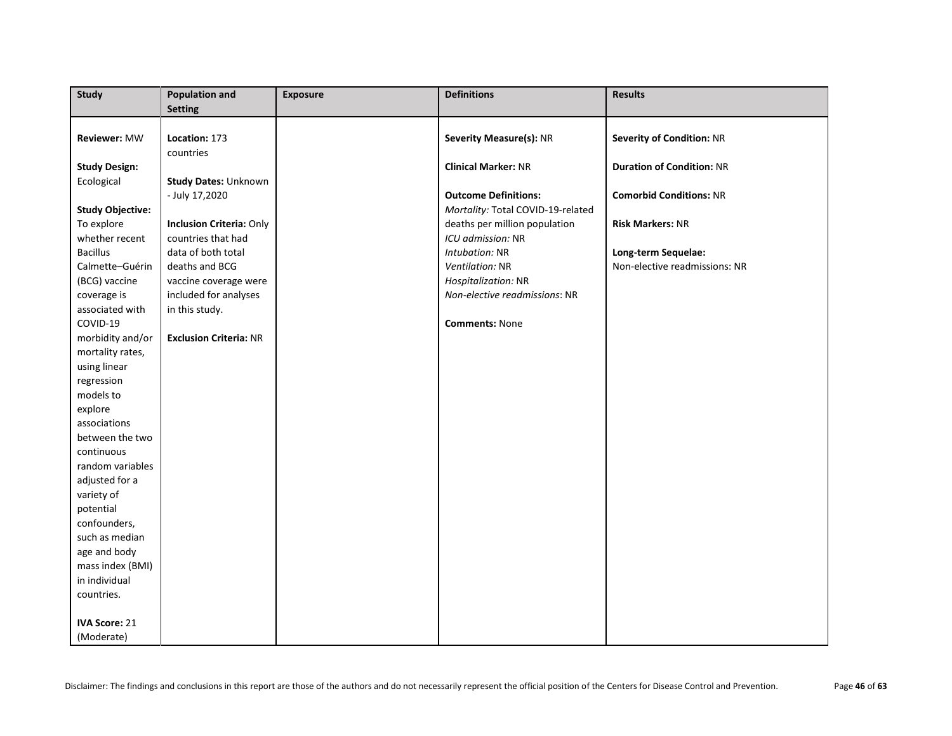| <b>Study</b>            | <b>Population and</b>           | <b>Exposure</b> | <b>Definitions</b>                | <b>Results</b>                   |
|-------------------------|---------------------------------|-----------------|-----------------------------------|----------------------------------|
|                         | <b>Setting</b>                  |                 |                                   |                                  |
|                         |                                 |                 |                                   |                                  |
| <b>Reviewer: MW</b>     | Location: 173                   |                 | Severity Measure(s): NR           | <b>Severity of Condition: NR</b> |
|                         | countries                       |                 |                                   |                                  |
| <b>Study Design:</b>    |                                 |                 | <b>Clinical Marker: NR</b>        | <b>Duration of Condition: NR</b> |
| Ecological              | <b>Study Dates: Unknown</b>     |                 |                                   |                                  |
|                         | - July 17,2020                  |                 | <b>Outcome Definitions:</b>       | <b>Comorbid Conditions: NR</b>   |
| <b>Study Objective:</b> |                                 |                 | Mortality: Total COVID-19-related |                                  |
| To explore              | <b>Inclusion Criteria: Only</b> |                 | deaths per million population     | <b>Risk Markers: NR</b>          |
| whether recent          | countries that had              |                 | ICU admission: NR                 |                                  |
| <b>Bacillus</b>         | data of both total              |                 | Intubation: NR                    | Long-term Sequelae:              |
| Calmette-Guérin         | deaths and BCG                  |                 | Ventilation: NR                   | Non-elective readmissions: NR    |
| (BCG) vaccine           | vaccine coverage were           |                 | Hospitalization: NR               |                                  |
| coverage is             | included for analyses           |                 | Non-elective readmissions: NR     |                                  |
| associated with         | in this study.                  |                 |                                   |                                  |
| COVID-19                |                                 |                 | <b>Comments: None</b>             |                                  |
| morbidity and/or        | <b>Exclusion Criteria: NR</b>   |                 |                                   |                                  |
| mortality rates,        |                                 |                 |                                   |                                  |
| using linear            |                                 |                 |                                   |                                  |
| regression              |                                 |                 |                                   |                                  |
| models to               |                                 |                 |                                   |                                  |
| explore                 |                                 |                 |                                   |                                  |
| associations            |                                 |                 |                                   |                                  |
| between the two         |                                 |                 |                                   |                                  |
| continuous              |                                 |                 |                                   |                                  |
| random variables        |                                 |                 |                                   |                                  |
| adjusted for a          |                                 |                 |                                   |                                  |
| variety of              |                                 |                 |                                   |                                  |
| potential               |                                 |                 |                                   |                                  |
| confounders,            |                                 |                 |                                   |                                  |
| such as median          |                                 |                 |                                   |                                  |
| age and body            |                                 |                 |                                   |                                  |
| mass index (BMI)        |                                 |                 |                                   |                                  |
| in individual           |                                 |                 |                                   |                                  |
| countries.              |                                 |                 |                                   |                                  |
|                         |                                 |                 |                                   |                                  |
| <b>IVA Score: 21</b>    |                                 |                 |                                   |                                  |
| (Moderate)              |                                 |                 |                                   |                                  |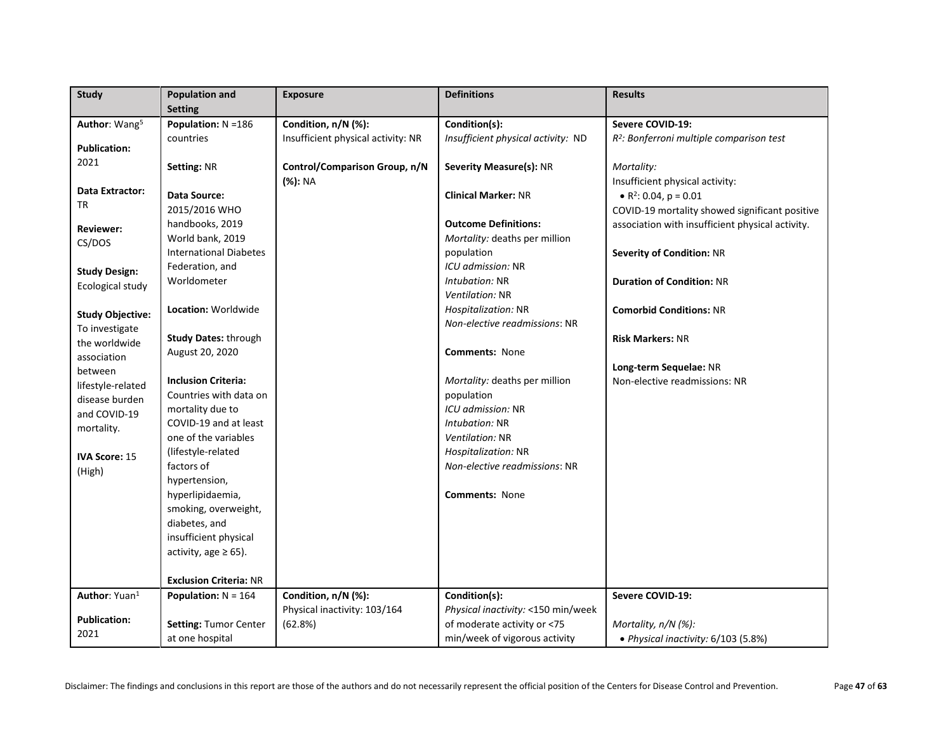| <b>Study</b>              | <b>Population and</b>                         | <b>Exposure</b>                    | <b>Definitions</b>                 | <b>Results</b>                                       |
|---------------------------|-----------------------------------------------|------------------------------------|------------------------------------|------------------------------------------------------|
|                           | <b>Setting</b>                                |                                    |                                    |                                                      |
| Author: Wang <sup>5</sup> | Population: N = 186                           | Condition, n/N (%):                | Condition(s):                      | Severe COVID-19:                                     |
| <b>Publication:</b>       | countries                                     | Insufficient physical activity: NR | Insufficient physical activity: ND | R <sup>2</sup> : Bonferroni multiple comparison test |
| 2021                      |                                               |                                    |                                    |                                                      |
|                           | <b>Setting: NR</b>                            | Control/Comparison Group, n/N      | Severity Measure(s): NR            | Mortality:                                           |
| Data Extractor:           |                                               | (%): NA                            |                                    | Insufficient physical activity:                      |
| TR                        | Data Source:                                  |                                    | <b>Clinical Marker: NR</b>         | • $R^2$ : 0.04, $p = 0.01$                           |
|                           | 2015/2016 WHO                                 |                                    |                                    | COVID-19 mortality showed significant positive       |
| <b>Reviewer:</b>          | handbooks, 2019                               |                                    | <b>Outcome Definitions:</b>        | association with insufficient physical activity.     |
| CS/DOS                    | World bank, 2019                              |                                    | Mortality: deaths per million      |                                                      |
|                           | <b>International Diabetes</b>                 |                                    | population                         | <b>Severity of Condition: NR</b>                     |
| <b>Study Design:</b>      | Federation, and                               |                                    | ICU admission: NR                  |                                                      |
| Ecological study          | Worldometer                                   |                                    | Intubation: NR                     | <b>Duration of Condition: NR</b>                     |
|                           |                                               |                                    | Ventilation: NR                    |                                                      |
| <b>Study Objective:</b>   | Location: Worldwide                           |                                    | Hospitalization: NR                | <b>Comorbid Conditions: NR</b>                       |
| To investigate            |                                               |                                    | Non-elective readmissions: NR      |                                                      |
| the worldwide             | <b>Study Dates: through</b>                   |                                    |                                    | <b>Risk Markers: NR</b>                              |
| association               | August 20, 2020                               |                                    | <b>Comments: None</b>              |                                                      |
| between                   |                                               |                                    |                                    | Long-term Sequelae: NR                               |
| lifestyle-related         | <b>Inclusion Criteria:</b>                    |                                    | Mortality: deaths per million      | Non-elective readmissions: NR                        |
| disease burden            | Countries with data on                        |                                    | population                         |                                                      |
| and COVID-19              | mortality due to                              |                                    | ICU admission: NR                  |                                                      |
| mortality.                | COVID-19 and at least<br>one of the variables |                                    | Intubation: NR                     |                                                      |
|                           |                                               |                                    | Ventilation: NR                    |                                                      |
| <b>IVA Score: 15</b>      | (lifestyle-related                            |                                    | Hospitalization: NR                |                                                      |
| (High)                    | factors of                                    |                                    | Non-elective readmissions: NR      |                                                      |
|                           | hypertension,<br>hyperlipidaemia,             |                                    | <b>Comments: None</b>              |                                                      |
|                           | smoking, overweight,                          |                                    |                                    |                                                      |
|                           | diabetes, and                                 |                                    |                                    |                                                      |
|                           | insufficient physical                         |                                    |                                    |                                                      |
|                           | activity, age $\geq 65$ ).                    |                                    |                                    |                                                      |
|                           |                                               |                                    |                                    |                                                      |
|                           | <b>Exclusion Criteria: NR</b>                 |                                    |                                    |                                                      |
| Author: Yuan <sup>1</sup> | <b>Population:</b> $N = 164$                  | Condition, n/N (%):                | Condition(s):                      | Severe COVID-19:                                     |
|                           |                                               | Physical inactivity: 103/164       | Physical inactivity: <150 min/week |                                                      |
| <b>Publication:</b>       | Setting: Tumor Center                         | (62.8%)                            | of moderate activity or <75        | Mortality, n/N (%):                                  |
| 2021                      | at one hospital                               |                                    | min/week of vigorous activity      | • Physical inactivity: 6/103 (5.8%)                  |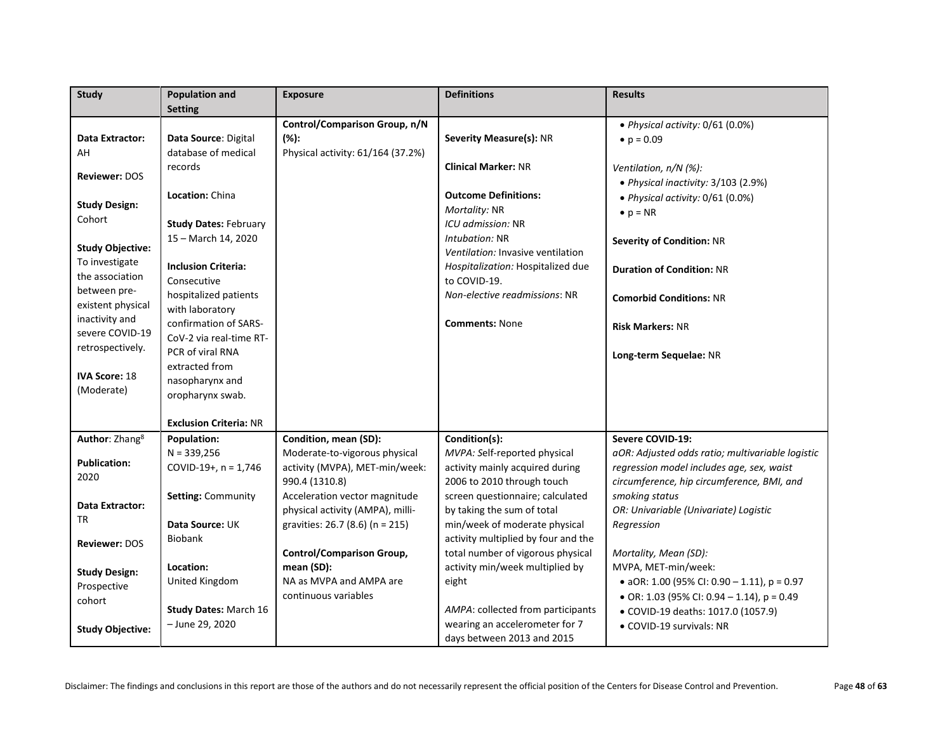| <b>Study</b>               | <b>Population and</b>         | <b>Exposure</b>                   | <b>Definitions</b>                  | <b>Results</b>                                   |
|----------------------------|-------------------------------|-----------------------------------|-------------------------------------|--------------------------------------------------|
|                            | <b>Setting</b>                |                                   |                                     |                                                  |
|                            |                               | Control/Comparison Group, n/N     |                                     | • Physical activity: 0/61 (0.0%)                 |
| Data Extractor:            | Data Source: Digital          | $(\%):$                           | Severity Measure(s): NR             | • $p = 0.09$                                     |
| AH                         | database of medical           | Physical activity: 61/164 (37.2%) |                                     |                                                  |
|                            | records                       |                                   | <b>Clinical Marker: NR</b>          | Ventilation, n/N (%):                            |
| <b>Reviewer: DOS</b>       |                               |                                   |                                     | • Physical inactivity: 3/103 (2.9%)              |
|                            | Location: China               |                                   | <b>Outcome Definitions:</b>         | • Physical activity: 0/61 (0.0%)                 |
| <b>Study Design:</b>       |                               |                                   | Mortality: NR                       | $\bullet$ p = NR                                 |
| Cohort                     | <b>Study Dates: February</b>  |                                   | ICU admission: NR                   |                                                  |
|                            | 15 - March 14, 2020           |                                   | Intubation: NR                      | Severity of Condition: NR                        |
| <b>Study Objective:</b>    |                               |                                   | Ventilation: Invasive ventilation   |                                                  |
| To investigate             | <b>Inclusion Criteria:</b>    |                                   | Hospitalization: Hospitalized due   | <b>Duration of Condition: NR</b>                 |
| the association            | Consecutive                   |                                   | to COVID-19.                        |                                                  |
| between pre-               | hospitalized patients         |                                   | Non-elective readmissions: NR       | <b>Comorbid Conditions: NR</b>                   |
| existent physical          | with laboratory               |                                   |                                     |                                                  |
| inactivity and             | confirmation of SARS-         |                                   | <b>Comments: None</b>               | <b>Risk Markers: NR</b>                          |
| severe COVID-19            | CoV-2 via real-time RT-       |                                   |                                     |                                                  |
| retrospectively.           | PCR of viral RNA              |                                   |                                     | Long-term Sequelae: NR                           |
|                            | extracted from                |                                   |                                     |                                                  |
| <b>IVA Score: 18</b>       | nasopharynx and               |                                   |                                     |                                                  |
| (Moderate)                 | oropharynx swab.              |                                   |                                     |                                                  |
|                            |                               |                                   |                                     |                                                  |
|                            | <b>Exclusion Criteria: NR</b> |                                   |                                     |                                                  |
| Author: Zhang <sup>8</sup> | <b>Population:</b>            | Condition, mean (SD):             | Condition(s):                       | Severe COVID-19:                                 |
|                            | $N = 339,256$                 | Moderate-to-vigorous physical     | MVPA: Self-reported physical        | aOR: Adjusted odds ratio; multivariable logistic |
| <b>Publication:</b>        | COVID-19+, $n = 1,746$        | activity (MVPA), MET-min/week:    | activity mainly acquired during     | regression model includes age, sex, waist        |
| 2020                       |                               | 990.4 (1310.8)                    | 2006 to 2010 through touch          | circumference, hip circumference, BMI, and       |
|                            | <b>Setting: Community</b>     | Acceleration vector magnitude     | screen questionnaire; calculated    | smoking status                                   |
| Data Extractor:            |                               | physical activity (AMPA), milli-  | by taking the sum of total          | OR: Univariable (Univariate) Logistic            |
| <b>TR</b>                  | Data Source: UK               | gravities: 26.7 (8.6) (n = 215)   | min/week of moderate physical       | Regression                                       |
| Reviewer: DOS              | <b>Biobank</b>                |                                   | activity multiplied by four and the |                                                  |
|                            |                               | <b>Control/Comparison Group,</b>  | total number of vigorous physical   | Mortality, Mean (SD):                            |
| <b>Study Design:</b>       | Location:                     | mean (SD):                        | activity min/week multiplied by     | MVPA, MET-min/week:                              |
| Prospective                | United Kingdom                | NA as MVPA and AMPA are           | eight                               | • aOR: 1.00 (95% CI: 0.90 - 1.11), $p = 0.97$    |
| cohort                     |                               | continuous variables              |                                     | • OR: 1.03 (95% CI: 0.94 - 1.14), $p = 0.49$     |
|                            | Study Dates: March 16         |                                   | AMPA: collected from participants   | • COVID-19 deaths: 1017.0 (1057.9)               |
| <b>Study Objective:</b>    | - June 29, 2020               |                                   | wearing an accelerometer for 7      | • COVID-19 survivals: NR                         |
|                            |                               |                                   | days between 2013 and 2015          |                                                  |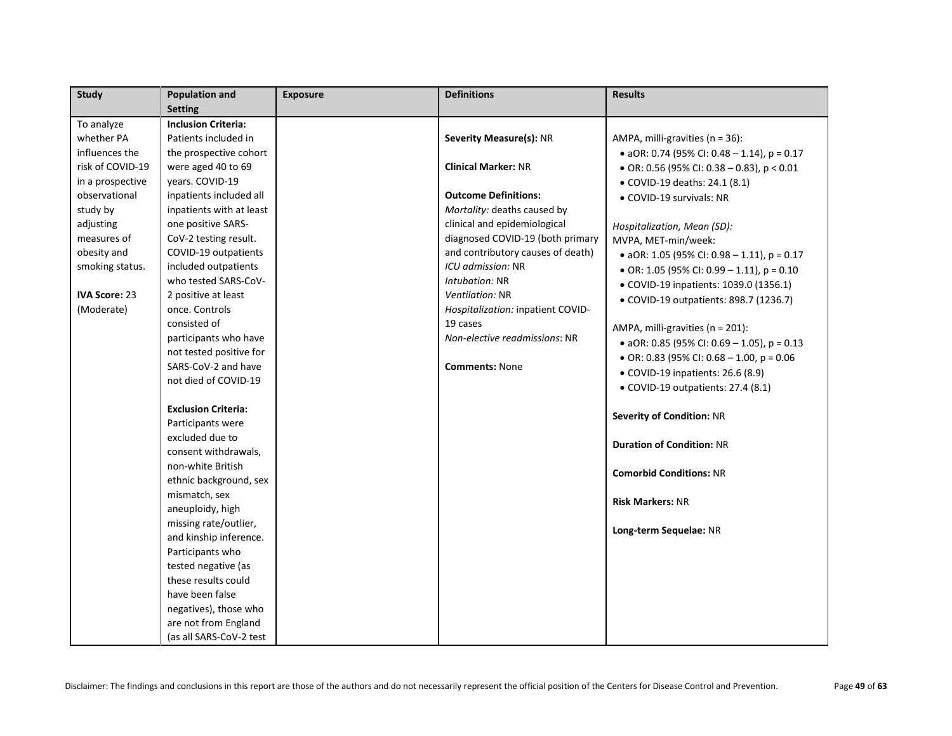| <b>Study</b>         | <b>Population and</b>      | <b>Exposure</b> | <b>Definitions</b>                | <b>Results</b>                                |
|----------------------|----------------------------|-----------------|-----------------------------------|-----------------------------------------------|
|                      | <b>Setting</b>             |                 |                                   |                                               |
| To analyze           | <b>Inclusion Criteria:</b> |                 |                                   |                                               |
| whether PA           | Patients included in       |                 | <b>Severity Measure(s): NR</b>    | AMPA, milli-gravities (n = 36):               |
| influences the       | the prospective cohort     |                 |                                   | • aOR: 0.74 (95% CI: 0.48 - 1.14), $p = 0.17$ |
| risk of COVID-19     | were aged 40 to 69         |                 | <b>Clinical Marker: NR</b>        | • OR: 0.56 (95% CI: 0.38 - 0.83), $p < 0.01$  |
| in a prospective     | vears. COVID-19            |                 |                                   | • COVID-19 deaths: 24.1 (8.1)                 |
| observational        | inpatients included all    |                 | <b>Outcome Definitions:</b>       | • COVID-19 survivals: NR                      |
| study by             | inpatients with at least   |                 | Mortality: deaths caused by       |                                               |
| adjusting            | one positive SARS-         |                 | clinical and epidemiological      | Hospitalization, Mean (SD):                   |
| measures of          | CoV-2 testing result.      |                 | diagnosed COVID-19 (both primary  | MVPA, MET-min/week:                           |
| obesity and          | COVID-19 outpatients       |                 | and contributory causes of death) | • aOR: 1.05 (95% CI: 0.98 - 1.11), $p = 0.17$ |
| smoking status.      | included outpatients       |                 | ICU admission: NR                 | • OR: 1.05 (95% CI: 0.99 - 1.11), $p = 0.10$  |
|                      | who tested SARS-CoV-       |                 | Intubation: NR                    | • COVID-19 inpatients: 1039.0 (1356.1)        |
| <b>IVA Score: 23</b> | 2 positive at least        |                 | Ventilation: NR                   | • COVID-19 outpatients: 898.7 (1236.7)        |
| (Moderate)           | once. Controls             |                 | Hospitalization: inpatient COVID- |                                               |
|                      | consisted of               |                 | 19 cases                          | AMPA, milli-gravities (n = 201):              |
|                      | participants who have      |                 | Non-elective readmissions: NR     | • aOR: 0.85 (95% CI: 0.69 - 1.05), $p = 0.13$ |
|                      | not tested positive for    |                 |                                   | • OR: 0.83 (95% CI: 0.68 - 1.00, p = 0.06     |
|                      | SARS-CoV-2 and have        |                 | <b>Comments: None</b>             | • COVID-19 inpatients: 26.6 (8.9)             |
|                      | not died of COVID-19       |                 |                                   | · COVID-19 outpatients: 27.4 (8.1)            |
|                      | <b>Exclusion Criteria:</b> |                 |                                   |                                               |
|                      | Participants were          |                 |                                   | Severity of Condition: NR                     |
|                      | excluded due to            |                 |                                   |                                               |
|                      | consent withdrawals,       |                 |                                   | <b>Duration of Condition: NR</b>              |
|                      | non-white British          |                 |                                   |                                               |
|                      | ethnic background, sex     |                 |                                   | <b>Comorbid Conditions: NR</b>                |
|                      | mismatch, sex              |                 |                                   |                                               |
|                      | aneuploidy, high           |                 |                                   | <b>Risk Markers: NR</b>                       |
|                      | missing rate/outlier,      |                 |                                   |                                               |
|                      | and kinship inference.     |                 |                                   | Long-term Sequelae: NR                        |
|                      | Participants who           |                 |                                   |                                               |
|                      | tested negative (as        |                 |                                   |                                               |
|                      | these results could        |                 |                                   |                                               |
|                      | have been false            |                 |                                   |                                               |
|                      | negatives), those who      |                 |                                   |                                               |
|                      | are not from England       |                 |                                   |                                               |
|                      | (as all SARS-CoV-2 test    |                 |                                   |                                               |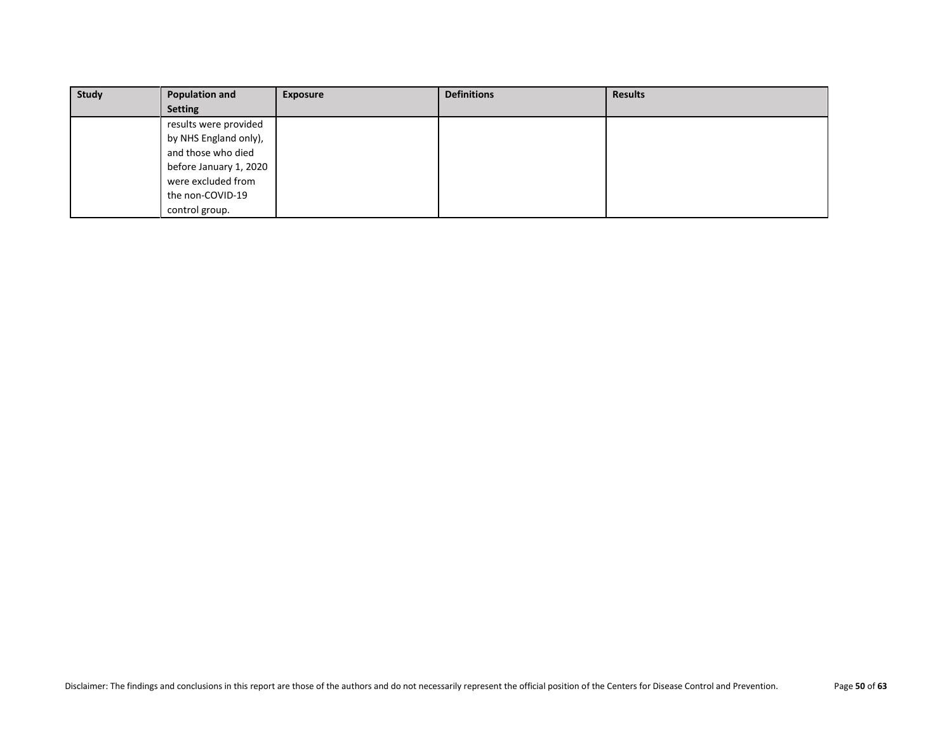| <b>Study</b> | <b>Population and</b>  | <b>Exposure</b> | <b>Definitions</b> | <b>Results</b> |
|--------------|------------------------|-----------------|--------------------|----------------|
|              | <b>Setting</b>         |                 |                    |                |
|              | results were provided  |                 |                    |                |
|              | by NHS England only),  |                 |                    |                |
|              | and those who died     |                 |                    |                |
|              | before January 1, 2020 |                 |                    |                |
|              | were excluded from     |                 |                    |                |
|              | the non-COVID-19       |                 |                    |                |
|              | control group.         |                 |                    |                |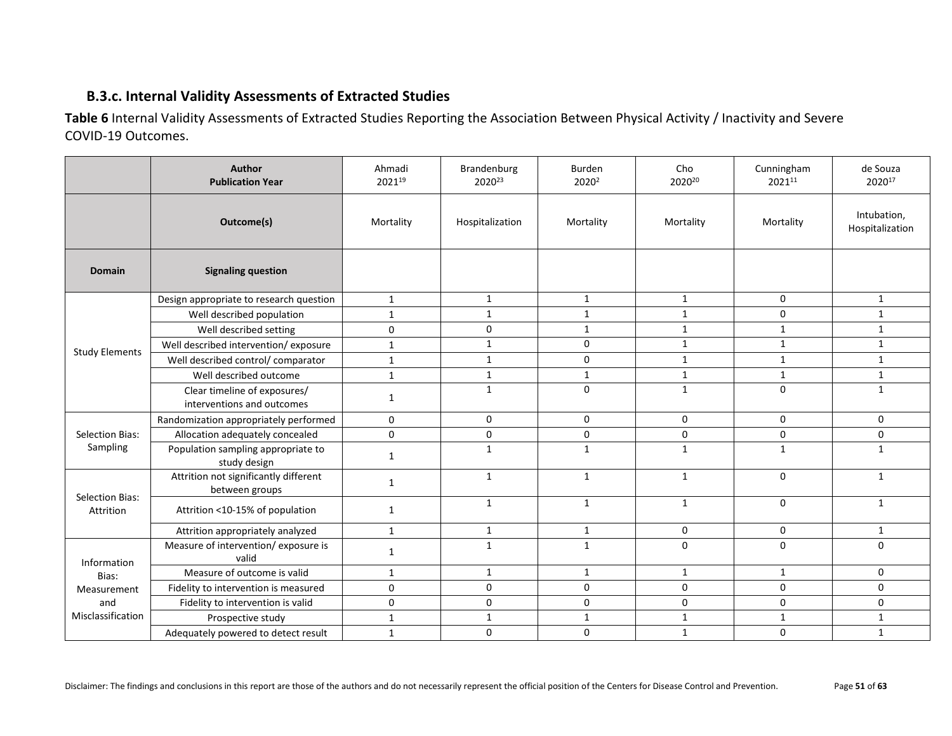## <span id="page-50-0"></span>**B.3.c. Internal Validity Assessments of Extracted Studies**

<span id="page-50-1"></span>**Table 6** Internal Validity Assessments of Extracted Studies Reporting the Association Between Physical Activity / Inactivity and Severe COVID-19 Outcomes.

|                        | Author<br><b>Publication Year</b>                          | Ahmadi<br>202119    | Brandenburg<br>2020 <sup>23</sup> | Burden<br>2020 <sup>2</sup> | Cho<br>202020 | Cunningham<br>202111 | de Souza<br>202017             |
|------------------------|------------------------------------------------------------|---------------------|-----------------------------------|-----------------------------|---------------|----------------------|--------------------------------|
|                        | Outcome(s)                                                 | Mortality           | Hospitalization                   | Mortality                   | Mortality     | Mortality            | Intubation,<br>Hospitalization |
| <b>Domain</b>          | <b>Signaling question</b>                                  |                     |                                   |                             |               |                      |                                |
|                        | Design appropriate to research question                    | $\mathbf{1}$        | $\mathbf{1}$                      | $\mathbf{1}$                | $\mathbf{1}$  | 0                    | $\mathbf{1}$                   |
|                        | Well described population                                  | $\mathbf{1}$        | $\mathbf{1}$                      | $\mathbf{1}$                | $\mathbf{1}$  | 0                    | $\mathbf{1}$                   |
|                        | Well described setting                                     | $\mathbf 0$         | $\mathbf 0$                       | $\mathbf{1}$                | $\mathbf{1}$  | $\mathbf{1}$         | $\mathbf{1}$                   |
| <b>Study Elements</b>  | Well described intervention/exposure                       | $\mathbf{1}$        | $\mathbf{1}$                      | $\mathbf 0$                 | $\mathbf{1}$  | $\mathbf{1}$         | $\mathbf{1}$                   |
|                        | Well described control/ comparator                         | $\mathbf{1}$        | $\mathbf{1}$                      | 0                           | $\mathbf{1}$  | $\mathbf{1}$         | $\mathbf{1}$                   |
|                        | Well described outcome                                     | $\mathbf{1}$        | $\mathbf{1}$                      | $\mathbf{1}$                | $\mathbf{1}$  | $\mathbf{1}$         | $\mathbf{1}$                   |
|                        | Clear timeline of exposures/<br>interventions and outcomes | 1                   | $\mathbf{1}$                      | 0                           | $\mathbf{1}$  | 0                    | $\mathbf{1}$                   |
|                        | Randomization appropriately performed                      | 0                   | 0                                 | $\Omega$                    | $\Omega$      | $\mathbf 0$          | $\mathbf{0}$                   |
| <b>Selection Bias:</b> | Allocation adequately concealed                            | $\mathbf 0$         | 0                                 | 0                           | 0             | 0                    | 0                              |
| Sampling               | Population sampling appropriate to<br>study design         | $\mathbf{1}$        | $\mathbf{1}$                      | $\mathbf{1}$                | $\mathbf{1}$  | $\mathbf{1}$         | $\mathbf{1}$                   |
| <b>Selection Bias:</b> | Attrition not significantly different<br>between groups    | 1                   | $\mathbf{1}$                      | $\mathbf{1}$                | $\mathbf{1}$  | 0                    | $\mathbf{1}$                   |
| Attrition              | Attrition <10-15% of population                            | 1                   | $\mathbf{1}$                      | $\mathbf{1}$                | $\mathbf{1}$  | 0                    | $\mathbf{1}$                   |
|                        | Attrition appropriately analyzed                           | $\mathbf{1}$        | $\mathbf{1}$                      | $\mathbf{1}$                | 0             | 0                    | $\mathbf{1}$                   |
| Information            | Measure of intervention/exposure is<br>valid               | $\mathbf{1}$        | $\mathbf{1}$                      | $\mathbf{1}$                | 0             | $\mathbf 0$          | $\mathbf 0$                    |
| Bias:                  | Measure of outcome is valid                                | $\mathbf{1}$        | $\mathbf{1}$                      | $\mathbf{1}$                | $\mathbf{1}$  | $\mathbf{1}$         | 0                              |
| Measurement            | Fidelity to intervention is measured                       | 0                   | 0                                 | $\mathbf 0$                 | 0             | $\mathbf 0$          | $\mathbf 0$                    |
| and                    | Fidelity to intervention is valid                          | $\mathsf{O}\xspace$ | $\mathbf 0$                       | $\mathbf 0$                 | 0             | 0                    | 0                              |
| Misclassification      | Prospective study                                          | $\mathbf{1}$        | $\mathbf{1}$                      | $\mathbf{1}$                | $\mathbf{1}$  | $\mathbf{1}$         | $\mathbf{1}$                   |
|                        | Adequately powered to detect result                        | $\mathbf{1}$        | 0                                 | $\pmb{0}$                   | $\mathbf{1}$  | 0                    | $\mathbf{1}$                   |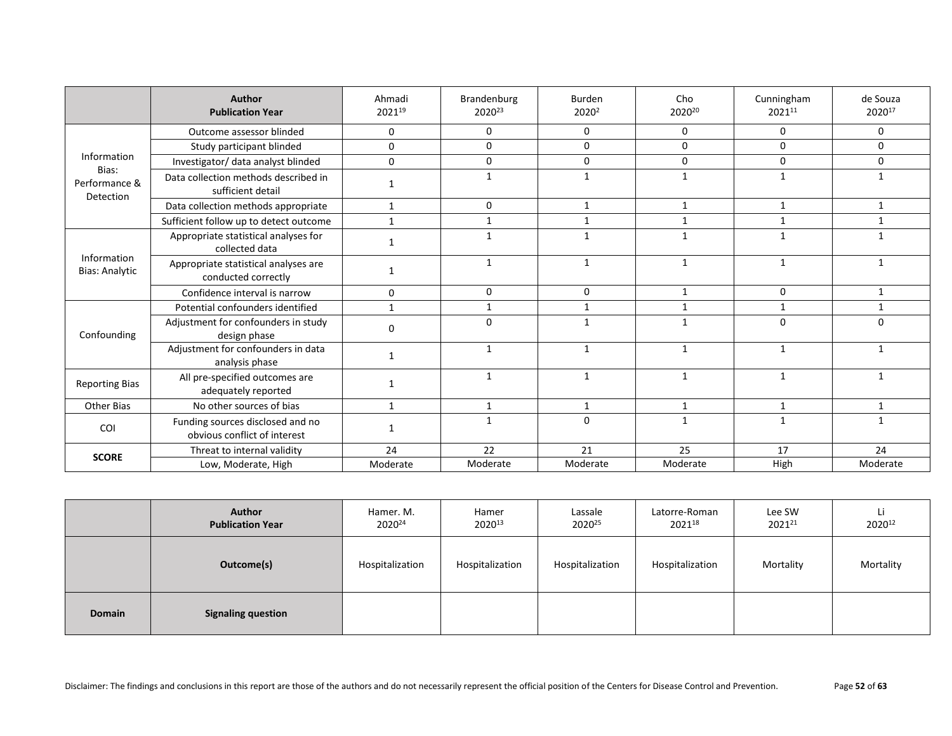|                                      | Author<br><b>Publication Year</b>                                | Ahmadi<br>202119 | Brandenburg<br>2020 <sup>23</sup> | <b>Burden</b><br>2020 <sup>2</sup> | Cho<br>202020 | Cunningham<br>202111 | de Souza<br>202017 |
|--------------------------------------|------------------------------------------------------------------|------------------|-----------------------------------|------------------------------------|---------------|----------------------|--------------------|
|                                      | Outcome assessor blinded                                         | 0                | $\Omega$                          | $\Omega$                           | $\Omega$      | $\Omega$             | $\Omega$           |
|                                      | Study participant blinded                                        | $\mathbf 0$      | 0                                 | 0                                  | $\Omega$      | $\mathbf 0$          | 0                  |
| Information                          | Investigator/ data analyst blinded                               | $\Omega$         | 0                                 | $\Omega$                           | $\Omega$      | $\Omega$             | $\mathbf 0$        |
| Bias:<br>Performance &<br>Detection  | Data collection methods described in<br>sufficient detail        |                  | 1                                 | 1                                  | $\mathbf{1}$  | 1                    | $\mathbf{1}$       |
|                                      | Data collection methods appropriate                              | $\mathbf{1}$     | $\mathbf 0$                       | $\mathbf{1}$                       | $\mathbf{1}$  | 1                    | $\mathbf{1}$       |
|                                      | Sufficient follow up to detect outcome                           | $\mathbf{1}$     | 1                                 | 1                                  | 1             | 1                    | 1                  |
| Information<br><b>Bias: Analytic</b> | Appropriate statistical analyses for<br>collected data           | 1                | $\mathbf{1}$                      |                                    | $\mathbf{1}$  | 1                    | $\overline{1}$     |
|                                      | Appropriate statistical analyses are<br>conducted correctly      | 1                | $\mathbf{1}$                      | 1                                  | $\mathbf{1}$  | $\mathbf{1}$         | 1                  |
|                                      | Confidence interval is narrow                                    | 0                | $\mathbf 0$                       | 0                                  | $\mathbf{1}$  | $\mathbf 0$          | 1                  |
|                                      | Potential confounders identified                                 | $\mathbf{1}$     | $\mathbf{1}$                      | 1                                  | $\mathbf{1}$  | 1                    | $\mathbf{1}$       |
| Confounding                          | Adjustment for confounders in study<br>design phase              | $\mathbf 0$      | $\Omega$                          | $\mathbf{1}$                       | $\mathbf{1}$  | $\Omega$             | 0                  |
|                                      | Adjustment for confounders in data<br>analysis phase             | 1                | $\mathbf{1}$                      | $\mathbf{1}$                       | $\mathbf{1}$  | $\mathbf{1}$         | $\mathbf{1}$       |
| <b>Reporting Bias</b>                | All pre-specified outcomes are<br>adequately reported            | 1                | $\mathbf{1}$                      | 1                                  | 1             | $\mathbf{1}$         | $\mathbf{1}$       |
| <b>Other Bias</b>                    | No other sources of bias                                         | $\mathbf{1}$     | $\mathbf{1}$                      | $\mathbf{1}$                       | $\mathbf{1}$  | $\mathbf{1}$         | $\mathbf{1}$       |
| <b>COI</b>                           | Funding sources disclosed and no<br>obvious conflict of interest | 1                | $\mathbf{1}$                      | $\Omega$                           | $\mathbf{1}$  | $\mathbf{1}$         | $\mathbf{1}$       |
|                                      | Threat to internal validity                                      | 24               | 22                                | 21                                 | 25            | 17                   | 24                 |
| <b>SCORE</b>                         | Low, Moderate, High                                              | Moderate         | Moderate                          | Moderate                           | Moderate      | High                 | Moderate           |

|        | <b>Author</b><br><b>Publication Year</b> | Hamer. M.<br>202024 | Hamer<br>202013 | Lassale<br>202025 | Latorre-Roman<br>202118 | Lee SW<br>202121 | Li<br>202012 |
|--------|------------------------------------------|---------------------|-----------------|-------------------|-------------------------|------------------|--------------|
|        | Outcome(s)                               | Hospitalization     | Hospitalization | Hospitalization   | Hospitalization         | Mortality        | Mortality    |
| Domain | <b>Signaling question</b>                |                     |                 |                   |                         |                  |              |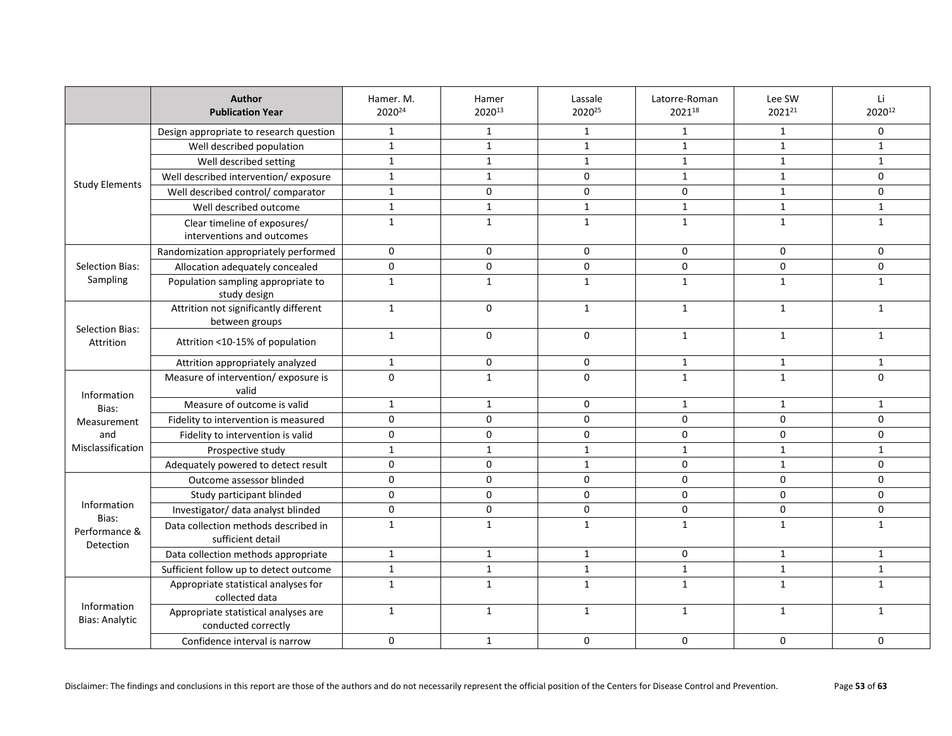|                                      | Author<br><b>Publication Year</b>                           | Hamer. M.<br>202024 | Hamer<br>202013 | Lassale<br>2020 <sup>25</sup> | Latorre-Roman<br>202118 | Lee SW<br>202121 | Li<br>202012 |
|--------------------------------------|-------------------------------------------------------------|---------------------|-----------------|-------------------------------|-------------------------|------------------|--------------|
|                                      | Design appropriate to research question                     | $\mathbf{1}$        | $\mathbf{1}$    | $\mathbf{1}$                  | $\mathbf{1}$            | 1                | 0            |
|                                      | Well described population                                   | $\mathbf{1}$        | $\mathbf{1}$    | $\mathbf{1}$                  | $\mathbf{1}$            | $\mathbf{1}$     | $\mathbf{1}$ |
|                                      | Well described setting                                      | $\mathbf{1}$        | $\mathbf{1}$    | $\mathbf{1}$                  | $\mathbf{1}$            | $\mathbf{1}$     | $\mathbf{1}$ |
|                                      | Well described intervention/exposure                        | $\mathbf{1}$        | $\mathbf{1}$    | $\mathbf 0$                   | $\mathbf{1}$            | $\mathbf{1}$     | $\mathbf 0$  |
| <b>Study Elements</b>                | Well described control/ comparator                          | $\mathbf{1}$        | $\mathbf 0$     | $\Omega$                      | $\mathbf 0$             | $\mathbf{1}$     | $\mathbf 0$  |
|                                      | Well described outcome                                      | $\mathbf{1}$        | $\mathbf{1}$    | $\mathbf{1}$                  | $\mathbf{1}$            | $\mathbf{1}$     | $\mathbf{1}$ |
|                                      | Clear timeline of exposures/<br>interventions and outcomes  | $\mathbf{1}$        | $\mathbf{1}$    | $\mathbf{1}$                  | $\mathbf{1}$            | $\mathbf{1}$     | $\mathbf{1}$ |
|                                      | Randomization appropriately performed                       | $\mathbf 0$         | $\mathbf 0$     | $\Omega$                      | 0                       | $\Omega$         | 0            |
| <b>Selection Bias:</b>               | Allocation adequately concealed                             | 0                   | 0               | $\mathbf 0$                   | 0                       | $\mathbf 0$      | $\mathbf 0$  |
| Sampling                             | Population sampling appropriate to<br>study design          | $\mathbf{1}$        | $\mathbf{1}$    | $\mathbf{1}$                  | $\mathbf{1}$            | $\mathbf{1}$     | $\mathbf{1}$ |
| <b>Selection Bias:</b><br>Attrition  | Attrition not significantly different<br>between groups     | $\mathbf{1}$        | $\mathbf 0$     | $\mathbf{1}$                  | $\mathbf{1}$            | $\mathbf{1}$     | $\mathbf{1}$ |
|                                      | Attrition <10-15% of population                             | $\mathbf{1}$        | 0               | $\mathbf 0$                   | $\mathbf{1}$            | $\mathbf{1}$     | $\mathbf{1}$ |
|                                      | Attrition appropriately analyzed                            | $\mathbf{1}$        | 0               | $\mathbf 0$                   | $\mathbf{1}$            | $\mathbf{1}$     | $\mathbf{1}$ |
|                                      | Measure of intervention/exposure is                         | $\mathbf{0}$        | $\mathbf{1}$    | $\Omega$                      | $\mathbf{1}$            | 1                | $\Omega$     |
| Information                          | valid<br>Measure of outcome is valid                        | $\mathbf{1}$        | $\mathbf{1}$    | $\mathbf 0$                   | $\mathbf{1}$            | $\mathbf{1}$     | $\mathbf{1}$ |
| Bias:                                | Fidelity to intervention is measured                        | $\mathbf 0$         | 0               | $\Omega$                      | 0                       | $\mathbf 0$      | $\mathbf 0$  |
| Measurement<br>and                   | Fidelity to intervention is valid                           | $\mathsf{o}$        | 0               | $\Omega$                      | $\mathbf 0$             | $\Omega$         | $\mathbf 0$  |
| Misclassification                    | Prospective study                                           | $\mathbf{1}$        | $\mathbf{1}$    | $\mathbf{1}$                  | $\mathbf{1}$            | $\mathbf{1}$     | $\mathbf{1}$ |
|                                      | Adequately powered to detect result                         | $\mathbf 0$         | 0               | $\mathbf{1}$                  | 0                       | $\mathbf{1}$     | $\mathbf 0$  |
|                                      | Outcome assessor blinded                                    | $\mathsf{o}$        | $\pmb{0}$       | $\Omega$                      | $\Omega$                | $\Omega$         | $\mathbf 0$  |
|                                      | Study participant blinded                                   | $\mathbf 0$         | $\mathbf 0$     | $\Omega$                      | 0                       | $\Omega$         | $\mathbf 0$  |
| Information                          | Investigator/ data analyst blinded                          | $\pmb{0}$           | 0               | $\mathbf 0$                   | $\mathsf{O}\xspace$     | 0                | 0            |
| Bias:<br>Performance &<br>Detection  | Data collection methods described in<br>sufficient detail   | $\mathbf{1}$        | $\mathbf{1}$    | $\mathbf{1}$                  | $\mathbf{1}$            | $\mathbf{1}$     | $\mathbf{1}$ |
|                                      | Data collection methods appropriate                         | $\mathbf{1}$        | $\mathbf{1}$    | $\mathbf{1}$                  | 0                       | $\mathbf{1}$     | $\mathbf{1}$ |
|                                      | Sufficient follow up to detect outcome                      | $\mathbf{1}$        | $\mathbf{1}$    | $\mathbf{1}$                  | $\mathbf{1}$            | $\mathbf{1}$     | $\mathbf{1}$ |
|                                      | Appropriate statistical analyses for<br>collected data      | $\mathbf{1}$        | $\mathbf{1}$    | 1                             | $\mathbf{1}$            | 1                | $\mathbf{1}$ |
| Information<br><b>Bias: Analytic</b> | Appropriate statistical analyses are<br>conducted correctly | $\mathbf{1}$        | $\mathbf{1}$    | $\mathbf{1}$                  | $\mathbf{1}$            | $\mathbf{1}$     | $\mathbf{1}$ |
|                                      | Confidence interval is narrow                               | $\mathbf 0$         | $\mathbf 1$     | $\mathbf 0$                   | $\mathbf 0$             | 0                | $\mathbf 0$  |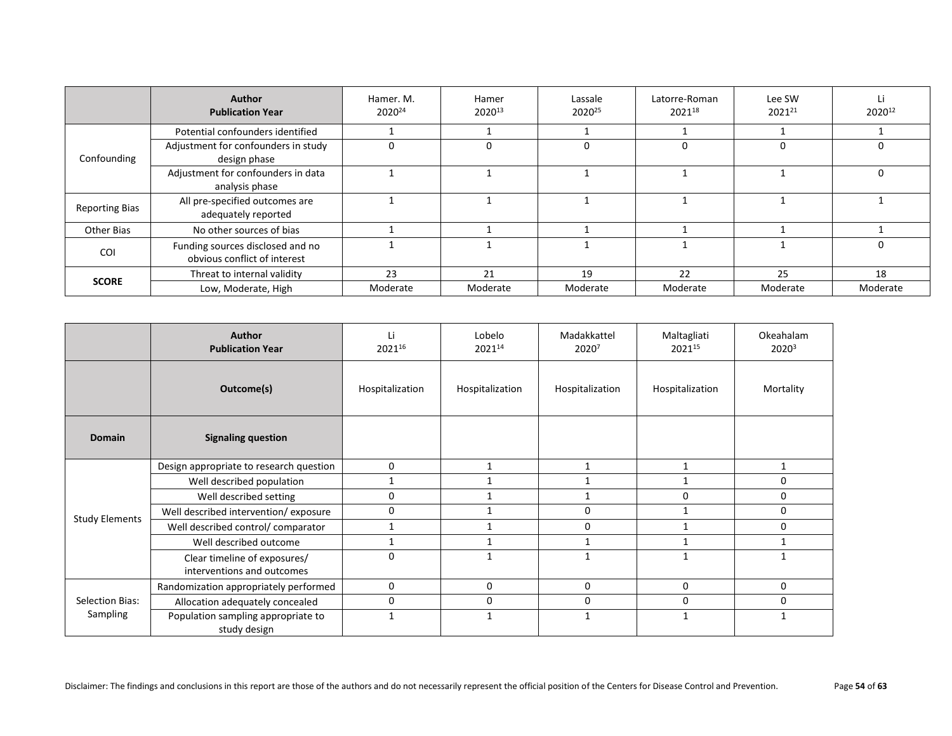|                       | <b>Author</b><br><b>Publication Year</b>                         | Hamer. M.<br>2020 <sup>24</sup> | Hamer<br>202013 | Lassale<br>2020 <sup>25</sup> | Latorre-Roman<br>202118 | Lee SW<br>202121 | Li<br>202012 |
|-----------------------|------------------------------------------------------------------|---------------------------------|-----------------|-------------------------------|-------------------------|------------------|--------------|
| Confounding           | Potential confounders identified                                 |                                 |                 |                               |                         |                  |              |
|                       | Adjustment for confounders in study<br>design phase              | 0                               | 0               |                               |                         | 0                |              |
|                       | Adjustment for confounders in data<br>analysis phase             |                                 |                 |                               |                         |                  | O            |
| <b>Reporting Bias</b> | All pre-specified outcomes are<br>adequately reported            |                                 |                 |                               |                         |                  |              |
| Other Bias            | No other sources of bias                                         |                                 |                 |                               |                         |                  |              |
| <b>COI</b>            | Funding sources disclosed and no<br>obvious conflict of interest |                                 |                 |                               |                         |                  | $\Box$       |
| <b>SCORE</b>          | Threat to internal validity                                      | 23                              | 21              | 19                            | 22                      | 25               | 18           |
|                       | Low, Moderate, High                                              | Moderate                        | Moderate        | Moderate                      | Moderate                | Moderate         | Moderate     |

|                       | <b>Author</b><br><b>Publication Year</b>                   | Τi<br>202116    | Lobelo<br>202114 | Madakkattel<br>20207 | Maltagliati<br>202115 | Okeahalam<br>2020 <sup>3</sup> |
|-----------------------|------------------------------------------------------------|-----------------|------------------|----------------------|-----------------------|--------------------------------|
|                       | Outcome(s)                                                 | Hospitalization | Hospitalization  | Hospitalization      | Hospitalization       | Mortality                      |
| Domain                | <b>Signaling question</b>                                  |                 |                  |                      |                       |                                |
|                       | Design appropriate to research question                    | $\mathbf 0$     | 1                | 1                    | 1                     | 1                              |
|                       | Well described population                                  | 1               |                  |                      | 1                     | 0                              |
|                       | Well described setting                                     | 0               |                  |                      | 0                     | 0                              |
| <b>Study Elements</b> | Well described intervention/exposure                       | $\Omega$        |                  | $\Omega$             | $\mathbf{1}$          | 0                              |
|                       | Well described control/ comparator                         | 1               |                  | $\Omega$             | 1                     | 0                              |
|                       | Well described outcome                                     | $\mathbf{1}$    |                  |                      | $\mathbf{1}$          | 1                              |
|                       | Clear timeline of exposures/<br>interventions and outcomes | $\Omega$        |                  |                      | $\mathbf{1}$          |                                |
|                       | Randomization appropriately performed                      | $\mathbf{0}$    | $\Omega$         | $\mathbf{0}$         | 0                     | 0                              |
| Selection Bias:       | Allocation adequately concealed                            | $\mathbf 0$     | 0                | $\mathbf{0}$         | 0                     | 0                              |
| Sampling              | Population sampling appropriate to<br>study design         | 1               | 1                |                      | $\mathbf{1}$          |                                |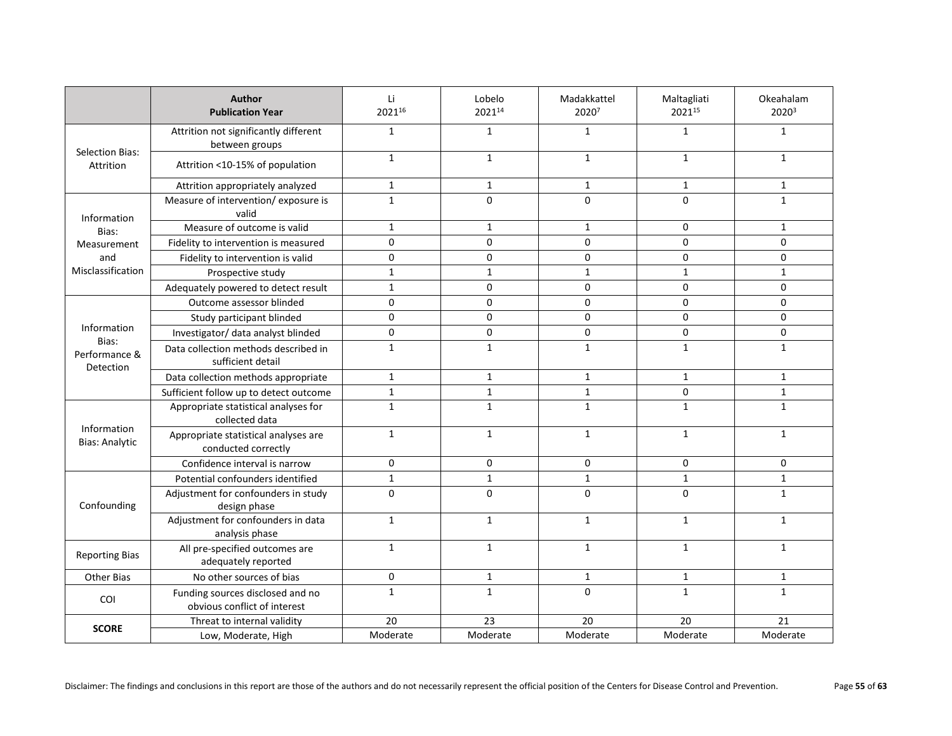|                                                    | Author<br><b>Publication Year</b>                                | Li<br>202116 | Lobelo<br>202114 | Madakkattel<br>20207 | Maltagliati<br>202115 | Okeahalam<br>20203 |
|----------------------------------------------------|------------------------------------------------------------------|--------------|------------------|----------------------|-----------------------|--------------------|
|                                                    | Attrition not significantly different<br>between groups          | $\mathbf{1}$ | $\mathbf{1}$     | $\mathbf{1}$         | $\mathbf{1}$          | $\mathbf{1}$       |
| Selection Bias:<br>Attrition                       | Attrition <10-15% of population                                  | $\mathbf{1}$ | $\mathbf{1}$     | $\mathbf{1}$         | $\mathbf{1}$          | $\mathbf{1}$       |
|                                                    | Attrition appropriately analyzed                                 | $\mathbf{1}$ | $\mathbf{1}$     | $\mathbf{1}$         | $\mathbf{1}$          | $\mathbf{1}$       |
| Information                                        | Measure of intervention/exposure is<br>valid                     | $\mathbf{1}$ | $\Omega$         | $\Omega$             | 0                     | $\mathbf{1}$       |
| Bias:                                              | Measure of outcome is valid                                      | $\mathbf{1}$ | $\mathbf{1}$     | $\mathbf{1}$         | $\mathbf 0$           | $\mathbf{1}$       |
| Measurement                                        | Fidelity to intervention is measured                             | 0            | $\mathbf 0$      | 0                    | $\mathbf 0$           | 0                  |
| and                                                | Fidelity to intervention is valid                                | 0            | $\mathbf 0$      | 0                    | $\mathsf{O}\xspace$   | 0                  |
| Misclassification                                  | Prospective study                                                | $\mathbf{1}$ | $\mathbf{1}$     | $\mathbf 1$          | $\mathbf{1}$          | $\mathbf{1}$       |
|                                                    | Adequately powered to detect result                              | $\mathbf{1}$ | $\mathbf 0$      | 0                    | $\mathbf 0$           | 0                  |
|                                                    | Outcome assessor blinded                                         | 0            | $\mathbf 0$      | 0                    | $\mathbf 0$           | 0                  |
| Information<br>Bias:<br>Performance &<br>Detection | Study participant blinded                                        | 0            | $\mathbf 0$      | 0                    | $\mathbf 0$           | 0                  |
|                                                    | Investigator/ data analyst blinded                               | 0            | $\mathbf 0$      | 0                    | $\mathbf 0$           | 0                  |
|                                                    | Data collection methods described in<br>sufficient detail        | $\mathbf{1}$ | $\mathbf{1}$     | $\mathbf{1}$         | $\mathbf{1}$          | $\mathbf{1}$       |
|                                                    | Data collection methods appropriate                              | $\mathbf{1}$ | $\mathbf{1}$     | $\mathbf{1}$         | $\mathbf{1}$          | $\mathbf{1}$       |
|                                                    | Sufficient follow up to detect outcome                           | $\mathbf{1}$ | $\mathbf{1}$     | $\mathbf{1}$         | $\mathbf 0$           | $\mathbf{1}$       |
|                                                    | Appropriate statistical analyses for<br>collected data           | $\mathbf{1}$ | $\mathbf{1}$     | $\mathbf{1}$         | $\mathbf{1}$          | $\mathbf{1}$       |
| Information<br><b>Bias: Analytic</b>               | Appropriate statistical analyses are<br>conducted correctly      | $\mathbf{1}$ | $\mathbf{1}$     | $\mathbf{1}$         | $\mathbf{1}$          | $\mathbf{1}$       |
|                                                    | Confidence interval is narrow                                    | 0            | 0                | $\mathbf 0$          | $\mathbf 0$           | 0                  |
|                                                    | Potential confounders identified                                 | $\mathbf{1}$ | $\mathbf{1}$     | $\mathbf{1}$         | $\mathbf{1}$          | $\mathbf{1}$       |
| Confounding                                        | Adjustment for confounders in study<br>design phase              | $\Omega$     | $\Omega$         | 0                    | $\Omega$              | $\mathbf{1}$       |
|                                                    | Adjustment for confounders in data<br>analysis phase             | $\mathbf{1}$ | $\mathbf{1}$     | $\mathbf{1}$         | $\mathbf{1}$          | $\mathbf{1}$       |
| <b>Reporting Bias</b>                              | All pre-specified outcomes are<br>adequately reported            | $\mathbf{1}$ | $\mathbf{1}$     | $\mathbf{1}$         | $\mathbf 1$           | $\mathbf{1}$       |
| Other Bias                                         | No other sources of bias                                         | $\mathbf 0$  | $\mathbf{1}$     | $\mathbf{1}$         | $\mathbf{1}$          | $\mathbf{1}$       |
| COI                                                | Funding sources disclosed and no<br>obvious conflict of interest | $\mathbf{1}$ | $\mathbf{1}$     | $\Omega$             | $\mathbf{1}$          | $\mathbf{1}$       |
|                                                    | Threat to internal validity                                      | 20           | 23               | 20                   | 20                    | 21                 |
| <b>SCORE</b>                                       | Low, Moderate, High                                              | Moderate     | Moderate         | Moderate             | Moderate              | Moderate           |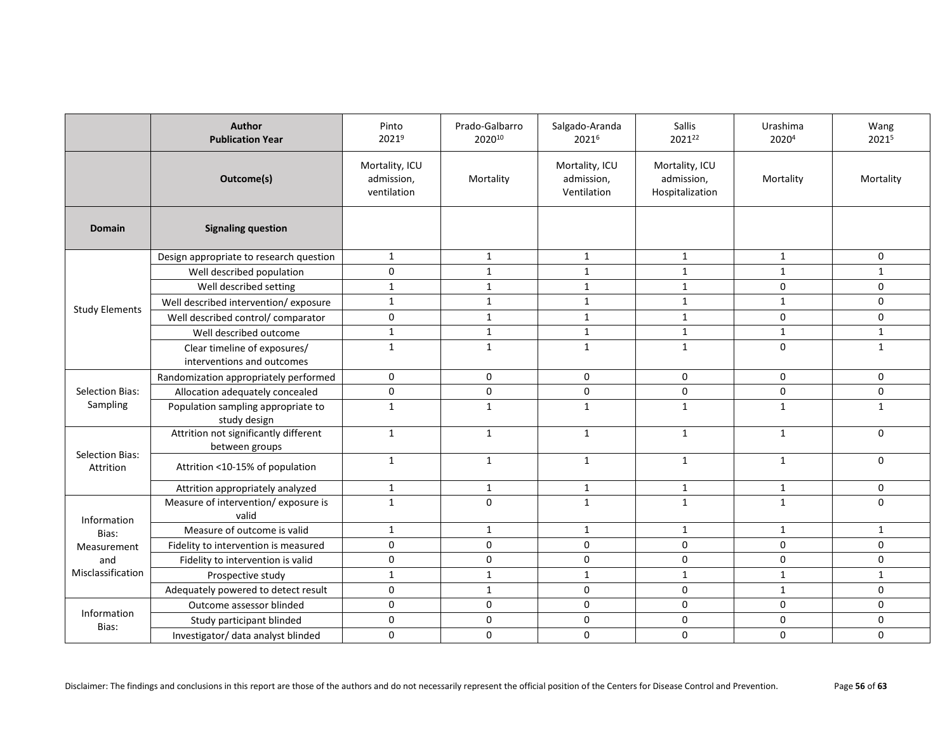|                                     | Author<br><b>Publication Year</b>                          | Pinto<br>2021 <sup>9</sup>                  | Prado-Galbarro<br>202010 | Salgado-Aranda<br>20216                     | <b>Sallis</b><br>202122                         | Urashima<br>20204 | Wang<br>20215 |
|-------------------------------------|------------------------------------------------------------|---------------------------------------------|--------------------------|---------------------------------------------|-------------------------------------------------|-------------------|---------------|
|                                     | Outcome(s)                                                 | Mortality, ICU<br>admission,<br>ventilation | Mortality                | Mortality, ICU<br>admission,<br>Ventilation | Mortality, ICU<br>admission,<br>Hospitalization | Mortality         | Mortality     |
| <b>Domain</b>                       | <b>Signaling question</b>                                  |                                             |                          |                                             |                                                 |                   |               |
|                                     | Design appropriate to research question                    | $\mathbf{1}$                                | $\mathbf{1}$             | $\mathbf{1}$                                | $\mathbf{1}$                                    | $\mathbf{1}$      | 0             |
|                                     | Well described population                                  | $\mathsf{O}\xspace$                         | $\mathbf{1}$             | $\mathbf{1}$                                | $\mathbf{1}$                                    | $\mathbf{1}$      | $\mathbf{1}$  |
|                                     | Well described setting                                     | $\mathbf{1}$                                | $\mathbf{1}$             | $\mathbf{1}$                                | $\mathbf{1}$                                    | $\mathbf 0$       | 0             |
|                                     | Well described intervention/exposure                       | $\mathbf{1}$                                | $\mathbf{1}$             | $\mathbf{1}$                                | $\mathbf{1}$                                    | $\mathbf{1}$      | 0             |
| <b>Study Elements</b>               | Well described control/ comparator                         | 0                                           | $\mathbf{1}$             | $\mathbf{1}$                                | $\mathbf{1}$                                    | $\mathbf 0$       | 0             |
|                                     | Well described outcome                                     | $\mathbf{1}$                                | $\mathbf{1}$             | $\mathbf{1}$                                | $\mathbf{1}$                                    | $\mathbf{1}$      | $\mathbf{1}$  |
|                                     | Clear timeline of exposures/<br>interventions and outcomes | $\mathbf{1}$                                | $\mathbf{1}$             | $\mathbf{1}$                                | $\mathbf{1}$                                    | $\mathbf{0}$      | $\mathbf{1}$  |
|                                     | Randomization appropriately performed                      | $\mathsf{O}\xspace$                         | $\mathbf 0$              | 0                                           | 0                                               | $\mathbf 0$       | $\mathbf 0$   |
| <b>Selection Bias:</b>              | Allocation adequately concealed                            | 0                                           | $\mathbf 0$              | 0                                           | $\mathbf 0$                                     | $\mathbf 0$       | $\mathbf 0$   |
| Sampling                            | Population sampling appropriate to<br>study design         | $\mathbf{1}$                                | $\mathbf{1}$             | $\mathbf{1}$                                | $\mathbf{1}$                                    | $\mathbf{1}$      | $\mathbf{1}$  |
|                                     | Attrition not significantly different<br>between groups    | $\mathbf{1}$                                | $\mathbf 1$              | $\mathbf{1}$                                | $\mathbf{1}$                                    | $\mathbf{1}$      | $\mathbf 0$   |
| <b>Selection Bias:</b><br>Attrition | Attrition <10-15% of population                            | $\mathbf{1}$                                | $\mathbf{1}$             | $\mathbf{1}$                                | $\mathbf{1}$                                    | $\mathbf{1}$      | 0             |
|                                     | Attrition appropriately analyzed                           | $\mathbf{1}$                                | $\mathbf{1}$             | $\mathbf{1}$                                | $\mathbf{1}$                                    | $\mathbf{1}$      | 0             |
| Information                         | Measure of intervention/exposure is<br>valid               | $\mathbf{1}$                                | $\Omega$                 | $\mathbf{1}$                                | $\mathbf{1}$                                    | $\mathbf{1}$      | $\Omega$      |
| Bias:                               | Measure of outcome is valid                                | $\mathbf{1}$                                | $\mathbf{1}$             | $\mathbf{1}$                                | 1                                               | $\mathbf{1}$      | $\mathbf{1}$  |
| Measurement                         | Fidelity to intervention is measured                       | $\mathsf{O}\xspace$                         | $\pmb{0}$                | 0                                           | $\mathbf 0$                                     | $\mathbf 0$       | 0             |
| and                                 | Fidelity to intervention is valid                          | $\mathbf 0$                                 | $\mathbf 0$              | 0                                           | $\mathbf 0$                                     | $\mathbf{0}$      | $\mathbf 0$   |
| Misclassification                   | Prospective study                                          | $\mathbf{1}$                                | $\mathbf{1}$             | $\mathbf{1}$                                | $\mathbf{1}$                                    | $\mathbf{1}$      | $\mathbf{1}$  |
|                                     | Adequately powered to detect result                        | $\mathbf 0$                                 | $\mathbf{1}$             | 0                                           | $\Omega$                                        | $\mathbf{1}$      | $\mathbf 0$   |
|                                     | Outcome assessor blinded                                   | 0                                           | $\mathbf 0$              | 0                                           | $\mathbf 0$                                     | $\mathbf 0$       | $\mathbf 0$   |
| Information<br>Bias:                | Study participant blinded                                  | $\mathsf{O}\xspace$                         | 0                        | 0                                           | $\mathbf 0$                                     | $\mathbf 0$       | $\mathbf 0$   |
|                                     | Investigator/ data analyst blinded                         | 0                                           | $\mathbf 0$              | 0                                           | 0                                               | 0                 | 0             |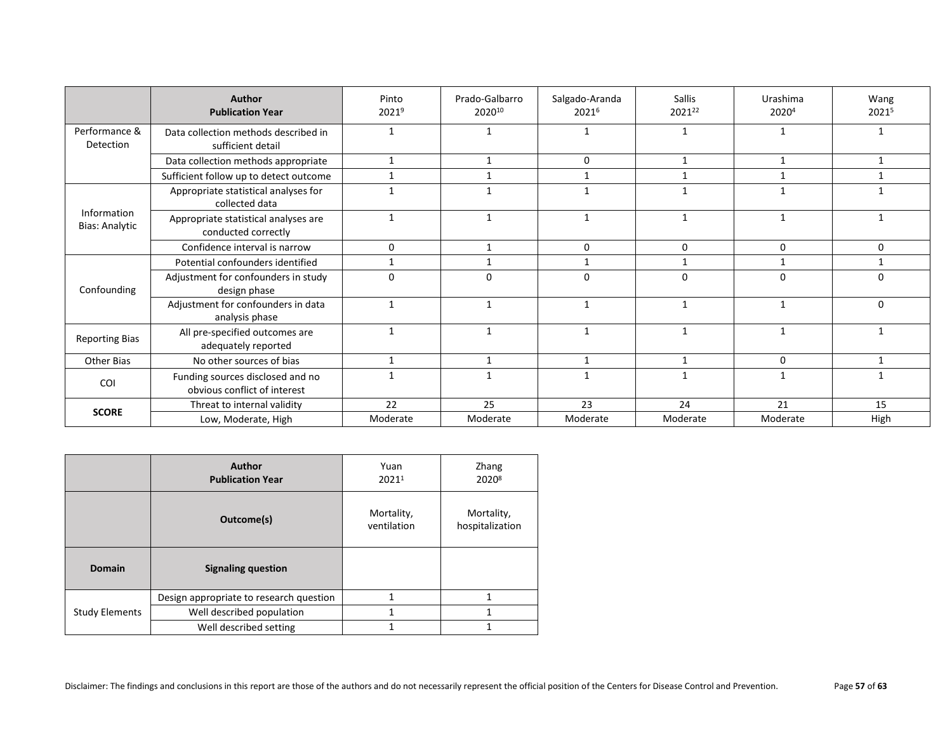|                                      | Author<br><b>Publication Year</b>                                | Pinto<br>20219 | Prado-Galbarro<br>202010 | Salgado-Aranda<br>20216 | <b>Sallis</b><br>202122 | <b>Urashima</b><br>20204 | Wang<br>20215 |
|--------------------------------------|------------------------------------------------------------------|----------------|--------------------------|-------------------------|-------------------------|--------------------------|---------------|
| Performance &<br>Detection           | Data collection methods described in<br>sufficient detail        |                |                          |                         |                         |                          |               |
|                                      | Data collection methods appropriate                              | 1              | 1                        | 0                       | 1                       | 1                        | 1             |
|                                      | Sufficient follow up to detect outcome                           | 1              | -1                       |                         |                         |                          |               |
|                                      | Appropriate statistical analyses for<br>collected data           |                |                          |                         |                         |                          |               |
| Information<br><b>Bias: Analytic</b> | Appropriate statistical analyses are<br>conducted correctly      | $\mathbf 1$    | $\mathbf{1}$             | 1                       | $\mathbf{1}$            | $\mathbf{1}$             |               |
|                                      | Confidence interval is narrow                                    | $\mathbf 0$    | $\mathbf{1}$             | $\Omega$                | 0                       | 0                        | $\mathbf 0$   |
|                                      | Potential confounders identified                                 | $\mathbf{1}$   | $\mathbf{1}$             | 1                       |                         | $\mathbf 1$              | $\mathbf{1}$  |
| Confounding                          | Adjustment for confounders in study<br>design phase              | $\Omega$       | 0                        | $\Omega$                | $\Omega$                | $\Omega$                 | $\Omega$      |
|                                      | Adjustment for confounders in data<br>analysis phase             | $\mathbf{1}$   | $\mathbf{1}$             | $\mathbf{1}$            | 1                       | 1                        | $\Omega$      |
| <b>Reporting Bias</b>                | All pre-specified outcomes are<br>adequately reported            |                |                          |                         |                         |                          |               |
| Other Bias                           | No other sources of bias                                         | $\mathbf{1}$   | 1                        | $\mathbf{1}$            | $\mathbf{1}$            | 0                        | $\mathbf{1}$  |
| <b>COI</b>                           | Funding sources disclosed and no<br>obvious conflict of interest |                | -1                       |                         |                         |                          |               |
|                                      | Threat to internal validity                                      | 22             | 25                       | 23                      | 24                      | 21                       | 15            |
| <b>SCORE</b>                         | Low, Moderate, High                                              | Moderate       | Moderate                 | Moderate                | Moderate                | Moderate                 | High          |

|                       | <b>Author</b><br><b>Publication Year</b> | Yuan<br>20211             | Zhang<br>20208                |
|-----------------------|------------------------------------------|---------------------------|-------------------------------|
|                       | Outcome(s)                               | Mortality,<br>ventilation | Mortality,<br>hospitalization |
| <b>Domain</b>         | <b>Signaling question</b>                |                           |                               |
|                       | Design appropriate to research question  | 1                         | 1                             |
| <b>Study Elements</b> | Well described population                | 1                         | 1                             |
|                       | Well described setting                   | 1                         | 1                             |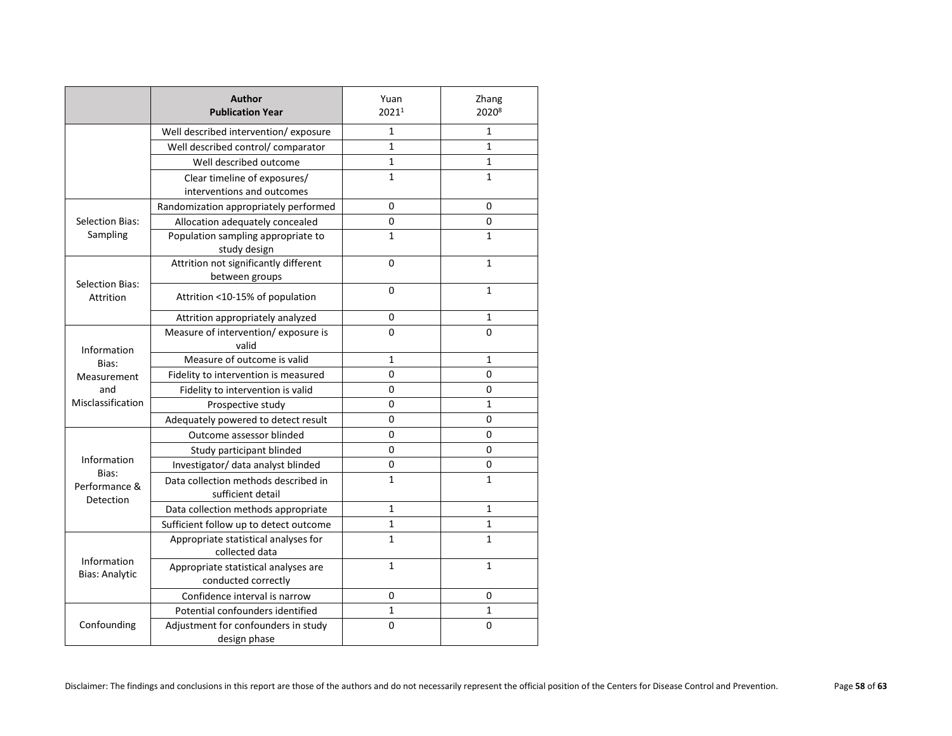|                                      | <b>Author</b><br><b>Publication Year</b>                    | Yuan<br>20211 | Zhang<br>20208 |
|--------------------------------------|-------------------------------------------------------------|---------------|----------------|
|                                      | Well described intervention/exposure                        | 1             | $\mathbf{1}$   |
|                                      | Well described control/comparator                           | $\mathbf 1$   | $\mathbf{1}$   |
|                                      | Well described outcome                                      | 1             | 1              |
|                                      | Clear timeline of exposures/<br>interventions and outcomes  | $\mathbf{1}$  | 1              |
|                                      | Randomization appropriately performed                       | 0             | $\Omega$       |
| Selection Bias:                      | Allocation adequately concealed                             | $\Omega$      | $\Omega$       |
| Sampling                             | Population sampling appropriate to<br>study design          | $\mathbf{1}$  | $\mathbf{1}$   |
|                                      | Attrition not significantly different<br>between groups     | $\Omega$      | $\mathbf{1}$   |
| <b>Selection Bias:</b><br>Attrition  | Attrition <10-15% of population                             | $\Omega$      | $\mathbf{1}$   |
|                                      | Attrition appropriately analyzed                            | 0             | $\mathbf{1}$   |
| Information                          | Measure of intervention/exposure is<br>valid                | $\Omega$      | 0              |
| Bias:                                | Measure of outcome is valid                                 | 1             | $\mathbf{1}$   |
| Measurement                          | Fidelity to intervention is measured                        | $\Omega$      | $\mathbf 0$    |
| and                                  | Fidelity to intervention is valid                           | 0             | 0              |
| Misclassification                    | Prospective study                                           | $\Omega$      | $\mathbf{1}$   |
|                                      | Adequately powered to detect result                         | 0             | $\Omega$       |
|                                      | Outcome assessor blinded                                    | 0             | 0              |
|                                      | Study participant blinded                                   | 0             | 0              |
| Information                          | Investigator/ data analyst blinded                          | 0             | 0              |
| Bias:<br>Performance &<br>Detection  | Data collection methods described in<br>sufficient detail   | 1             | 1              |
|                                      | Data collection methods appropriate                         | 1             | $\mathbf{1}$   |
|                                      | Sufficient follow up to detect outcome                      | 1             | 1              |
|                                      | Appropriate statistical analyses for<br>collected data      | 1             | 1              |
| Information<br><b>Bias: Analytic</b> | Appropriate statistical analyses are<br>conducted correctly | $\mathbf{1}$  | $\mathbf{1}$   |
|                                      | Confidence interval is narrow                               | $\Omega$      | 0              |
|                                      | Potential confounders identified                            | $\mathbf{1}$  | $\mathbf{1}$   |
| Confounding                          | Adjustment for confounders in study<br>design phase         | 0             | 0              |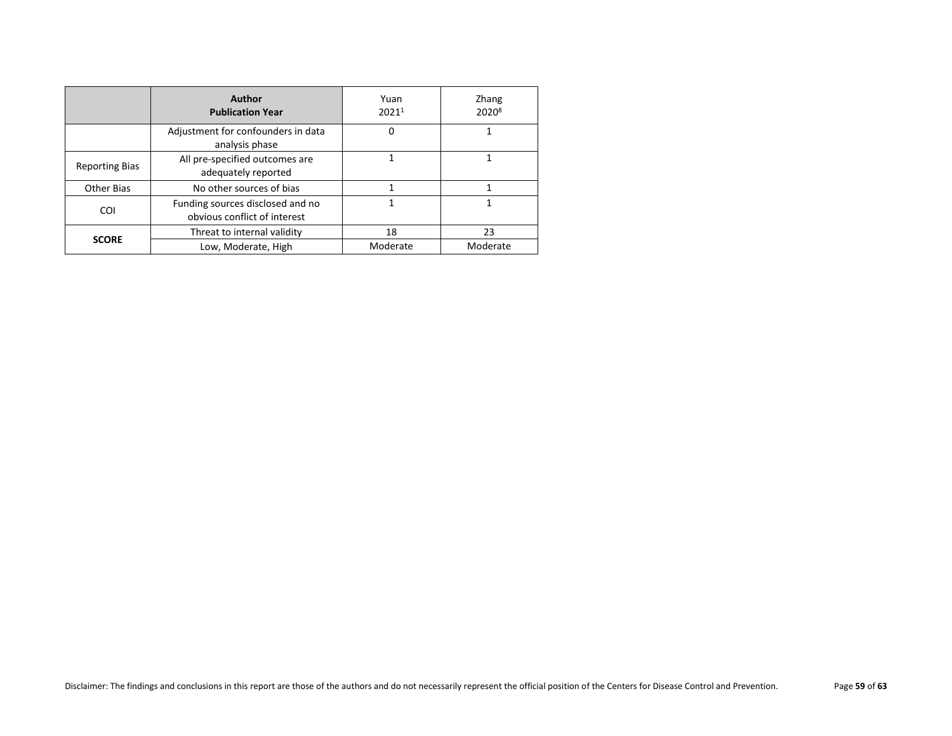|                       | Author<br><b>Publication Year</b>                                | Yuan<br>20211 | Zhang<br>2020 <sup>8</sup> |
|-----------------------|------------------------------------------------------------------|---------------|----------------------------|
|                       | Adjustment for confounders in data<br>analysis phase             | 0             |                            |
| <b>Reporting Bias</b> | All pre-specified outcomes are<br>adequately reported            |               |                            |
| <b>Other Bias</b>     | No other sources of bias                                         |               | 1                          |
| <b>COI</b>            | Funding sources disclosed and no<br>obvious conflict of interest |               |                            |
|                       | Threat to internal validity                                      | 18            | 23                         |
| <b>SCORE</b>          | Low, Moderate, High                                              | Moderate      | Moderate                   |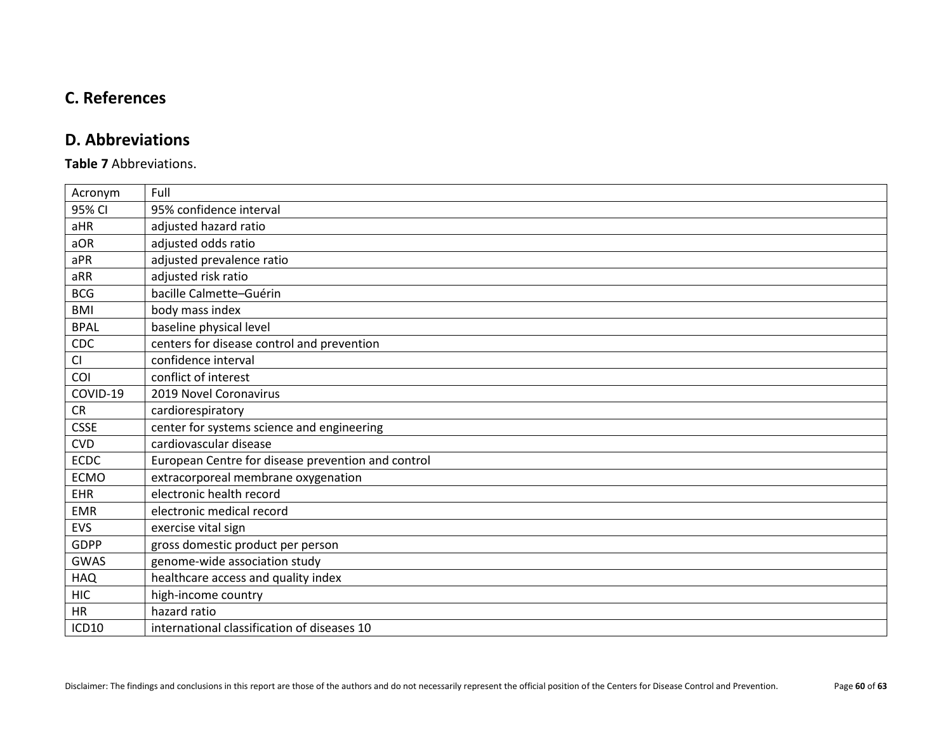# <span id="page-59-0"></span>**C. References**

# **D. Abbreviations**

#### <span id="page-59-1"></span>**Table 7** Abbreviations.

| Acronym     | Full                                               |
|-------------|----------------------------------------------------|
| 95% CI      | 95% confidence interval                            |
| aHR         | adjusted hazard ratio                              |
| aOR         | adjusted odds ratio                                |
| aPR         | adjusted prevalence ratio                          |
| aRR         | adjusted risk ratio                                |
| <b>BCG</b>  | bacille Calmette-Guérin                            |
| <b>BMI</b>  | body mass index                                    |
| <b>BPAL</b> | baseline physical level                            |
| CDC         | centers for disease control and prevention         |
| CI          | confidence interval                                |
| COI         | conflict of interest                               |
| COVID-19    | 2019 Novel Coronavirus                             |
| <b>CR</b>   | cardiorespiratory                                  |
| <b>CSSE</b> | center for systems science and engineering         |
| <b>CVD</b>  | cardiovascular disease                             |
| <b>ECDC</b> | European Centre for disease prevention and control |
| <b>ECMO</b> | extracorporeal membrane oxygenation                |
| EHR         | electronic health record                           |
| <b>EMR</b>  | electronic medical record                          |
| EVS         | exercise vital sign                                |
| <b>GDPP</b> | gross domestic product per person                  |
| <b>GWAS</b> | genome-wide association study                      |
| <b>HAQ</b>  | healthcare access and quality index                |
| <b>HIC</b>  | high-income country                                |
| <b>HR</b>   | hazard ratio                                       |
| ICD10       | international classification of diseases 10        |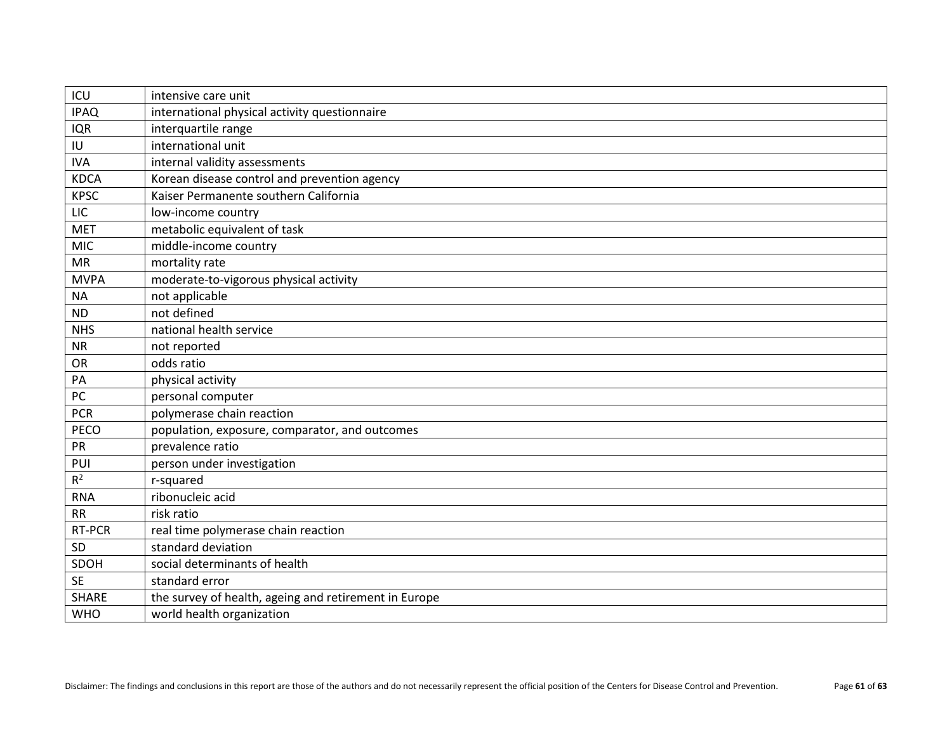| ICU          | intensive care unit                                   |
|--------------|-------------------------------------------------------|
| <b>IPAQ</b>  | international physical activity questionnaire         |
| <b>IQR</b>   | interquartile range                                   |
| IU           | international unit                                    |
| <b>IVA</b>   | internal validity assessments                         |
| <b>KDCA</b>  | Korean disease control and prevention agency          |
| <b>KPSC</b>  | Kaiser Permanente southern California                 |
| LIC          | low-income country                                    |
| <b>MET</b>   | metabolic equivalent of task                          |
| MIC          | middle-income country                                 |
| MR           | mortality rate                                        |
| <b>MVPA</b>  | moderate-to-vigorous physical activity                |
| <b>NA</b>    | not applicable                                        |
| ND           | not defined                                           |
| <b>NHS</b>   | national health service                               |
| ${\sf NR}$   | not reported                                          |
| OR           | odds ratio                                            |
| PA           | physical activity                                     |
| PC           | personal computer                                     |
| <b>PCR</b>   | polymerase chain reaction                             |
| PECO         | population, exposure, comparator, and outcomes        |
| PR           | prevalence ratio                                      |
| PUI          | person under investigation                            |
| $R^2$        | r-squared                                             |
| <b>RNA</b>   | ribonucleic acid                                      |
| <b>RR</b>    | risk ratio                                            |
| RT-PCR       | real time polymerase chain reaction                   |
| SD           | standard deviation                                    |
| SDOH         | social determinants of health                         |
| <b>SE</b>    | standard error                                        |
| <b>SHARE</b> | the survey of health, ageing and retirement in Europe |
| <b>WHO</b>   | world health organization                             |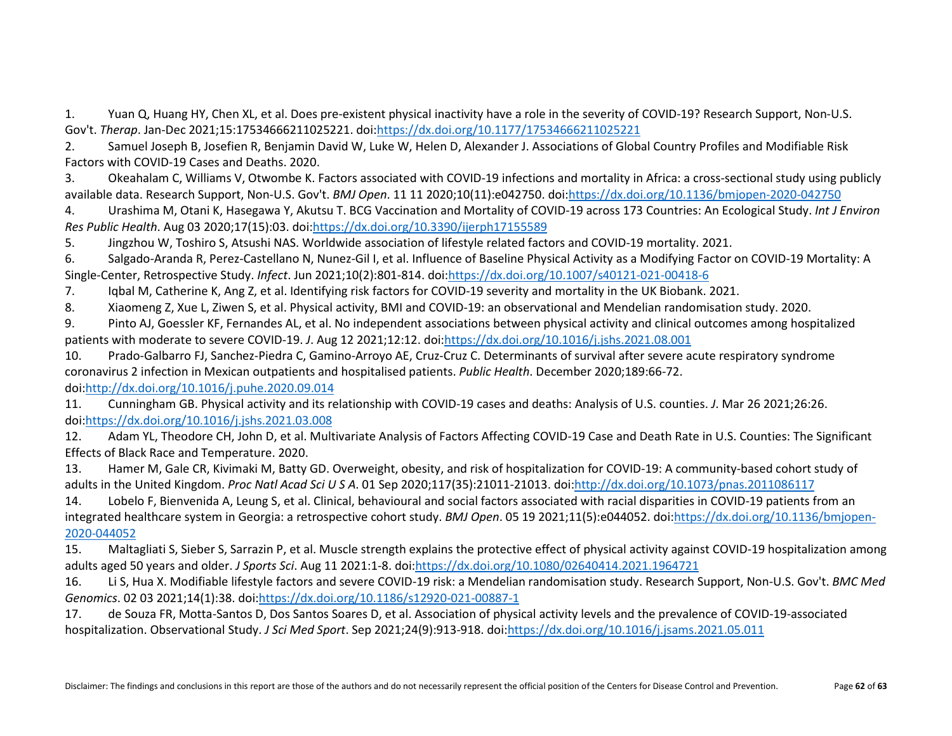1. Yuan Q, Huang HY, Chen XL, et al. Does pre-existent physical inactivity have a role in the severity of COVID-19? Research Support, Non-U.S. Gov't. *Therap*. Jan-Dec 2021;15:17534666211025221. doi[:https://dx.doi.org/10.1177/17534666211025221](https://dx.doi.org/10.1177/17534666211025221)

2. Samuel Joseph B, Josefien R, Benjamin David W, Luke W, Helen D, Alexander J. Associations of Global Country Profiles and Modifiable Risk Factors with COVID-19 Cases and Deaths. 2020.

3. Okeahalam C, Williams V, Otwombe K. Factors associated with COVID-19 infections and mortality in Africa: a cross-sectional study using publicly available data. Research Support, Non-U.S. Gov't. *BMJ Open*. 11 11 2020;10(11):e042750. doi[:https://dx.doi.org/10.1136/bmjopen-2020-042750](https://dx.doi.org/10.1136/bmjopen-2020-042750)

4. Urashima M, Otani K, Hasegawa Y, Akutsu T. BCG Vaccination and Mortality of COVID-19 across 173 Countries: An Ecological Study. *Int J Environ Res Public Health*. Aug 03 2020;17(15):03. doi[:https://dx.doi.org/10.3390/ijerph17155589](https://dx.doi.org/10.3390/ijerph17155589)

5. Jingzhou W, Toshiro S, Atsushi NAS. Worldwide association of lifestyle related factors and COVID-19 mortality. 2021.

6. Salgado-Aranda R, Perez-Castellano N, Nunez-Gil I, et al. Influence of Baseline Physical Activity as a Modifying Factor on COVID-19 Mortality: A Single-Center, Retrospective Study. *Infect*. Jun 2021;10(2):801-814. doi[:https://dx.doi.org/10.1007/s40121-021-00418-6](https://dx.doi.org/10.1007/s40121-021-00418-6)

7. Iqbal M, Catherine K, Ang Z, et al. Identifying risk factors for COVID-19 severity and mortality in the UK Biobank. 2021.

8. Xiaomeng Z, Xue L, Ziwen S, et al. Physical activity, BMI and COVID-19: an observational and Mendelian randomisation study. 2020.

9. Pinto AJ, Goessler KF, Fernandes AL, et al. No independent associations between physical activity and clinical outcomes among hospitalized patients with moderate to severe COVID-19. *J*. Aug 12 2021;12:12. doi[:https://dx.doi.org/10.1016/j.jshs.2021.08.001](https://dx.doi.org/10.1016/j.jshs.2021.08.001)

10. Prado-Galbarro FJ, Sanchez-Piedra C, Gamino-Arroyo AE, Cruz-Cruz C. Determinants of survival after severe acute respiratory syndrome coronavirus 2 infection in Mexican outpatients and hospitalised patients. *Public Health*. December 2020;189:66-72.

doi[:http://dx.doi.org/10.1016/j.puhe.2020.09.014](http://dx.doi.org/10.1016/j.puhe.2020.09.014)

11. Cunningham GB. Physical activity and its relationship with COVID-19 cases and deaths: Analysis of U.S. counties. *J*. Mar 26 2021;26:26. doi[:https://dx.doi.org/10.1016/j.jshs.2021.03.008](https://dx.doi.org/10.1016/j.jshs.2021.03.008)

12. Adam YL, Theodore CH, John D, et al. Multivariate Analysis of Factors Affecting COVID-19 Case and Death Rate in U.S. Counties: The Significant Effects of Black Race and Temperature. 2020.

13. Hamer M, Gale CR, Kivimaki M, Batty GD. Overweight, obesity, and risk of hospitalization for COVID-19: A community-based cohort study of adults in the United Kingdom. *Proc Natl Acad Sci U S A*. 01 Sep 2020;117(35):21011-21013. doi[:http://dx.doi.org/10.1073/pnas.2011086117](http://dx.doi.org/10.1073/pnas.2011086117)

14. Lobelo F, Bienvenida A, Leung S, et al. Clinical, behavioural and social factors associated with racial disparities in COVID-19 patients from an integrated healthcare system in Georgia: a retrospective cohort study. *BMJ Open*. 05 19 2021;11(5):e044052. doi[:https://dx.doi.org/10.1136/bmjopen-](https://dx.doi.org/10.1136/bmjopen-2020-044052)[2020-044052](https://dx.doi.org/10.1136/bmjopen-2020-044052)

15. Maltagliati S, Sieber S, Sarrazin P, et al. Muscle strength explains the protective effect of physical activity against COVID-19 hospitalization among adults aged 50 years and older. *J Sports Sci*. Aug 11 2021:1-8. doi[:https://dx.doi.org/10.1080/02640414.2021.1964721](https://dx.doi.org/10.1080/02640414.2021.1964721)

16. Li S, Hua X. Modifiable lifestyle factors and severe COVID-19 risk: a Mendelian randomisation study. Research Support, Non-U.S. Gov't. *BMC Med Genomics*. 02 03 2021;14(1):38. doi[:https://dx.doi.org/10.1186/s12920-021-00887-1](https://dx.doi.org/10.1186/s12920-021-00887-1)

17. de Souza FR, Motta-Santos D, Dos Santos Soares D, et al. Association of physical activity levels and the prevalence of COVID-19-associated hospitalization. Observational Study. *J Sci Med Sport*. Sep 2021;24(9):913-918. doi[:https://dx.doi.org/10.1016/j.jsams.2021.05.011](https://dx.doi.org/10.1016/j.jsams.2021.05.011)